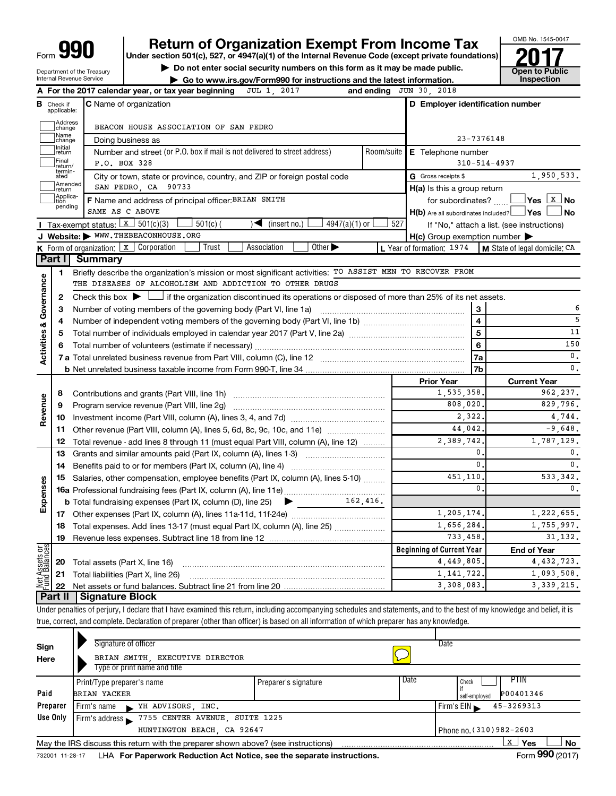# **990 Return of Organization Exempt From Income Tax 1990 2017 Divide the section 501(c)**, 527, or 4947(a)(1) of the Internal Revenue Code (except private foundations) **2017**

**Under section 501(c), 527, or 4947(a)(1) of the Internal Revenue Code (except private foundations)**

▶ Do not enter social security numbers on this form as it may be made public.<br>● Go to www.irs.gov/Form990 for instructions and the latest information. **Department in the latest** information. **1 Go to www.irs.gov/Form990 for instructions and the latest information.**<br>ax year beginning **JUL 1 2017** and ending JUN 30 2018



Department of the Treasury Internal Revenue Service

|               |                               | A For the 2017 calendar year, or tax year beginning JUL 1, 2017                                                                                                            |                                                                                   | and ending JUN 30, 2018                             |                                                           |  |  |
|---------------|-------------------------------|----------------------------------------------------------------------------------------------------------------------------------------------------------------------------|-----------------------------------------------------------------------------------|-----------------------------------------------------|-----------------------------------------------------------|--|--|
|               | <b>B</b> Check if applicable: | <b>C</b> Name of organization                                                                                                                                              |                                                                                   | D Employer identification number                    |                                                           |  |  |
|               | Address<br>change             | BEACON HOUSE ASSOCIATION OF SAN PEDRO                                                                                                                                      |                                                                                   |                                                     |                                                           |  |  |
|               | Name<br>change                | Doing business as                                                                                                                                                          |                                                                                   | $23 - 7376148$                                      |                                                           |  |  |
|               | Initial<br>return             | Number and street (or P.O. box if mail is not delivered to street address)                                                                                                 | Room/suite   E Telephone number                                                   |                                                     |                                                           |  |  |
|               | Final<br>return/              | P.O. BOX 328                                                                                                                                                               |                                                                                   | $310 - 514 - 4937$                                  |                                                           |  |  |
|               | termin-<br>ated               | City or town, state or province, country, and ZIP or foreign postal code                                                                                                   |                                                                                   | G Gross receipts \$                                 | 1,950,533.                                                |  |  |
|               | Amended<br>return             | SAN PEDRO, CA 90733                                                                                                                                                        |                                                                                   | $H(a)$ is this a group return                       |                                                           |  |  |
|               | Applica-<br>tion<br>pending   | F Name and address of principal officer: BRIAN SMITH                                                                                                                       |                                                                                   | for subordinates?                                   | $\sqrt{}$ Yes $\left\lfloor \frac{X}{X} \right\rfloor$ No |  |  |
|               |                               | SAME AS C ABOVE                                                                                                                                                            |                                                                                   | $H(b)$ Are all subordinates included? $\Box$ Yes    | l No                                                      |  |  |
|               |                               | Tax-exempt status: $\boxed{x}$ 501(c)(3)<br>$4947(a)(1)$ or<br>$501(c)$ (<br>$\sqrt{\frac{1}{1}}$ (insert no.)                                                             | 527                                                                               |                                                     | If "No," attach a list. (see instructions)                |  |  |
|               |                               | J Website: WWW.THEBEACONHOUSE.ORG                                                                                                                                          |                                                                                   | $H(c)$ Group exemption number $\blacktriangleright$ |                                                           |  |  |
|               |                               | Other $\blacktriangleright$<br>K Form of organization:   x   Corporation<br>Trust<br>Association                                                                           |                                                                                   | L Year of formation: 1974                           | <b>M</b> State of legal domicile: CA                      |  |  |
|               | Part I                        | <b>Summary</b>                                                                                                                                                             |                                                                                   |                                                     |                                                           |  |  |
|               | 1                             | Briefly describe the organization's mission or most significant activities: TO ASSIST MEN TO RECOVER FROM                                                                  |                                                                                   |                                                     |                                                           |  |  |
| Governance    |                               | THE DISEASES OF ALCOHOLISM AND ADDICTION TO OTHER DRUGS                                                                                                                    |                                                                                   |                                                     |                                                           |  |  |
|               | 2                             | Check this box $\blacktriangleright$ $\Box$ if the organization discontinued its operations or disposed of more than 25% of its net assets.                                |                                                                                   |                                                     |                                                           |  |  |
|               | З                             |                                                                                                                                                                            | 3                                                                                 | 6                                                   |                                                           |  |  |
| ೲ             | 4                             |                                                                                                                                                                            | $\overline{\mathbf{4}}$                                                           | 5                                                   |                                                           |  |  |
| Activities    | 5                             |                                                                                                                                                                            | 5                                                                                 | 11                                                  |                                                           |  |  |
|               | 6                             |                                                                                                                                                                            | 6                                                                                 | 150                                                 |                                                           |  |  |
|               |                               |                                                                                                                                                                            | 7a                                                                                | 0.                                                  |                                                           |  |  |
|               |                               |                                                                                                                                                                            |                                                                                   | 7b                                                  | 0.                                                        |  |  |
|               |                               |                                                                                                                                                                            | <b>Prior Year</b>                                                                 | <b>Current Year</b>                                 |                                                           |  |  |
|               | 8                             |                                                                                                                                                                            | 1,535,358.                                                                        | 962,237.                                            |                                                           |  |  |
|               | 9                             | Program service revenue (Part VIII, line 2g)                                                                                                                               | 808,020.                                                                          | 829,796.                                            |                                                           |  |  |
| Revenue       | 10                            |                                                                                                                                                                            |                                                                                   | 2,322.                                              | 4,744.                                                    |  |  |
|               | 11                            | Other revenue (Part VIII, column (A), lines 5, 6d, 8c, 9c, 10c, and 11e)                                                                                                   |                                                                                   | 44,042.                                             | $-9.648.$                                                 |  |  |
|               | 12                            | Total revenue - add lines 8 through 11 (must equal Part VIII, column (A), line 12)                                                                                         |                                                                                   | 2,389,742.                                          | 1,787,129.                                                |  |  |
|               | 13                            | Grants and similar amounts paid (Part IX, column (A), lines 1-3)                                                                                                           |                                                                                   | $\mathbf 0$ .                                       | 0.                                                        |  |  |
|               | 14                            |                                                                                                                                                                            | $\mathbf 0$ .<br>451.110                                                          | 0.<br>533, 342.                                     |                                                           |  |  |
| Expenses      | 15                            |                                                                                                                                                                            | Salaries, other compensation, employee benefits (Part IX, column (A), lines 5-10) |                                                     |                                                           |  |  |
|               |                               |                                                                                                                                                                            |                                                                                   | 0                                                   | 0.                                                        |  |  |
|               |                               | 162,416.<br><b>b</b> Total fundraising expenses (Part IX, column (D), line 25) $\rightarrow$                                                                               |                                                                                   |                                                     |                                                           |  |  |
|               |                               |                                                                                                                                                                            | 1,205,174.<br>1,656,284.                                                          | 1,222,655.                                          |                                                           |  |  |
|               |                               | 18 Total expenses. Add lines 13-17 (must equal Part IX, column (A), line 25)                                                                                               | 733,458.                                                                          | 1,755,997.<br>31,132.                               |                                                           |  |  |
|               | 19                            |                                                                                                                                                                            |                                                                                   | <b>Beginning of Current Year</b>                    |                                                           |  |  |
| Net Assets or |                               | Total assets (Part X, line 16)                                                                                                                                             |                                                                                   | 4,449,805.                                          | <b>End of Year</b><br>4,432,723.                          |  |  |
|               | 20                            | Total liabilities (Part X, line 26)                                                                                                                                        |                                                                                   | 1, 141, 722.                                        | 1,093,508.                                                |  |  |
|               | 21                            |                                                                                                                                                                            |                                                                                   | 3,308,083                                           | 3, 339, 215.                                              |  |  |
|               | 22<br><b>Part II</b>          | <b>Signature Block</b>                                                                                                                                                     |                                                                                   |                                                     |                                                           |  |  |
|               |                               | Under penalties of perjury, I declare that I have examined this return, including accompanying schedules and statements, and to the best of my knowledge and belief, it is |                                                                                   |                                                     |                                                           |  |  |

true, correct, and complete. Declaration of preparer (other than officer) is based on all information of which preparer has any knowledge.

| Sign<br>Here | Signature of officer<br>BRIAN SMITH EXECUTIVE DIRECTOR<br>Type or print name and title |                              | Date                                        |  |  |  |  |  |
|--------------|----------------------------------------------------------------------------------------|------------------------------|---------------------------------------------|--|--|--|--|--|
| Paid         | Print/Type preparer's name<br><b>BRIAN YACKER</b>                                      | Date<br>Preparer's signature | PTIN<br>Check<br>P00401346<br>self-employed |  |  |  |  |  |
| Preparer     | YH ADVISORS INC.<br>Firm's name                                                        |                              | 45-3269313<br>Firm's $EIN$                  |  |  |  |  |  |
| Use Only     | Firm's address 37755 CENTER AVENUE, SUITE 1225                                         |                              |                                             |  |  |  |  |  |
|              | HUNTINGTON BEACH, CA 92647                                                             | Phone no. (310) 982-2603     |                                             |  |  |  |  |  |
|              | May the IRS discuss this return with the preparer shown above? (see instructions)      |                              | <b>X</b> Yes<br>No                          |  |  |  |  |  |
|              |                                                                                        |                              | $000 \div 1$<br>$\overline{\phantom{0}}$    |  |  |  |  |  |

732001 11-28-17 **For Paperwork Reduction Act Notice, see the separate instructions.** LHA Form (2017)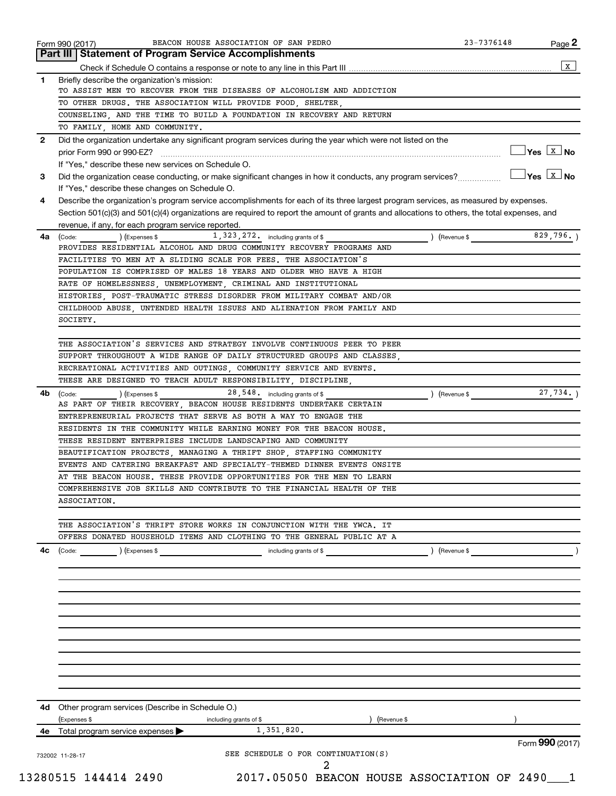|              |                                                                                                                                                                 | Form 990 (2017)                                            |
|--------------|-----------------------------------------------------------------------------------------------------------------------------------------------------------------|------------------------------------------------------------|
| 4e           | (Expenses \$<br>(Revenue \$<br>including grants of \$<br>1,351,820.<br>Total program service expenses                                                           |                                                            |
|              | 4d Other program services (Describe in Schedule O.)                                                                                                             |                                                            |
|              |                                                                                                                                                                 |                                                            |
|              |                                                                                                                                                                 |                                                            |
|              |                                                                                                                                                                 |                                                            |
|              |                                                                                                                                                                 |                                                            |
|              |                                                                                                                                                                 |                                                            |
|              |                                                                                                                                                                 |                                                            |
| 4с           | ) (Revenue \$<br>$\int (Code: ) (Express $ )$<br>including grants of $$$                                                                                        |                                                            |
|              | OFFERS DONATED HOUSEHOLD ITEMS AND CLOTHING TO THE GENERAL PUBLIC AT A                                                                                          |                                                            |
|              | THE ASSOCIATION'S THRIFT STORE WORKS IN CONJUNCTION WITH THE YWCA. IT                                                                                           |                                                            |
|              | COMPREHENSIVE JOB SKILLS AND CONTRIBUTE TO THE FINANCIAL HEALTH OF THE<br><b>ASSOCIATION.</b>                                                                   |                                                            |
|              | AT THE BEACON HOUSE. THESE PROVIDE OPPORTUNITIES FOR THE MEN TO LEARN                                                                                           |                                                            |
|              | EVENTS AND CATERING BREAKFAST AND SPECIALTY-THEMED DINNER EVENTS ONSITE                                                                                         |                                                            |
|              | BEAUTIFICATION PROJECTS, MANAGING A THRIFT SHOP, STAFFING COMMUNITY                                                                                             |                                                            |
|              | RESIDENTS IN THE COMMUNITY WHILE EARNING MONEY FOR THE BEACON HOUSE.<br>THESE RESIDENT ENTERPRISES INCLUDE LANDSCAPING AND COMMUNITY                            |                                                            |
|              | ENTREPRENEURIAL PROJECTS THAT SERVE AS BOTH A WAY TO ENGAGE THE                                                                                                 |                                                            |
|              | AS PART OF THEIR RECOVERY, BEACON HOUSE RESIDENTS UNDERTAKE CERTAIN                                                                                             |                                                            |
| 4b           | 28, 548. including grants of \$<br>(Expenses \$<br>) (Revenue \$<br>(Code:                                                                                      | 27,734.                                                    |
|              | RECREATIONAL ACTIVITIES AND OUTINGS, COMMUNITY SERVICE AND EVENTS.<br>THESE ARE DESIGNED TO TEACH ADULT RESPONSIBILITY, DISCIPLINE,                             |                                                            |
|              | SUPPORT THROUGHOUT A WIDE RANGE OF DAILY STRUCTURED GROUPS AND CLASSES,                                                                                         |                                                            |
|              | THE ASSOCIATION'S SERVICES AND STRATEGY INVOLVE CONTINUOUS PEER TO PEER                                                                                         |                                                            |
|              |                                                                                                                                                                 |                                                            |
|              | SOCIETY.                                                                                                                                                        |                                                            |
|              | HISTORIES, POST-TRAUMATIC STRESS DISORDER FROM MILITARY COMBAT AND/OR<br>CHILDHOOD ABUSE, UNTENDED HEALTH ISSUES AND ALIENATION FROM FAMILY AND                 |                                                            |
|              | RATE OF HOMELESSNESS, UNEMPLOYMENT, CRIMINAL AND INSTITUTIONAL                                                                                                  |                                                            |
|              | POPULATION IS COMPRISED OF MALES 18 YEARS AND OLDER WHO HAVE A HIGH                                                                                             |                                                            |
|              | FACILITIES TO MEN AT A SLIDING SCALE FOR FEES. THE ASSOCIATION'S                                                                                                |                                                            |
| 4a           | 1, 323, 272. including grants of \$<br>) (Revenue \$<br>(Code:<br>) (Expenses \$<br>PROVIDES RESIDENTIAL ALCOHOL AND DRUG COMMUNITY RECOVERY PROGRAMS AND       | 829,796.                                                   |
|              | revenue, if any, for each program service reported.                                                                                                             |                                                            |
|              | Section 501(c)(3) and 501(c)(4) organizations are required to report the amount of grants and allocations to others, the total expenses, and                    |                                                            |
| 4            | Describe the organization's program service accomplishments for each of its three largest program services, as measured by expenses.                            |                                                            |
| 3            | Did the organization cease conducting, or make significant changes in how it conducts, any program services?<br>If "Yes," describe these changes on Schedule O. |                                                            |
|              | If "Yes," describe these new services on Schedule O.                                                                                                            | $\overline{\ }$ Yes $\overline{\phantom{a} \mathbb{X}}$ No |
|              | prior Form 990 or 990-EZ?                                                                                                                                       | $\exists$ Yes $\boxed{\texttt{x}}$ No                      |
| $\mathbf{2}$ | Did the organization undertake any significant program services during the year which were not listed on the                                                    |                                                            |
|              | TO FAMILY, HOME AND COMMUNITY.                                                                                                                                  |                                                            |
|              | TO OTHER DRUGS. THE ASSOCIATION WILL PROVIDE FOOD, SHELTER,<br>COUNSELING, AND THE TIME TO BUILD A FOUNDATION IN RECOVERY AND RETURN                            |                                                            |
|              | TO ASSIST MEN TO RECOVER FROM THE DISEASES OF ALCOHOLISM AND ADDICTION                                                                                          |                                                            |
|              | Briefly describe the organization's mission:                                                                                                                    |                                                            |
| 1            |                                                                                                                                                                 |                                                            |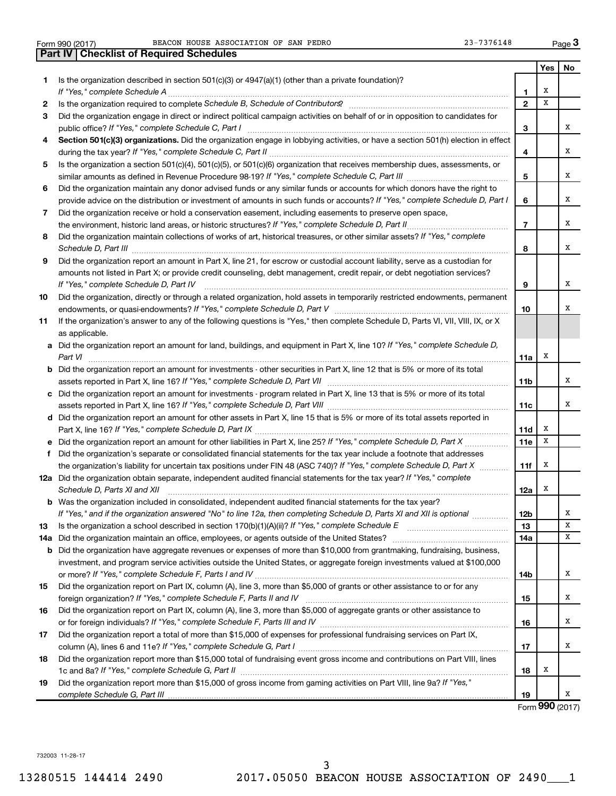|     | BEACON HOUSE ASSOCIATION OF SAN PEDRO<br>23-7376148<br>Form 990 (2017)                                                                                                                                                              |                 |     | Page 3 |
|-----|-------------------------------------------------------------------------------------------------------------------------------------------------------------------------------------------------------------------------------------|-----------------|-----|--------|
|     | <b>Part IV   Checklist of Required Schedules</b>                                                                                                                                                                                    |                 |     |        |
|     |                                                                                                                                                                                                                                     |                 | Yes | No     |
| 1   | Is the organization described in section $501(c)(3)$ or $4947(a)(1)$ (other than a private foundation)?                                                                                                                             |                 |     |        |
|     |                                                                                                                                                                                                                                     | 1               | х   |        |
| 2   |                                                                                                                                                                                                                                     | $\mathbf{2}$    | x   |        |
| 3   | Did the organization engage in direct or indirect political campaign activities on behalf of or in opposition to candidates for                                                                                                     |                 |     |        |
|     |                                                                                                                                                                                                                                     | 3               |     | х      |
| 4   | Section 501(c)(3) organizations. Did the organization engage in lobbying activities, or have a section 501(h) election in effect                                                                                                    |                 |     |        |
|     |                                                                                                                                                                                                                                     | 4               |     | х      |
| 5   | Is the organization a section 501(c)(4), 501(c)(5), or 501(c)(6) organization that receives membership dues, assessments, or                                                                                                        |                 |     |        |
|     |                                                                                                                                                                                                                                     | 5               |     | х      |
| 6   | Did the organization maintain any donor advised funds or any similar funds or accounts for which donors have the right to                                                                                                           |                 |     |        |
|     | provide advice on the distribution or investment of amounts in such funds or accounts? If "Yes," complete Schedule D, Part I                                                                                                        | 6               |     | х      |
| 7   | Did the organization receive or hold a conservation easement, including easements to preserve open space,                                                                                                                           |                 |     |        |
|     | the environment, historic land areas, or historic structures? If "Yes," complete Schedule D, Part II                                                                                                                                | $\overline{7}$  |     | x      |
| 8   | Did the organization maintain collections of works of art, historical treasures, or other similar assets? If "Yes," complete                                                                                                        |                 |     |        |
|     | Schedule D, Part III <b>Marting Community</b> Construction of the Construction of the Construction of the Construction of the Construction of the Construction of the Construction of the Construction of the Construction of the C | 8               |     | x      |
| 9   | Did the organization report an amount in Part X, line 21, for escrow or custodial account liability, serve as a custodian for                                                                                                       |                 |     |        |
|     | amounts not listed in Part X; or provide credit counseling, debt management, credit repair, or debt negotiation services?                                                                                                           |                 |     |        |
|     | If "Yes," complete Schedule D, Part IV                                                                                                                                                                                              | 9               |     | х      |
| 10  | Did the organization, directly or through a related organization, hold assets in temporarily restricted endowments, permanent                                                                                                       |                 |     |        |
|     |                                                                                                                                                                                                                                     | 10              |     | x      |
| 11  | If the organization's answer to any of the following questions is "Yes," then complete Schedule D, Parts VI, VII, VIII, IX, or X                                                                                                    |                 |     |        |
|     | as applicable.                                                                                                                                                                                                                      |                 |     |        |
|     | a Did the organization report an amount for land, buildings, and equipment in Part X, line 10? If "Yes," complete Schedule D,                                                                                                       |                 |     |        |
|     | Part VI                                                                                                                                                                                                                             | 11a             | х   |        |
| b   | Did the organization report an amount for investments - other securities in Part X, line 12 that is 5% or more of its total                                                                                                         |                 |     |        |
|     |                                                                                                                                                                                                                                     | 11b             |     | х      |
| c   | Did the organization report an amount for investments - program related in Part X, line 13 that is 5% or more of its total                                                                                                          |                 |     |        |
|     |                                                                                                                                                                                                                                     | 11c             |     | х      |
|     | d Did the organization report an amount for other assets in Part X, line 15 that is 5% or more of its total assets reported in                                                                                                      |                 |     |        |
|     |                                                                                                                                                                                                                                     | <b>11d</b>      | x   |        |
|     |                                                                                                                                                                                                                                     | 11 <sub>e</sub> | х   |        |
| f   | Did the organization's separate or consolidated financial statements for the tax year include a footnote that addresses                                                                                                             |                 |     |        |
|     | the organization's liability for uncertain tax positions under FIN 48 (ASC 740)? If "Yes," complete Schedule D, Part X                                                                                                              | 11f             | х   |        |
|     | 12a Did the organization obtain separate, independent audited financial statements for the tax year? If "Yes," complete                                                                                                             |                 |     |        |
|     | Schedule D, Parts XI and XII                                                                                                                                                                                                        | 12a             | Χ   |        |
| b   | Was the organization included in consolidated, independent audited financial statements for the tax year?                                                                                                                           |                 |     |        |
|     | If "Yes," and if the organization answered "No" to line 12a, then completing Schedule D, Parts XI and XII is optional <i></i>                                                                                                       | 12b             |     | х      |
| 13  |                                                                                                                                                                                                                                     | 13              |     | х      |
| 14a |                                                                                                                                                                                                                                     | 14a             |     | х      |
| b   | Did the organization have aggregate revenues or expenses of more than \$10,000 from grantmaking, fundraising, business,                                                                                                             |                 |     |        |
|     | investment, and program service activities outside the United States, or aggregate foreign investments valued at \$100,000                                                                                                          |                 |     |        |
|     |                                                                                                                                                                                                                                     | 14b             |     | х      |
| 15  | Did the organization report on Part IX, column (A), line 3, more than \$5,000 of grants or other assistance to or for any                                                                                                           |                 |     |        |
|     |                                                                                                                                                                                                                                     | 15              |     | х      |
| 16  | Did the organization report on Part IX, column (A), line 3, more than \$5,000 of aggregate grants or other assistance to                                                                                                            |                 |     |        |
|     |                                                                                                                                                                                                                                     | 16              |     | х      |
| 17  | Did the organization report a total of more than \$15,000 of expenses for professional fundraising services on Part IX,                                                                                                             |                 |     |        |
|     |                                                                                                                                                                                                                                     | 17              |     | х      |
| 18  | Did the organization report more than \$15,000 total of fundraising event gross income and contributions on Part VIII, lines                                                                                                        |                 |     |        |
|     |                                                                                                                                                                                                                                     | 18              | х   |        |
| 19  | Did the organization report more than \$15,000 of gross income from gaming activities on Part VIII, line 9a? If "Yes,"                                                                                                              |                 |     |        |
|     |                                                                                                                                                                                                                                     | 19              |     | x      |

Form (2017) **990**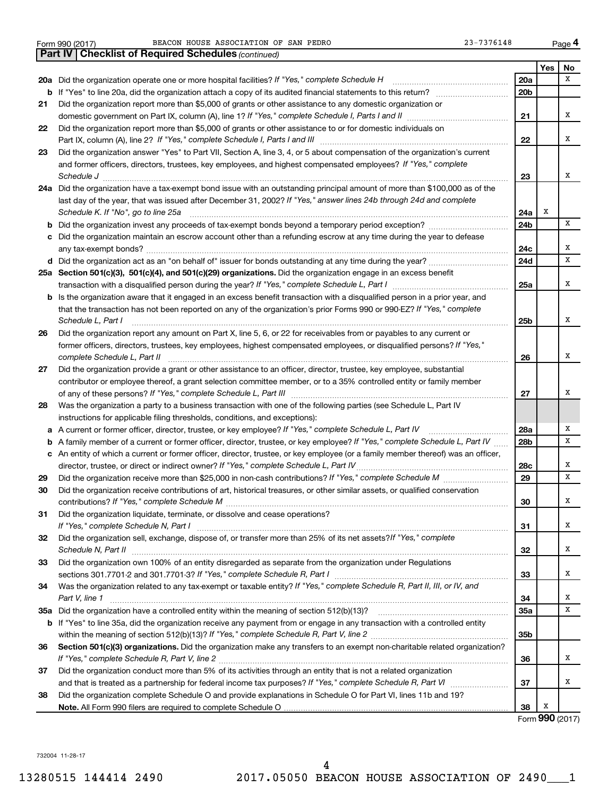|  | Form 990 (2017) |
|--|-----------------|
|  |                 |

|--|--|

|    | <b>Part IV   Checklist of Required Schedules (continued)</b>                                                                        |                 |     |                 |
|----|-------------------------------------------------------------------------------------------------------------------------------------|-----------------|-----|-----------------|
|    |                                                                                                                                     |                 | Yes | No              |
|    | 20a Did the organization operate one or more hospital facilities? If "Yes," complete Schedule H                                     | <b>20a</b>      |     | x               |
|    |                                                                                                                                     | 20 <sub>b</sub> |     |                 |
| 21 | Did the organization report more than \$5,000 of grants or other assistance to any domestic organization or                         |                 |     |                 |
|    |                                                                                                                                     | 21              |     | x               |
| 22 | Did the organization report more than \$5,000 of grants or other assistance to or for domestic individuals on                       |                 |     |                 |
|    |                                                                                                                                     | 22              |     | x               |
| 23 | Did the organization answer "Yes" to Part VII, Section A, line 3, 4, or 5 about compensation of the organization's current          |                 |     |                 |
|    | and former officers, directors, trustees, key employees, and highest compensated employees? If "Yes," complete                      |                 |     |                 |
|    |                                                                                                                                     | 23              |     | Χ               |
|    | 24a Did the organization have a tax-exempt bond issue with an outstanding principal amount of more than \$100,000 as of the         |                 |     |                 |
|    | last day of the year, that was issued after December 31, 2002? If "Yes," answer lines 24b through 24d and complete                  |                 |     |                 |
|    | Schedule K. If "No", go to line 25a                                                                                                 | 24a             | х   | x               |
|    |                                                                                                                                     | 24 <sub>b</sub> |     |                 |
|    | c Did the organization maintain an escrow account other than a refunding escrow at any time during the year to defease              | 24c             |     | Χ               |
|    |                                                                                                                                     | 24d             |     | x               |
|    | 25a Section 501(c)(3), 501(c)(4), and 501(c)(29) organizations. Did the organization engage in an excess benefit                    |                 |     |                 |
|    |                                                                                                                                     | 25a             |     | x               |
|    | <b>b</b> Is the organization aware that it engaged in an excess benefit transaction with a disqualified person in a prior year, and |                 |     |                 |
|    | that the transaction has not been reported on any of the organization's prior Forms 990 or 990-EZ? If "Yes," complete               |                 |     |                 |
|    | Schedule L, Part I                                                                                                                  | 25b             |     | х               |
| 26 | Did the organization report any amount on Part X, line 5, 6, or 22 for receivables from or payables to any current or               |                 |     |                 |
|    | former officers, directors, trustees, key employees, highest compensated employees, or disqualified persons? If "Yes,"              |                 |     |                 |
|    |                                                                                                                                     | 26              |     | х               |
| 27 | Did the organization provide a grant or other assistance to an officer, director, trustee, key employee, substantial                |                 |     |                 |
|    | contributor or employee thereof, a grant selection committee member, or to a 35% controlled entity or family member                 |                 |     |                 |
|    |                                                                                                                                     | 27              |     | Χ               |
| 28 | Was the organization a party to a business transaction with one of the following parties (see Schedule L, Part IV                   |                 |     |                 |
|    | instructions for applicable filing thresholds, conditions, and exceptions):                                                         |                 |     |                 |
| а  | A current or former officer, director, trustee, or key employee? If "Yes," complete Schedule L, Part IV                             | 28a             |     | Х               |
|    | b A family member of a current or former officer, director, trustee, or key employee? If "Yes," complete Schedule L, Part IV        | 28 <sub>b</sub> |     | X               |
|    | c An entity of which a current or former officer, director, trustee, or key employee (or a family member thereof) was an officer,   |                 |     |                 |
|    | director, trustee, or direct or indirect owner? If "Yes," complete Schedule L, Part IV                                              | 28c             |     | х               |
| 29 |                                                                                                                                     | 29              |     | x               |
| 30 | Did the organization receive contributions of art, historical treasures, or other similar assets, or qualified conservation         |                 |     |                 |
|    |                                                                                                                                     | 30              |     | х               |
| 31 | Did the organization liquidate, terminate, or dissolve and cease operations?                                                        | 31              |     | x               |
| 32 | Did the organization sell, exchange, dispose of, or transfer more than 25% of its net assets? If "Yes," complete                    |                 |     |                 |
|    |                                                                                                                                     | 32              |     | x               |
| 33 | Did the organization own 100% of an entity disregarded as separate from the organization under Regulations                          |                 |     |                 |
|    |                                                                                                                                     | 33              |     | x               |
| 34 | Was the organization related to any tax-exempt or taxable entity? If "Yes," complete Schedule R, Part II, III, or IV, and           |                 |     |                 |
|    | Part V, line 1                                                                                                                      | 34              |     | х               |
|    |                                                                                                                                     | 35a             |     | х               |
|    | b If "Yes" to line 35a, did the organization receive any payment from or engage in any transaction with a controlled entity         |                 |     |                 |
|    |                                                                                                                                     | 35 <sub>b</sub> |     |                 |
| 36 | Section 501(c)(3) organizations. Did the organization make any transfers to an exempt non-charitable related organization?          |                 |     |                 |
|    |                                                                                                                                     | 36              |     | х               |
| 37 | Did the organization conduct more than 5% of its activities through an entity that is not a related organization                    |                 |     |                 |
|    |                                                                                                                                     | 37              |     | х               |
| 38 | Did the organization complete Schedule O and provide explanations in Schedule O for Part VI, lines 11b and 19?                      |                 |     |                 |
|    |                                                                                                                                     | 38              | x   |                 |
|    |                                                                                                                                     |                 |     | Form 990 (2017) |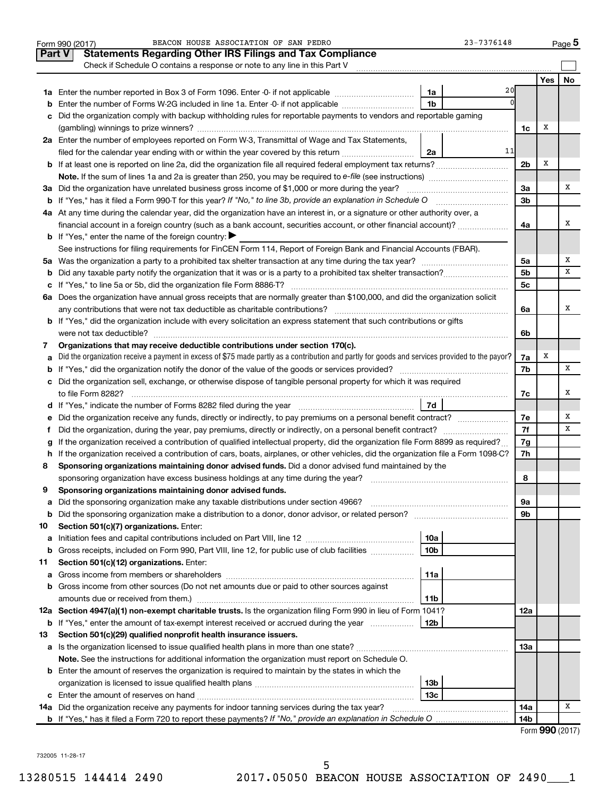|        | BEACON HOUSE ASSOCIATION OF SAN PEDRO<br>23-7376148<br>Form 990 (2017)                                                                                                                                                                                                 |                 |     | Page 5          |
|--------|------------------------------------------------------------------------------------------------------------------------------------------------------------------------------------------------------------------------------------------------------------------------|-----------------|-----|-----------------|
| Part V | <b>Statements Regarding Other IRS Filings and Tax Compliance</b>                                                                                                                                                                                                       |                 |     |                 |
|        | Check if Schedule O contains a response or note to any line in this Part V                                                                                                                                                                                             |                 |     |                 |
|        |                                                                                                                                                                                                                                                                        |                 | Yes | No              |
|        | 20<br>1a                                                                                                                                                                                                                                                               |                 |     |                 |
| b      | 1 <sub>b</sub><br>Enter the number of Forms W-2G included in line 1a. Enter -0- if not applicable                                                                                                                                                                      |                 |     |                 |
| с      | Did the organization comply with backup withholding rules for reportable payments to vendors and reportable gaming                                                                                                                                                     |                 |     |                 |
|        |                                                                                                                                                                                                                                                                        | 1c              | х   |                 |
|        | 2a Enter the number of employees reported on Form W-3, Transmittal of Wage and Tax Statements,                                                                                                                                                                         |                 |     |                 |
|        | 11<br>filed for the calendar year ending with or within the year covered by this return<br>2a                                                                                                                                                                          |                 |     |                 |
|        |                                                                                                                                                                                                                                                                        | 2b              | Х   |                 |
|        |                                                                                                                                                                                                                                                                        |                 |     |                 |
|        | 3a Did the organization have unrelated business gross income of \$1,000 or more during the year?                                                                                                                                                                       | За              |     | х               |
|        | <b>b</b> If "Yes," has it filed a Form 990-T for this year? If "No," to line 3b, provide an explanation in Schedule O manumum                                                                                                                                          | 3 <sub>b</sub>  |     |                 |
|        | 4a At any time during the calendar year, did the organization have an interest in, or a signature or other authority over, a                                                                                                                                           |                 |     |                 |
|        | financial account in a foreign country (such as a bank account, securities account, or other financial account)?                                                                                                                                                       | 4a              |     | х               |
|        | <b>b</b> If "Yes," enter the name of the foreign country: $\blacktriangleright$                                                                                                                                                                                        |                 |     |                 |
|        | See instructions for filing requirements for FinCEN Form 114, Report of Foreign Bank and Financial Accounts (FBAR).                                                                                                                                                    |                 |     |                 |
|        |                                                                                                                                                                                                                                                                        | 5a              |     | х               |
| b      |                                                                                                                                                                                                                                                                        | 5 <sub>b</sub>  |     | х               |
| с      |                                                                                                                                                                                                                                                                        | 5 <sub>c</sub>  |     |                 |
|        | 6a Does the organization have annual gross receipts that are normally greater than \$100,000, and did the organization solicit                                                                                                                                         |                 |     |                 |
|        |                                                                                                                                                                                                                                                                        | 6a              |     | х               |
|        | <b>b</b> If "Yes," did the organization include with every solicitation an express statement that such contributions or gifts                                                                                                                                          |                 |     |                 |
|        |                                                                                                                                                                                                                                                                        | 6b              |     |                 |
| 7      | Organizations that may receive deductible contributions under section 170(c).                                                                                                                                                                                          |                 |     |                 |
| а      | Did the organization receive a payment in excess of \$75 made partly as a contribution and partly for goods and services provided to the payor?                                                                                                                        | 7a              | х   |                 |
| b      |                                                                                                                                                                                                                                                                        | 7b              |     | х               |
|        | c Did the organization sell, exchange, or otherwise dispose of tangible personal property for which it was required                                                                                                                                                    |                 |     |                 |
|        |                                                                                                                                                                                                                                                                        | 7c              |     | х               |
|        |                                                                                                                                                                                                                                                                        |                 |     |                 |
| е      | Did the organization receive any funds, directly or indirectly, to pay premiums on a personal benefit contract?                                                                                                                                                        | 7e              |     | х<br>х          |
| f.     |                                                                                                                                                                                                                                                                        | 7f              |     |                 |
| g      | If the organization received a contribution of qualified intellectual property, did the organization file Form 8899 as required?<br>If the organization received a contribution of cars, boats, airplanes, or other vehicles, did the organization file a Form 1098-C? | 7g<br>7h        |     |                 |
| h<br>8 | Sponsoring organizations maintaining donor advised funds. Did a donor advised fund maintained by the                                                                                                                                                                   |                 |     |                 |
|        |                                                                                                                                                                                                                                                                        | 8               |     |                 |
|        | Sponsoring organizations maintaining donor advised funds.                                                                                                                                                                                                              |                 |     |                 |
| а      | Did the sponsoring organization make any taxable distributions under section 4966?                                                                                                                                                                                     | 9а              |     |                 |
| b      |                                                                                                                                                                                                                                                                        | 9b              |     |                 |
| 10     | Section 501(c)(7) organizations. Enter:                                                                                                                                                                                                                                |                 |     |                 |
| а      | 10a                                                                                                                                                                                                                                                                    |                 |     |                 |
| b      | 10 <sub>b</sub><br>Gross receipts, included on Form 990, Part VIII, line 12, for public use of club facilities                                                                                                                                                         |                 |     |                 |
| 11     | Section 501(c)(12) organizations. Enter:                                                                                                                                                                                                                               |                 |     |                 |
| а      | 11a                                                                                                                                                                                                                                                                    |                 |     |                 |
| b      | Gross income from other sources (Do not net amounts due or paid to other sources against                                                                                                                                                                               |                 |     |                 |
|        | 11b                                                                                                                                                                                                                                                                    |                 |     |                 |
|        | 12a Section 4947(a)(1) non-exempt charitable trusts. Is the organization filing Form 990 in lieu of Form 1041?                                                                                                                                                         | 12a             |     |                 |
|        | 12b<br><b>b</b> If "Yes," enter the amount of tax-exempt interest received or accrued during the year                                                                                                                                                                  |                 |     |                 |
| 13     | Section 501(c)(29) qualified nonprofit health insurance issuers.                                                                                                                                                                                                       |                 |     |                 |
|        | a Is the organization licensed to issue qualified health plans in more than one state?                                                                                                                                                                                 | 13a             |     |                 |
|        | Note. See the instructions for additional information the organization must report on Schedule O.                                                                                                                                                                      |                 |     |                 |
|        | <b>b</b> Enter the amount of reserves the organization is required to maintain by the states in which the                                                                                                                                                              |                 |     |                 |
|        | 13b                                                                                                                                                                                                                                                                    |                 |     |                 |
|        | 13 <sub>c</sub>                                                                                                                                                                                                                                                        |                 |     |                 |
|        | 14a Did the organization receive any payments for indoor tanning services during the tax year?                                                                                                                                                                         | 14a             |     | х               |
|        |                                                                                                                                                                                                                                                                        | 14 <sub>b</sub> |     |                 |
|        |                                                                                                                                                                                                                                                                        |                 |     | Form 990 (2017) |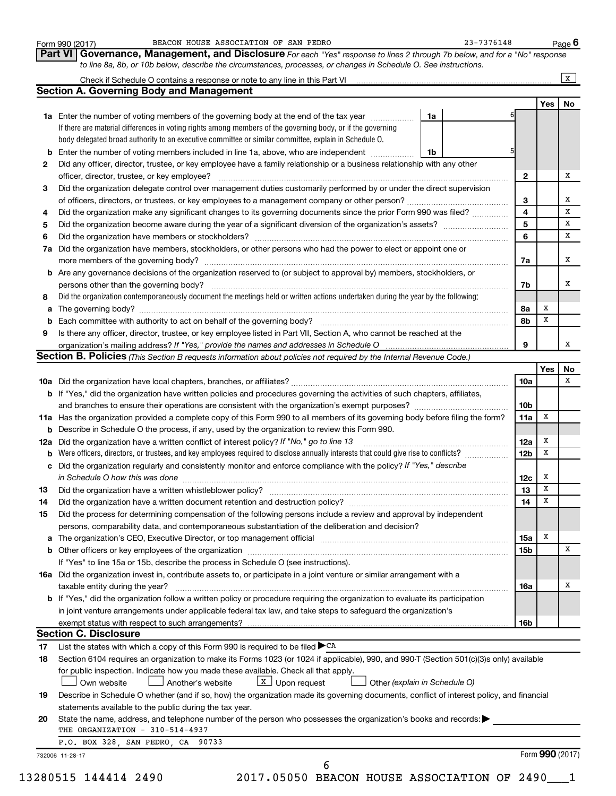|                | 23-7376148<br>BEACON HOUSE ASSOCIATION OF SAN PEDRO<br>Form 990 (2017)                                                                    |                 |     | Page $6$    |
|----------------|-------------------------------------------------------------------------------------------------------------------------------------------|-----------------|-----|-------------|
|                | Governance, Management, and Disclosure For each "Yes" response to lines 2 through 7b below, and for a "No" response<br>Part VI            |                 |     |             |
|                | to line 8a, 8b, or 10b below, describe the circumstances, processes, or changes in Schedule O. See instructions.                          |                 |     |             |
|                |                                                                                                                                           |                 |     | $\,$ X $\,$ |
|                | <b>Section A. Governing Body and Management</b>                                                                                           |                 |     |             |
|                |                                                                                                                                           |                 | Yes | No          |
|                | 1a<br><b>1a</b> Enter the number of voting members of the governing body at the end of the tax year <i>manumum</i>                        |                 |     |             |
|                | If there are material differences in voting rights among members of the governing body, or if the governing                               |                 |     |             |
|                | body delegated broad authority to an executive committee or similar committee, explain in Schedule O.                                     |                 |     |             |
| b              | Enter the number of voting members included in line 1a, above, who are independent<br>1b                                                  |                 |     |             |
| 2              | Did any officer, director, trustee, or key employee have a family relationship or a business relationship with any other                  |                 |     |             |
|                |                                                                                                                                           | 2               |     |             |
| 3              | Did the organization delegate control over management duties customarily performed by or under the direct supervision                     |                 |     |             |
|                |                                                                                                                                           | 3               |     |             |
| 4              | Did the organization make any significant changes to its governing documents since the prior Form 990 was filed?                          | 4               |     |             |
| 5              |                                                                                                                                           | 5               |     |             |
| 6              |                                                                                                                                           | 6               |     |             |
| 7a             | Did the organization have members, stockholders, or other persons who had the power to elect or appoint one or                            |                 |     |             |
|                |                                                                                                                                           | 7a              |     |             |
|                | <b>b</b> Are any governance decisions of the organization reserved to (or subject to approval by) members, stockholders, or               |                 |     |             |
|                | persons other than the governing body?                                                                                                    | 7b              |     |             |
| 8              | Did the organization contemporaneously document the meetings held or written actions undertaken during the year by the following:         |                 |     |             |
| а              |                                                                                                                                           | 8а              | X   |             |
|                |                                                                                                                                           | 8b              | X   |             |
| 9              | Is there any officer, director, trustee, or key employee listed in Part VII, Section A, who cannot be reached at the                      |                 |     |             |
|                | organization's mailing address? If "Yes," provide the names and addresses in Schedule O                                                   | 9               |     |             |
|                | Section B. Policies (This Section B requests information about policies not required by the Internal Revenue Code.)                       |                 |     |             |
|                |                                                                                                                                           |                 | Yes |             |
|                |                                                                                                                                           | 10a             |     |             |
|                | b If "Yes," did the organization have written policies and procedures governing the activities of such chapters, affiliates,              |                 |     |             |
|                | and branches to ensure their operations are consistent with the organization's exempt purposes? www.www.www.www.                          | 10 <sub>b</sub> |     |             |
|                | 11a Has the organization provided a complete copy of this Form 990 to all members of its governing body before filing the form?           | 11a             | х   |             |
|                | <b>b</b> Describe in Schedule O the process, if any, used by the organization to review this Form 990.                                    |                 |     |             |
|                | 12a Did the organization have a written conflict of interest policy? If "No," go to line 13                                               | 12a             | х   |             |
|                | Were officers, directors, or trustees, and key employees required to disclose annually interests that could give rise to conflicts?       | 12 <sub>b</sub> | х   |             |
|                | c Did the organization regularly and consistently monitor and enforce compliance with the policy? If "Yes," describe                      |                 |     |             |
|                |                                                                                                                                           | 12c             | Х   |             |
| 13             |                                                                                                                                           | 13              | X   |             |
| 14             |                                                                                                                                           | 14              | X   |             |
|                |                                                                                                                                           |                 |     |             |
| 15             | Did the process for determining compensation of the following persons include a review and approval by independent                        |                 |     |             |
|                | persons, comparability data, and contemporaneous substantiation of the deliberation and decision?                                         |                 | х   |             |
| а              |                                                                                                                                           | <b>15a</b>      |     |             |
|                |                                                                                                                                           | <b>15b</b>      |     |             |
|                | If "Yes" to line 15a or 15b, describe the process in Schedule O (see instructions).                                                       |                 |     |             |
|                | 16a Did the organization invest in, contribute assets to, or participate in a joint venture or similar arrangement with a                 |                 |     |             |
|                | taxable entity during the year?                                                                                                           | <b>16a</b>      |     |             |
|                | <b>b</b> If "Yes," did the organization follow a written policy or procedure requiring the organization to evaluate its participation     |                 |     |             |
|                | in joint venture arrangements under applicable federal tax law, and take steps to safeguard the organization's                            |                 |     |             |
|                |                                                                                                                                           | 16b             |     |             |
|                |                                                                                                                                           |                 |     |             |
|                | <b>Section C. Disclosure</b>                                                                                                              |                 |     |             |
|                | List the states with which a copy of this Form 990 is required to be filed CA                                                             |                 |     |             |
|                | Section 6104 requires an organization to make its Forms 1023 (or 1024 if applicable), 990, and 990-T (Section 501(c)(3)s only) available  |                 |     |             |
|                | for public inspection. Indicate how you made these available. Check all that apply.                                                       |                 |     |             |
|                | $\lfloor x \rfloor$ Upon request<br>Other (explain in Schedule O)<br>Own website<br>Another's website                                     |                 |     |             |
|                | Describe in Schedule O whether (and if so, how) the organization made its governing documents, conflict of interest policy, and financial |                 |     |             |
| 17<br>18<br>19 | statements available to the public during the tax year.                                                                                   |                 |     |             |
| 20             | State the name, address, and telephone number of the person who possesses the organization's books and records:                           |                 |     |             |
|                | THE ORGANIZATION - 310-514-4937                                                                                                           |                 |     |             |
|                | P.O. BOX 328, SAN PEDRO, CA 90733                                                                                                         |                 |     |             |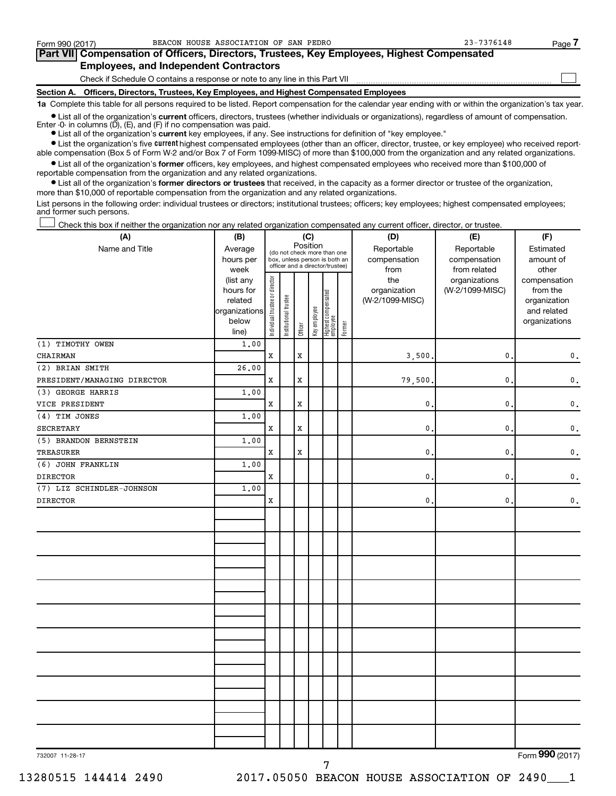$\Box$ 

| Part VII Compensation of Officers, Directors, Trustees, Key Employees, Highest Compensated |
|--------------------------------------------------------------------------------------------|
| <b>Employees, and Independent Contractors</b>                                              |

Check if Schedule O contains a response or note to any line in this Part VII

**Section A. Officers, Directors, Trustees, Key Employees, and Highest Compensated Employees**

**1a**  Complete this table for all persons required to be listed. Report compensation for the calendar year ending with or within the organization's tax year.

**•** List all of the organization's current officers, directors, trustees (whether individuals or organizations), regardless of amount of compensation. Enter -0- in columns  $(D)$ ,  $(E)$ , and  $(F)$  if no compensation was paid.

**•** List all of the organization's **current** key employees, if any. See instructions for definition of "key employee."

**•** List the organization's five current highest compensated employees (other than an officer, director, trustee, or key employee) who received reportable compensation (Box 5 of Form W-2 and/or Box 7 of Form 1099-MISC) of more than \$100,000 from the organization and any related organizations.

**•** List all of the organization's former officers, key employees, and highest compensated employees who received more than \$100,000 of reportable compensation from the organization and any related organizations.

**•** List all of the organization's former directors or trustees that received, in the capacity as a former director or trustee of the organization, more than \$10,000 of reportable compensation from the organization and any related organizations.

List persons in the following order: individual trustees or directors; institutional trustees; officers; key employees; highest compensated employees; and former such persons.

Check this box if neither the organization nor any related organization compensated any current officer, director, or trustee.  $\Box$ 

| (A)                         | (B)                    | (C)                                     |                       |                                                                  |              |                                 |        | (D)             | (E)                              | (F)                      |
|-----------------------------|------------------------|-----------------------------------------|-----------------------|------------------------------------------------------------------|--------------|---------------------------------|--------|-----------------|----------------------------------|--------------------------|
| Name and Title              | Average                | Position<br>(do not check more than one |                       |                                                                  |              |                                 |        | Reportable      | Reportable                       | Estimated                |
|                             | hours per              |                                         |                       | box, unless person is both an<br>officer and a director/trustee) |              |                                 |        | compensation    | compensation                     | amount of                |
|                             | week                   |                                         |                       |                                                                  |              |                                 |        | from<br>the     | from related                     | other                    |
|                             | (list any<br>hours for |                                         |                       |                                                                  |              |                                 |        | organization    | organizations<br>(W-2/1099-MISC) | compensation<br>from the |
|                             | related                |                                         |                       |                                                                  |              |                                 |        | (W-2/1099-MISC) |                                  | organization             |
|                             | organizations          |                                         |                       |                                                                  |              |                                 |        |                 |                                  | and related              |
|                             | below                  | Individual trustee or director          | Institutional trustee |                                                                  | Key employee | Highest compensated<br>employee |        |                 |                                  | organizations            |
|                             | line)                  |                                         |                       | Officer                                                          |              |                                 | Former |                 |                                  |                          |
| (1) TIMOTHY OWEN            | 1,00                   |                                         |                       |                                                                  |              |                                 |        |                 |                                  |                          |
| CHAIRMAN                    |                        | $\mathbf X$                             |                       | $\mathbf x$                                                      |              |                                 |        | 3,500           | $\mathbf 0$                      | $\mathsf{0}\,.$          |
| (2) BRIAN SMITH             | 26.00                  |                                         |                       |                                                                  |              |                                 |        |                 |                                  |                          |
| PRESIDENT/MANAGING DIRECTOR |                        | $\mathbf x$                             |                       | $\mathbf x$                                                      |              |                                 |        | 79,500          | $\pmb{0}$                        | $\mathbf 0$ .            |
| (3) GEORGE HARRIS           | 1.00                   |                                         |                       |                                                                  |              |                                 |        |                 |                                  |                          |
| VICE PRESIDENT              |                        | X                                       |                       | X                                                                |              |                                 |        | $\mathbf{0}$    | 0                                | $\mathbf 0$ .            |
| (4) TIM JONES               | 1.00                   |                                         |                       |                                                                  |              |                                 |        |                 |                                  |                          |
| <b>SECRETARY</b>            |                        | $\mathbf X$                             |                       | $\mathbf x$                                                      |              |                                 |        | 0.              | 0                                | $\mathbf 0$ .            |
| (5) BRANDON BERNSTEIN       | 1.00                   |                                         |                       |                                                                  |              |                                 |        |                 |                                  |                          |
| TREASURER                   |                        | X                                       |                       | X                                                                |              |                                 |        | 0.              | 0                                | 0.                       |
| (6) JOHN FRANKLIN           | 1.00                   |                                         |                       |                                                                  |              |                                 |        |                 |                                  |                          |
| <b>DIRECTOR</b>             |                        | X                                       |                       |                                                                  |              |                                 |        | 0.              | 0                                | 0.                       |
| (7) LIZ SCHINDLER-JOHNSON   | 1.00                   |                                         |                       |                                                                  |              |                                 |        |                 |                                  |                          |
| <b>DIRECTOR</b>             |                        | X                                       |                       |                                                                  |              |                                 |        | 0.              | 0                                | 0.                       |
|                             |                        |                                         |                       |                                                                  |              |                                 |        |                 |                                  |                          |
|                             |                        |                                         |                       |                                                                  |              |                                 |        |                 |                                  |                          |
|                             |                        |                                         |                       |                                                                  |              |                                 |        |                 |                                  |                          |
|                             |                        |                                         |                       |                                                                  |              |                                 |        |                 |                                  |                          |
|                             |                        |                                         |                       |                                                                  |              |                                 |        |                 |                                  |                          |
|                             |                        |                                         |                       |                                                                  |              |                                 |        |                 |                                  |                          |
|                             |                        |                                         |                       |                                                                  |              |                                 |        |                 |                                  |                          |
|                             |                        |                                         |                       |                                                                  |              |                                 |        |                 |                                  |                          |
|                             |                        |                                         |                       |                                                                  |              |                                 |        |                 |                                  |                          |
|                             |                        |                                         |                       |                                                                  |              |                                 |        |                 |                                  |                          |
|                             |                        |                                         |                       |                                                                  |              |                                 |        |                 |                                  |                          |
|                             |                        |                                         |                       |                                                                  |              |                                 |        |                 |                                  |                          |
|                             |                        |                                         |                       |                                                                  |              |                                 |        |                 |                                  |                          |
|                             |                        |                                         |                       |                                                                  |              |                                 |        |                 |                                  |                          |
|                             |                        |                                         |                       |                                                                  |              |                                 |        |                 |                                  |                          |
|                             |                        |                                         |                       |                                                                  |              |                                 |        |                 |                                  |                          |
|                             |                        |                                         |                       |                                                                  |              |                                 |        |                 |                                  |                          |
|                             |                        |                                         |                       |                                                                  |              |                                 |        |                 |                                  |                          |
|                             |                        |                                         |                       |                                                                  |              |                                 |        |                 |                                  |                          |
|                             |                        |                                         |                       |                                                                  |              |                                 |        |                 |                                  |                          |
|                             |                        |                                         |                       |                                                                  |              |                                 |        |                 |                                  | $\overline{22}$          |

7

732007 11-28-17

Form (2017) **990**

13280515 144414 2490 2017.05050 BEACON HOUSE ASSOCIATION OF 2490\_\_\_1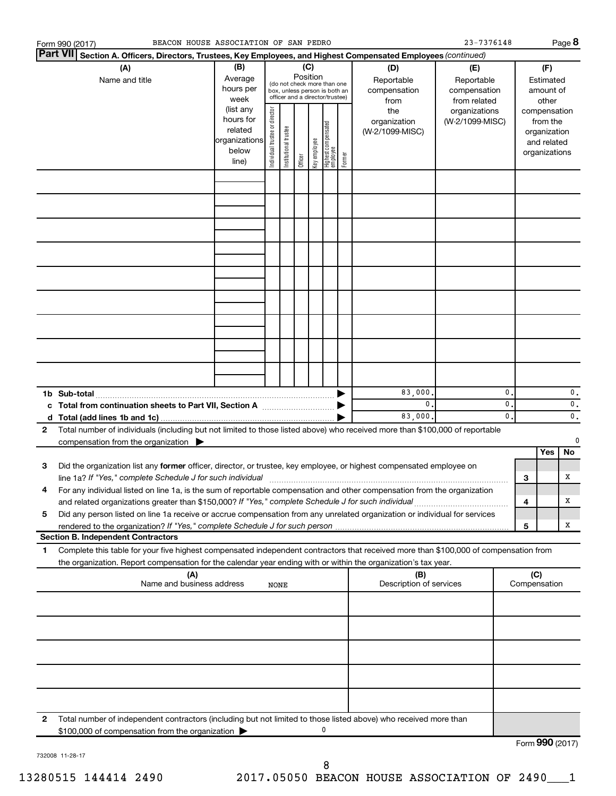|              | BEACON HOUSE ASSOCIATION OF SAN PEDRO<br>Form 990 (2017)                                                                                                                                                                                                              |                                                         |                                |                                                                                                 |         |              |                                 |        |                                                  | 23-7376148                                                         |   |                                                          | Page 8                 |
|--------------|-----------------------------------------------------------------------------------------------------------------------------------------------------------------------------------------------------------------------------------------------------------------------|---------------------------------------------------------|--------------------------------|-------------------------------------------------------------------------------------------------|---------|--------------|---------------------------------|--------|--------------------------------------------------|--------------------------------------------------------------------|---|----------------------------------------------------------|------------------------|
|              | Part VII Section A. Officers, Directors, Trustees, Key Employees, and Highest Compensated Employees (continued)                                                                                                                                                       |                                                         |                                |                                                                                                 |         |              |                                 |        |                                                  |                                                                    |   |                                                          |                        |
|              | (A)<br>Name and title                                                                                                                                                                                                                                                 | (B)<br>Average<br>hours per<br>week<br>(list any        |                                | (do not check more than one<br>box, unless person is both an<br>officer and a director/trustee) | (C)     | Position     |                                 |        | (D)<br>Reportable<br>compensation<br>from<br>the | (E)<br>Reportable<br>compensation<br>from related<br>organizations |   | (F)<br>Estimated<br>amount of<br>other<br>compensation   |                        |
|              |                                                                                                                                                                                                                                                                       | hours for<br>related<br>organizations<br>below<br>line) | Individual trustee or director | Institutional trustee                                                                           | Officer | Key employee | Highest compensated<br>employee | Former | organization<br>(W-2/1099-MISC)                  | (W-2/1099-MISC)                                                    |   | from the<br>organization<br>and related<br>organizations |                        |
|              |                                                                                                                                                                                                                                                                       |                                                         |                                |                                                                                                 |         |              |                                 |        |                                                  |                                                                    |   |                                                          |                        |
|              |                                                                                                                                                                                                                                                                       |                                                         |                                |                                                                                                 |         |              |                                 |        |                                                  |                                                                    |   |                                                          |                        |
|              |                                                                                                                                                                                                                                                                       |                                                         |                                |                                                                                                 |         |              |                                 |        |                                                  |                                                                    |   |                                                          |                        |
|              |                                                                                                                                                                                                                                                                       |                                                         |                                |                                                                                                 |         |              |                                 |        |                                                  |                                                                    |   |                                                          |                        |
|              |                                                                                                                                                                                                                                                                       |                                                         |                                |                                                                                                 |         |              |                                 |        |                                                  |                                                                    |   |                                                          |                        |
|              |                                                                                                                                                                                                                                                                       |                                                         |                                |                                                                                                 |         |              |                                 |        |                                                  |                                                                    |   |                                                          |                        |
|              |                                                                                                                                                                                                                                                                       |                                                         |                                |                                                                                                 |         |              |                                 |        |                                                  |                                                                    |   |                                                          |                        |
|              |                                                                                                                                                                                                                                                                       |                                                         |                                |                                                                                                 |         |              |                                 |        |                                                  |                                                                    |   |                                                          |                        |
|              |                                                                                                                                                                                                                                                                       |                                                         |                                |                                                                                                 |         |              |                                 |        |                                                  | 0.                                                                 |   |                                                          | 0.                     |
|              |                                                                                                                                                                                                                                                                       |                                                         |                                |                                                                                                 |         |              |                                 |        | 83,000.<br>0.                                    | 0.<br>$\mathbf{0}$ .                                               |   |                                                          | 0.<br>$\overline{0}$ . |
| $\mathbf{2}$ | Total number of individuals (including but not limited to those listed above) who received more than \$100,000 of reportable                                                                                                                                          |                                                         |                                |                                                                                                 |         |              |                                 |        | 83,000.                                          |                                                                    |   |                                                          |                        |
|              | compensation from the organization $\blacktriangleright$                                                                                                                                                                                                              |                                                         |                                |                                                                                                 |         |              |                                 |        |                                                  |                                                                    |   | Yes                                                      | 0<br>No                |
| 3            | Did the organization list any former officer, director, or trustee, key employee, or highest compensated employee on<br>line 1a? If "Yes," complete Schedule J for such individual [11] manufacture manufacture 1a? If "Yes," complete Schedule J for such individual |                                                         |                                |                                                                                                 |         |              |                                 |        |                                                  |                                                                    | З |                                                          | х                      |
| 4            | For any individual listed on line 1a, is the sum of reportable compensation and other compensation from the organization                                                                                                                                              |                                                         |                                |                                                                                                 |         |              |                                 |        |                                                  |                                                                    |   | 4                                                        | Х                      |
| 5            | Did any person listed on line 1a receive or accrue compensation from any unrelated organization or individual for services                                                                                                                                            |                                                         |                                |                                                                                                 |         |              |                                 |        |                                                  |                                                                    | 5 |                                                          | х                      |
|              | <b>Section B. Independent Contractors</b>                                                                                                                                                                                                                             |                                                         |                                |                                                                                                 |         |              |                                 |        |                                                  |                                                                    |   |                                                          |                        |
| 1            | Complete this table for your five highest compensated independent contractors that received more than \$100,000 of compensation from<br>the organization. Report compensation for the calendar year ending with or within the organization's tax year.                |                                                         |                                |                                                                                                 |         |              |                                 |        |                                                  |                                                                    |   |                                                          |                        |
|              | (A)<br>Name and business address                                                                                                                                                                                                                                      |                                                         | NONE                           |                                                                                                 |         |              |                                 |        | (B)<br>Description of services                   |                                                                    |   | (C)<br>Compensation                                      |                        |
|              |                                                                                                                                                                                                                                                                       |                                                         |                                |                                                                                                 |         |              |                                 |        |                                                  |                                                                    |   |                                                          |                        |
|              |                                                                                                                                                                                                                                                                       |                                                         |                                |                                                                                                 |         |              |                                 |        |                                                  |                                                                    |   |                                                          |                        |
|              |                                                                                                                                                                                                                                                                       |                                                         |                                |                                                                                                 |         |              |                                 |        |                                                  |                                                                    |   |                                                          |                        |
|              |                                                                                                                                                                                                                                                                       |                                                         |                                |                                                                                                 |         |              |                                 |        |                                                  |                                                                    |   |                                                          |                        |
|              |                                                                                                                                                                                                                                                                       |                                                         |                                |                                                                                                 |         |              |                                 |        |                                                  |                                                                    |   |                                                          |                        |
| $\mathbf{2}$ | Total number of independent contractors (including but not limited to those listed above) who received more than<br>\$100,000 of compensation from the organization                                                                                                   |                                                         |                                |                                                                                                 |         |              | 0                               |        |                                                  |                                                                    |   | $000 \, \text{m}$                                        |                        |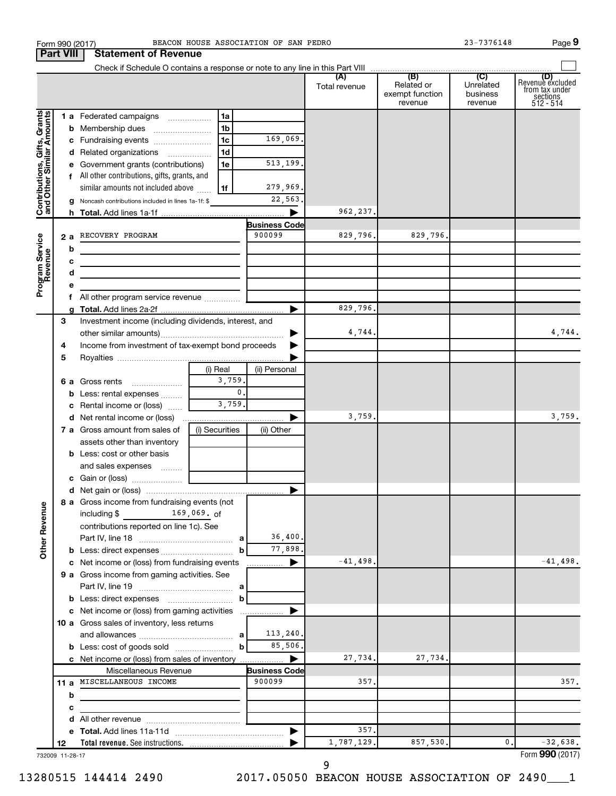|                                                           |                  | Form 990 (2017)                                                                     |                | BEACON HOUSE ASSOCIATION OF SAN PEDRO |                      |                                                 | 23-7376148                                         | Page 9                                                      |
|-----------------------------------------------------------|------------------|-------------------------------------------------------------------------------------|----------------|---------------------------------------|----------------------|-------------------------------------------------|----------------------------------------------------|-------------------------------------------------------------|
|                                                           | <b>Part VIII</b> | <b>Statement of Revenue</b>                                                         |                |                                       |                      |                                                 |                                                    |                                                             |
|                                                           |                  |                                                                                     |                |                                       | (A)<br>Total revenue | (B)<br>Related or<br>exempt function<br>revenue | $\overline{C}$<br>Unrelated<br>business<br>revenue | Revenue excluded<br>from tax under<br>sections<br>512 - 514 |
|                                                           |                  | 1 a Federated campaigns                                                             | 1a             |                                       |                      |                                                 |                                                    |                                                             |
|                                                           |                  | <b>b</b> Membership dues                                                            | 1b             |                                       |                      |                                                 |                                                    |                                                             |
|                                                           |                  | c Fundraising events                                                                | 1 <sub>c</sub> | 169,069.                              |                      |                                                 |                                                    |                                                             |
|                                                           |                  | d Related organizations                                                             | 1 <sub>d</sub> |                                       |                      |                                                 |                                                    |                                                             |
|                                                           | е                | Government grants (contributions)                                                   | 1e             | 513,199.                              |                      |                                                 |                                                    |                                                             |
| Contributions, Gifts, Grants<br>and Other Similar Amounts |                  | f All other contributions, gifts, grants, and<br>similar amounts not included above | 1f             | 279,969.                              |                      |                                                 |                                                    |                                                             |
|                                                           |                  | <b>g</b> Noncash contributions included in lines 1a-1f: \$                          |                | 22,563.                               |                      |                                                 |                                                    |                                                             |
|                                                           |                  |                                                                                     |                |                                       | 962,237.             |                                                 |                                                    |                                                             |
|                                                           |                  | RECOVERY PROGRAM                                                                    |                | <b>Business Code</b><br>900099        | 829,796.             | 829,796.                                        |                                                    |                                                             |
|                                                           | 2a<br>b          |                                                                                     |                |                                       |                      |                                                 |                                                    |                                                             |
|                                                           | с                |                                                                                     |                |                                       |                      |                                                 |                                                    |                                                             |
|                                                           | d                | the control of the control of the control of the control of the control of          |                |                                       |                      |                                                 |                                                    |                                                             |
| Program Service<br>Revenue                                | е                |                                                                                     |                |                                       |                      |                                                 |                                                    |                                                             |
|                                                           |                  |                                                                                     |                |                                       |                      |                                                 |                                                    |                                                             |
|                                                           | g                |                                                                                     |                |                                       | 829,796.             |                                                 |                                                    |                                                             |
|                                                           | 3                | Investment income (including dividends, interest, and                               |                |                                       |                      |                                                 |                                                    |                                                             |
|                                                           |                  |                                                                                     |                |                                       | 4,744.               |                                                 |                                                    | 4,744.                                                      |
|                                                           | 4                | Income from investment of tax-exempt bond proceeds                                  |                |                                       |                      |                                                 |                                                    |                                                             |
|                                                           | 5                |                                                                                     |                |                                       |                      |                                                 |                                                    |                                                             |
|                                                           |                  |                                                                                     | (i) Real       | (ii) Personal                         |                      |                                                 |                                                    |                                                             |
|                                                           | 6а               | Gross rents<br>$\ldots \ldots \ldots \ldots \ldots$                                 | 3,759.         |                                       |                      |                                                 |                                                    |                                                             |
|                                                           | b                | Less: rental expenses                                                               | 0.             |                                       |                      |                                                 |                                                    |                                                             |
|                                                           | с                | Rental income or (loss)                                                             | 3,759.         |                                       |                      |                                                 |                                                    |                                                             |
|                                                           |                  | d Net rental income or (loss)                                                       |                | (ii) Other                            | 3,759.               |                                                 |                                                    | 3,759.                                                      |
|                                                           |                  | 7 a Gross amount from sales of<br>assets other than inventory                       | (i) Securities |                                       |                      |                                                 |                                                    |                                                             |
|                                                           |                  | <b>b</b> Less: cost or other basis                                                  |                |                                       |                      |                                                 |                                                    |                                                             |
|                                                           |                  | and sales expenses                                                                  |                |                                       |                      |                                                 |                                                    |                                                             |
|                                                           |                  |                                                                                     |                |                                       |                      |                                                 |                                                    |                                                             |
|                                                           |                  |                                                                                     |                |                                       |                      |                                                 |                                                    |                                                             |
|                                                           |                  | 8 a Gross income from fundraising events (not                                       |                |                                       |                      |                                                 |                                                    |                                                             |
| <b>Other Revenue</b>                                      |                  | including \$<br>$169,069.$ of                                                       |                |                                       |                      |                                                 |                                                    |                                                             |
|                                                           |                  | contributions reported on line 1c). See                                             |                |                                       |                      |                                                 |                                                    |                                                             |
|                                                           |                  |                                                                                     |                | 36,400.                               |                      |                                                 |                                                    |                                                             |
|                                                           |                  |                                                                                     | $\mathbf b$    | 77,898.                               |                      |                                                 |                                                    |                                                             |
|                                                           |                  | c Net income or (loss) from fundraising events                                      |                |                                       | $-41,498.$           |                                                 |                                                    | $-41,498.$                                                  |
|                                                           |                  | 9 a Gross income from gaming activities. See                                        |                |                                       |                      |                                                 |                                                    |                                                             |
|                                                           |                  |                                                                                     |                |                                       |                      |                                                 |                                                    |                                                             |
|                                                           |                  |                                                                                     | $\mathbf b$    |                                       |                      |                                                 |                                                    |                                                             |
|                                                           |                  | c Net income or (loss) from gaming activities                                       |                |                                       |                      |                                                 |                                                    |                                                             |
|                                                           |                  | 10 a Gross sales of inventory, less returns                                         |                | 113,240.                              |                      |                                                 |                                                    |                                                             |
|                                                           |                  |                                                                                     | $\mathbf b$    | 85,506.                               |                      |                                                 |                                                    |                                                             |
|                                                           |                  | c Net income or (loss) from sales of inventory                                      |                |                                       | 27,734.              | 27,734.                                         |                                                    |                                                             |
|                                                           |                  | Miscellaneous Revenue                                                               |                | <b>Business Code</b>                  |                      |                                                 |                                                    |                                                             |
|                                                           |                  | 11 a MISCELLANEOUS INCOME                                                           |                | 900099                                | 357.                 |                                                 |                                                    | 357.                                                        |
|                                                           | b                |                                                                                     |                |                                       |                      |                                                 |                                                    |                                                             |
|                                                           | с                |                                                                                     |                |                                       |                      |                                                 |                                                    |                                                             |
|                                                           | d                |                                                                                     |                |                                       |                      |                                                 |                                                    |                                                             |
|                                                           | е                |                                                                                     |                |                                       | 357.                 |                                                 |                                                    |                                                             |
|                                                           | 12               |                                                                                     |                |                                       | 1,787,129.           | 857,530.                                        | 0.                                                 | $-32,638.$                                                  |
| 732009 11-28-17                                           |                  |                                                                                     |                |                                       |                      |                                                 |                                                    | Form 990 (2017)                                             |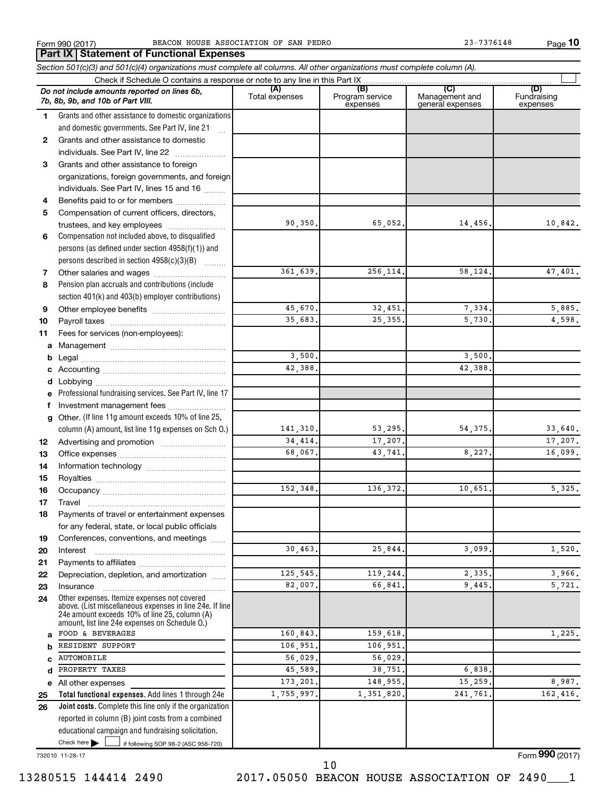**Part IX Statement of Functional Expenses**

**10**

|    | Section 501(c)(3) and 501(c)(4) organizations must complete all columns. All other organizations must complete column (A).                                                                                  |                |                             |                                    |                         |
|----|-------------------------------------------------------------------------------------------------------------------------------------------------------------------------------------------------------------|----------------|-----------------------------|------------------------------------|-------------------------|
|    |                                                                                                                                                                                                             |                |                             |                                    | (D)                     |
|    | Do not include amounts reported on lines 6b,<br>7b, 8b, 9b, and 10b of Part VIII.                                                                                                                           | Total expenses | Program service<br>expenses | Management and<br>general expenses | Fundraising<br>expenses |
| 1  | Grants and other assistance to domestic organizations                                                                                                                                                       |                |                             |                                    |                         |
|    | and domestic governments. See Part IV, line 21                                                                                                                                                              |                |                             |                                    |                         |
| 2  | Grants and other assistance to domestic                                                                                                                                                                     |                |                             |                                    |                         |
|    | individuals. See Part IV, line 22                                                                                                                                                                           |                |                             |                                    |                         |
| 3  | Grants and other assistance to foreign                                                                                                                                                                      |                |                             |                                    |                         |
|    | organizations, foreign governments, and foreign                                                                                                                                                             |                |                             |                                    |                         |
|    | individuals. See Part IV, lines 15 and 16                                                                                                                                                                   |                |                             |                                    |                         |
| 4  | Benefits paid to or for members                                                                                                                                                                             |                |                             |                                    |                         |
| 5  | Compensation of current officers, directors,                                                                                                                                                                |                |                             |                                    |                         |
|    | trustees, and key employees                                                                                                                                                                                 | 90,350.        | 65,052.                     | 14,456.                            | 10,842.                 |
| 6  | Compensation not included above, to disqualified                                                                                                                                                            |                |                             |                                    |                         |
|    | persons (as defined under section 4958(f)(1)) and                                                                                                                                                           |                |                             |                                    |                         |
|    | persons described in section 4958(c)(3)(B)                                                                                                                                                                  |                |                             |                                    |                         |
| 7  |                                                                                                                                                                                                             | 361,639.       | 256,114.                    | 58,124.                            | 47,401.                 |
| 8  | Pension plan accruals and contributions (include                                                                                                                                                            |                |                             |                                    |                         |
|    | section 401(k) and 403(b) employer contributions)                                                                                                                                                           |                |                             |                                    |                         |
| 9  |                                                                                                                                                                                                             | 45,670.        | 32,451.                     | 7,334.                             | 5,885.                  |
| 10 |                                                                                                                                                                                                             | 35,683.        | 25, 355.                    | 5,730,                             | 4,598.                  |
| 11 | Fees for services (non-employees):                                                                                                                                                                          |                |                             |                                    |                         |
| a  |                                                                                                                                                                                                             |                |                             |                                    |                         |
| b  |                                                                                                                                                                                                             | 3,500.         |                             | 3,500.                             |                         |
|    |                                                                                                                                                                                                             | 42,388.        |                             | 42,388.                            |                         |
| d  |                                                                                                                                                                                                             |                |                             |                                    |                         |
| е  | Professional fundraising services. See Part IV, line 17                                                                                                                                                     |                |                             |                                    |                         |
| f  | Investment management fees                                                                                                                                                                                  |                |                             |                                    |                         |
| g  | Other. (If line 11g amount exceeds 10% of line 25,                                                                                                                                                          |                |                             |                                    |                         |
|    | column (A) amount, list line 11g expenses on Sch O.)                                                                                                                                                        | 141,310.       | 53,295.                     | 54,375.                            | 33,640.                 |
| 12 |                                                                                                                                                                                                             | 34,414.        | 17,207.                     |                                    | 17,207.                 |
| 13 |                                                                                                                                                                                                             | 68,067.        | 43,741.                     | 8,227.                             | 16,099.                 |
| 14 |                                                                                                                                                                                                             |                |                             |                                    |                         |
| 15 |                                                                                                                                                                                                             |                |                             |                                    |                         |
| 16 |                                                                                                                                                                                                             | 152,348.       | 136, 372.                   | 10,651                             | 5,325.                  |
| 17 |                                                                                                                                                                                                             |                |                             |                                    |                         |
| 18 | Payments of travel or entertainment expenses                                                                                                                                                                |                |                             |                                    |                         |
|    | for any federal, state, or local public officials                                                                                                                                                           |                |                             |                                    |                         |
| 19 | Conferences, conventions, and meetings                                                                                                                                                                      |                |                             |                                    |                         |
| 20 | Interest                                                                                                                                                                                                    | 30,463.        | 25,844.                     | 3,099                              | 1,520.                  |
| 21 |                                                                                                                                                                                                             |                |                             |                                    |                         |
| 22 | Depreciation, depletion, and amortization                                                                                                                                                                   | 125,545.       | 119,244.                    | 2,335.                             | 3,966.                  |
| 23 | Insurance                                                                                                                                                                                                   | 82,007.        | 66,841.                     | 9,445.                             | 5,721.                  |
| 24 | Other expenses. Itemize expenses not covered<br>above. (List miscellaneous expenses in line 24e. If line<br>24e amount exceeds 10% of line 25, column (A)<br>amount, list line 24e expenses on Schedule O.) |                |                             |                                    |                         |
| a  | FOOD & BEVERAGES                                                                                                                                                                                            | 160,843.       | 159,618.                    |                                    | 1,225.                  |
| b  | RESIDENT SUPPORT                                                                                                                                                                                            | 106,951.       | 106,951.                    |                                    |                         |
| C  | <b>AUTOMOBILE</b>                                                                                                                                                                                           | 56,029.        | 56,029.                     |                                    |                         |
| d  | PROPERTY TAXES                                                                                                                                                                                              | 45,589.        | 38,751.                     | 6,838                              |                         |
|    | e All other expenses                                                                                                                                                                                        | 173,201.       | 148,955.                    | 15, 259.                           | 8,987.                  |
| 25 | Total functional expenses. Add lines 1 through 24e                                                                                                                                                          | 1,755,997.     | 1,351,820.                  | 241,761                            | 162,416.                |
| 26 | Joint costs. Complete this line only if the organization                                                                                                                                                    |                |                             |                                    |                         |
|    | reported in column (B) joint costs from a combined                                                                                                                                                          |                |                             |                                    |                         |
|    | educational campaign and fundraising solicitation.                                                                                                                                                          |                |                             |                                    |                         |
|    | Check here $\blacktriangleright$<br>if following SOP 98-2 (ASC 958-720)                                                                                                                                     |                |                             |                                    |                         |

732010 11-28-17

Form (2017) **990**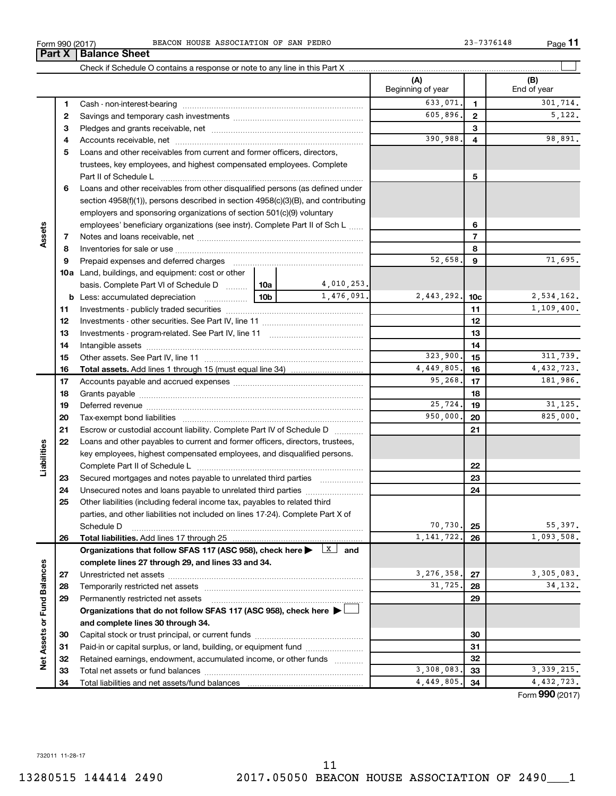**Net Assets or Fund Balances**

Net Assets or Fund Balances

|    | section $4958(f)(1)$ , persons described in section $4958(c)(3)(B)$ , and contributing                                                                                                                                        |  |            |              |                 |                          |  |
|----|-------------------------------------------------------------------------------------------------------------------------------------------------------------------------------------------------------------------------------|--|------------|--------------|-----------------|--------------------------|--|
|    | employers and sponsoring organizations of section 501(c)(9) voluntary                                                                                                                                                         |  |            |              |                 |                          |  |
|    | employees' beneficiary organizations (see instr). Complete Part II of Sch L                                                                                                                                                   |  |            |              | 6               |                          |  |
| 7  |                                                                                                                                                                                                                               |  |            |              | $\overline{7}$  |                          |  |
| 8  |                                                                                                                                                                                                                               |  |            |              | 8               |                          |  |
| 9  | Prepaid expenses and deferred charges [11] [11] Prepaid expenses and deferred charges [11] [11] Martin Marian Marian Marian Marian Marian Marian Marian Marian Marian Marian Marian Marian Marian Marian Marian Marian Marian |  |            | 52,658       | 9               | 71,695.                  |  |
|    | 10a Land, buildings, and equipment: cost or other                                                                                                                                                                             |  |            |              |                 |                          |  |
|    | basis. Complete Part VI of Schedule D  10a                                                                                                                                                                                    |  | 4,010,253. |              |                 |                          |  |
|    |                                                                                                                                                                                                                               |  | 1,476,091. | 2,443,292.   | 10 <sub>c</sub> | 2,534,162.<br>1,109,400. |  |
| 11 |                                                                                                                                                                                                                               |  |            |              |                 |                          |  |
| 12 |                                                                                                                                                                                                                               |  |            |              | 12              |                          |  |
| 13 |                                                                                                                                                                                                                               |  |            |              | 13              |                          |  |
| 14 |                                                                                                                                                                                                                               |  |            |              | 14              |                          |  |
| 15 |                                                                                                                                                                                                                               |  | 323,900.   | 15           | 311,739.        |                          |  |
| 16 |                                                                                                                                                                                                                               |  |            | 4,449,805.   | 16              | 4,432,723.               |  |
| 17 |                                                                                                                                                                                                                               |  |            | 95,268.      | 17              | 181,986.                 |  |
| 18 |                                                                                                                                                                                                                               |  |            |              | 18              |                          |  |
| 19 |                                                                                                                                                                                                                               |  |            | 25,724.      | 19              | 31, 125.                 |  |
| 20 |                                                                                                                                                                                                                               |  | 950,000    | 20           | 825,000.        |                          |  |
| 21 | Escrow or custodial account liability. Complete Part IV of Schedule D                                                                                                                                                         |  |            |              | 21              |                          |  |
| 22 | Loans and other payables to current and former officers, directors, trustees,                                                                                                                                                 |  |            |              |                 |                          |  |
|    | key employees, highest compensated employees, and disqualified persons.                                                                                                                                                       |  |            |              |                 |                          |  |
|    |                                                                                                                                                                                                                               |  |            |              | 22              |                          |  |
| 23 | Secured mortgages and notes payable to unrelated third parties                                                                                                                                                                |  |            |              | 23              |                          |  |
| 24 | Unsecured notes and loans payable to unrelated third parties                                                                                                                                                                  |  |            |              | 24              |                          |  |
| 25 | Other liabilities (including federal income tax, payables to related third                                                                                                                                                    |  |            |              |                 |                          |  |
|    | parties, and other liabilities not included on lines 17-24). Complete Part X of                                                                                                                                               |  |            |              |                 |                          |  |
|    | Schedule D                                                                                                                                                                                                                    |  |            | 70,730.      | 25              | 55,397.                  |  |
| 26 | Total liabilities. Add lines 17 through 25                                                                                                                                                                                    |  |            | 1, 141, 722. | 26              | 1,093,508.               |  |
|    | Organizations that follow SFAS 117 (ASC 958), check here $\blacktriangleright \begin{array}{c} \boxed{X} \\ \end{array}$ and                                                                                                  |  |            |              |                 |                          |  |
|    | complete lines 27 through 29, and lines 33 and 34.                                                                                                                                                                            |  |            |              |                 |                          |  |
| 27 |                                                                                                                                                                                                                               |  |            | 3, 276, 358. | 27              | 3,305,083.               |  |
| 28 |                                                                                                                                                                                                                               |  |            | 31,725.      | 28              | 34, 132.                 |  |
| 29 | Permanently restricted net assets                                                                                                                                                                                             |  |            |              | 29              |                          |  |
|    | Organizations that do not follow SFAS 117 (ASC 958), check here $\blacktriangleright$                                                                                                                                         |  |            |              |                 |                          |  |
|    | and complete lines 30 through 34.                                                                                                                                                                                             |  |            |              |                 |                          |  |
| 30 |                                                                                                                                                                                                                               |  |            | 30           |                 |                          |  |
| 31 | Paid-in or capital surplus, or land, building, or equipment fund                                                                                                                                                              |  |            |              | 31              |                          |  |
| 32 | Retained earnings, endowment, accumulated income, or other funds                                                                                                                                                              |  |            |              | 32              |                          |  |
| 33 |                                                                                                                                                                                                                               |  |            | 3,308,083.   | 33              | 3.339.215.               |  |
| 34 | Total liabilities and net assets/fund balances                                                                                                                                                                                |  | 4,449,805. | 34           | 4.432.723.      |                          |  |

Form 990 (2017) BEACON HOUSE ASSOCIATION OF SAN PEDRO 23-7376148 Page

**3** Pledges and grants receivable, net ~~~~~~~~~~~~~~~~~~~~~ **4** Accounts receivable, net ~~~~~~~~~~~~~~~~~~~~~~~~~~ **5** Loans and other receivables from current and former officers, directors,

Cash - non-interest-bearing ~~~~~~~~~~~~~~~~~~~~~~~~~ Savings and temporary cash investments ~~~~~~~~~~~~~~~~~~

Check if Schedule O contains a response or note to any line in this Part X

**6** Loans and other receivables from other disqualified persons (as defined under

trustees, key employees, and highest compensated employees. Complete Part II of Schedule L ~~~~~~~~~~~~~~~~~~~~~~~~~~~~  $633,071.$  1 301,714. 605,896. 5,122.

390,988. 98,891.

**(A) (B)**

Beginning of year  $\vert$  | End of year

**5**

**11**

 $\perp$ 

Form (2017) **990**

**Part X** | **Balance Sheet** 

**1 2**

**Liabilities**

**Assets**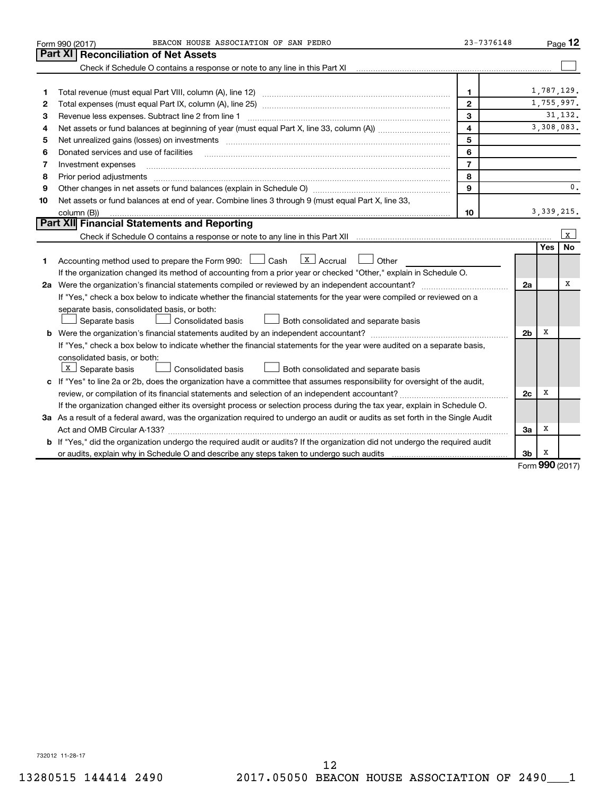|    | BEACON HOUSE ASSOCIATION OF SAN PEDRO<br>Form 990 (2017)                                                                                                                                                                       | $23 - 7376148$ |                |          | Page 12        |  |  |  |
|----|--------------------------------------------------------------------------------------------------------------------------------------------------------------------------------------------------------------------------------|----------------|----------------|----------|----------------|--|--|--|
|    | Part XI<br><b>Reconciliation of Net Assets</b>                                                                                                                                                                                 |                |                |          |                |  |  |  |
|    | Check if Schedule O contains a response or note to any line in this Part XI                                                                                                                                                    |                |                |          |                |  |  |  |
|    |                                                                                                                                                                                                                                |                |                |          |                |  |  |  |
| 1  |                                                                                                                                                                                                                                | $\mathbf{1}$   |                |          | 1,787,129.     |  |  |  |
| 2  |                                                                                                                                                                                                                                | $\mathbf{2}$   |                |          | 1,755,997.     |  |  |  |
| З  | Revenue less expenses. Subtract line 2 from line 1                                                                                                                                                                             | 3              |                |          | 31, 132.       |  |  |  |
| 4  | $\overline{\mathbf{4}}$                                                                                                                                                                                                        |                |                |          |                |  |  |  |
| 5  | Net unrealized gains (losses) on investments [11] matter in the content of the state of the state of the state of the state of the state of the state of the state of the state of the state of the state of the state of the  | 5              |                |          |                |  |  |  |
| 6  | Donated services and use of facilities                                                                                                                                                                                         | 6              |                |          |                |  |  |  |
| 7  | Investment expenses                                                                                                                                                                                                            | $\overline{7}$ |                |          |                |  |  |  |
| 8  | Prior period adjustments [111] matter contracts and contracts and contracts and contracts and contracts and contracts and contracts and contracts and contracts and contracts and contracts and contracts and contracts and co | 8              |                |          |                |  |  |  |
| 9  | Other changes in net assets or fund balances (explain in Schedule O) manufactured controller than grow of the                                                                                                                  | 9              |                |          | $\mathbf{0}$ . |  |  |  |
| 10 | Net assets or fund balances at end of year. Combine lines 3 through 9 (must equal Part X, line 33,                                                                                                                             |                |                |          |                |  |  |  |
|    | column (B))                                                                                                                                                                                                                    | 10             |                |          | 3, 339, 215.   |  |  |  |
|    | Part XII Financial Statements and Reporting                                                                                                                                                                                    |                |                |          |                |  |  |  |
|    |                                                                                                                                                                                                                                |                |                |          | $\mathbf{x}$   |  |  |  |
|    |                                                                                                                                                                                                                                |                |                | Yes.     | <b>No</b>      |  |  |  |
| 1. | $\lfloor x \rfloor$ Accrual<br>Accounting method used to prepare the Form 990: $\Box$ Cash<br>Other                                                                                                                            |                |                |          |                |  |  |  |
|    | If the organization changed its method of accounting from a prior year or checked "Other," explain in Schedule O.                                                                                                              |                |                |          |                |  |  |  |
|    | 2a Were the organization's financial statements compiled or reviewed by an independent accountant?                                                                                                                             |                | 2a             |          | x              |  |  |  |
|    | If "Yes," check a box below to indicate whether the financial statements for the year were compiled or reviewed on a                                                                                                           |                |                |          |                |  |  |  |
|    | separate basis, consolidated basis, or both:                                                                                                                                                                                   |                |                |          |                |  |  |  |
|    | Separate basis<br>Consolidated basis<br>Both consolidated and separate basis                                                                                                                                                   |                |                |          |                |  |  |  |
|    |                                                                                                                                                                                                                                |                | 2 <sub>b</sub> | х        |                |  |  |  |
|    | If "Yes," check a box below to indicate whether the financial statements for the year were audited on a separate basis,                                                                                                        |                |                |          |                |  |  |  |
|    | consolidated basis, or both:                                                                                                                                                                                                   |                |                |          |                |  |  |  |
|    | $X$ Separate basis<br>Consolidated basis<br>Both consolidated and separate basis                                                                                                                                               |                |                |          |                |  |  |  |
|    | c If "Yes" to line 2a or 2b, does the organization have a committee that assumes responsibility for oversight of the audit,                                                                                                    |                |                |          |                |  |  |  |
|    |                                                                                                                                                                                                                                |                | 2c             | х        |                |  |  |  |
|    | If the organization changed either its oversight process or selection process during the tax year, explain in Schedule O.                                                                                                      |                |                |          |                |  |  |  |
|    | 3a As a result of a federal award, was the organization required to undergo an audit or audits as set forth in the Single Audit                                                                                                |                |                |          |                |  |  |  |
|    |                                                                                                                                                                                                                                |                | За             | х        |                |  |  |  |
|    | b If "Yes," did the organization undergo the required audit or audits? If the organization did not undergo the required audit                                                                                                  |                |                |          |                |  |  |  |
|    |                                                                                                                                                                                                                                |                | 3b             | х<br>nnn |                |  |  |  |

Form (2017) **990**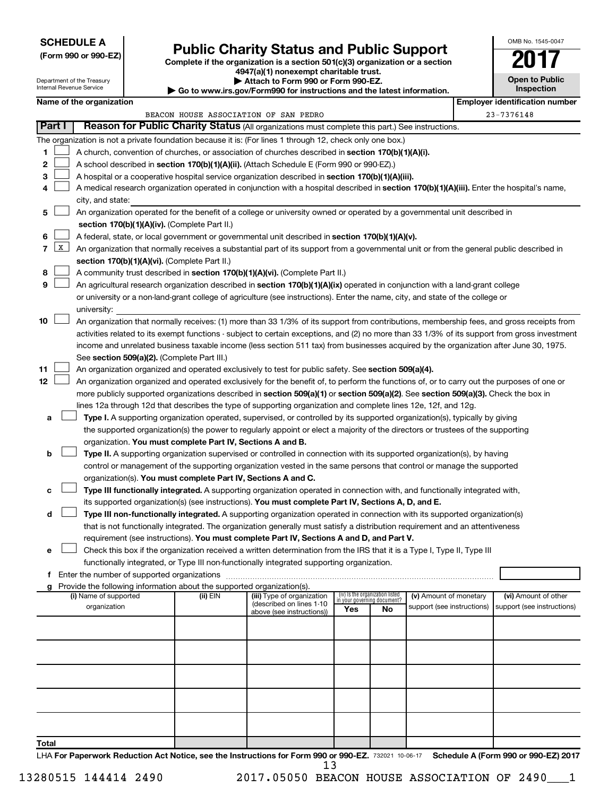### **SCHEDULE A**

Department of the Treasury Internal Revenue Service

# Form 990 or 990-EZ)<br>
Complete if the organization is a section 501(c)(3) organization or a section<br> **Public Charity Status and Public Support**

**4947(a)(1) nonexempt charitable trust.**

**| Attach to Form 990 or Form 990-EZ. | Go to www.irs.gov/Form990 for instructions and the latest information.**

| <b>Open to Public</b> |
|-----------------------|
| <b>Inspection</b>     |

OMB No. 1545-0047

|              | Name of the organization<br><b>Employer identification number</b> |                                                                                                                                               |          |                                       |     |                                   |                            |  |                            |  |  |  |
|--------------|-------------------------------------------------------------------|-----------------------------------------------------------------------------------------------------------------------------------------------|----------|---------------------------------------|-----|-----------------------------------|----------------------------|--|----------------------------|--|--|--|
|              |                                                                   |                                                                                                                                               |          | BEACON HOUSE ASSOCIATION OF SAN PEDRO |     |                                   |                            |  | $23 - 7376148$             |  |  |  |
|              | Part I                                                            | Reason for Public Charity Status (All organizations must complete this part.) See instructions.                                               |          |                                       |     |                                   |                            |  |                            |  |  |  |
|              |                                                                   | The organization is not a private foundation because it is: (For lines 1 through 12, check only one box.)                                     |          |                                       |     |                                   |                            |  |                            |  |  |  |
| 1            |                                                                   | A church, convention of churches, or association of churches described in section 170(b)(1)(A)(i).                                            |          |                                       |     |                                   |                            |  |                            |  |  |  |
| 2            |                                                                   | A school described in section 170(b)(1)(A)(ii). (Attach Schedule E (Form 990 or 990-EZ).)                                                     |          |                                       |     |                                   |                            |  |                            |  |  |  |
| 3            |                                                                   | A hospital or a cooperative hospital service organization described in section 170(b)(1)(A)(iii).                                             |          |                                       |     |                                   |                            |  |                            |  |  |  |
| 4            |                                                                   | A medical research organization operated in conjunction with a hospital described in section 170(b)(1)(A)(iii). Enter the hospital's name,    |          |                                       |     |                                   |                            |  |                            |  |  |  |
|              |                                                                   | city, and state:                                                                                                                              |          |                                       |     |                                   |                            |  |                            |  |  |  |
| 5            |                                                                   | An organization operated for the benefit of a college or university owned or operated by a governmental unit described in                     |          |                                       |     |                                   |                            |  |                            |  |  |  |
|              |                                                                   | section 170(b)(1)(A)(iv). (Complete Part II.)                                                                                                 |          |                                       |     |                                   |                            |  |                            |  |  |  |
| 6            |                                                                   | A federal, state, or local government or governmental unit described in section 170(b)(1)(A)(v).                                              |          |                                       |     |                                   |                            |  |                            |  |  |  |
| $\mathbf{7}$ | $\sqrt{X}$                                                        | An organization that normally receives a substantial part of its support from a governmental unit or from the general public described in     |          |                                       |     |                                   |                            |  |                            |  |  |  |
|              |                                                                   | section 170(b)(1)(A)(vi). (Complete Part II.)                                                                                                 |          |                                       |     |                                   |                            |  |                            |  |  |  |
| 8            |                                                                   | A community trust described in section 170(b)(1)(A)(vi). (Complete Part II.)                                                                  |          |                                       |     |                                   |                            |  |                            |  |  |  |
| 9            |                                                                   | An agricultural research organization described in section 170(b)(1)(A)(ix) operated in conjunction with a land-grant college                 |          |                                       |     |                                   |                            |  |                            |  |  |  |
|              |                                                                   | or university or a non-land-grant college of agriculture (see instructions). Enter the name, city, and state of the college or                |          |                                       |     |                                   |                            |  |                            |  |  |  |
|              |                                                                   | university:                                                                                                                                   |          |                                       |     |                                   |                            |  |                            |  |  |  |
| 10           |                                                                   | An organization that normally receives: (1) more than 33 1/3% of its support from contributions, membership fees, and gross receipts from     |          |                                       |     |                                   |                            |  |                            |  |  |  |
|              |                                                                   | activities related to its exempt functions - subject to certain exceptions, and (2) no more than 33 1/3% of its support from gross investment |          |                                       |     |                                   |                            |  |                            |  |  |  |
|              |                                                                   | income and unrelated business taxable income (less section 511 tax) from businesses acquired by the organization after June 30, 1975.         |          |                                       |     |                                   |                            |  |                            |  |  |  |
|              |                                                                   | See section 509(a)(2). (Complete Part III.)                                                                                                   |          |                                       |     |                                   |                            |  |                            |  |  |  |
| 11           |                                                                   | An organization organized and operated exclusively to test for public safety. See section 509(a)(4).                                          |          |                                       |     |                                   |                            |  |                            |  |  |  |
| 12           |                                                                   | An organization organized and operated exclusively for the benefit of, to perform the functions of, or to carry out the purposes of one or    |          |                                       |     |                                   |                            |  |                            |  |  |  |
|              |                                                                   | more publicly supported organizations described in section 509(a)(1) or section 509(a)(2). See section 509(a)(3). Check the box in            |          |                                       |     |                                   |                            |  |                            |  |  |  |
|              |                                                                   | lines 12a through 12d that describes the type of supporting organization and complete lines 12e, 12f, and 12g.                                |          |                                       |     |                                   |                            |  |                            |  |  |  |
| а            |                                                                   | Type I. A supporting organization operated, supervised, or controlled by its supported organization(s), typically by giving                   |          |                                       |     |                                   |                            |  |                            |  |  |  |
|              |                                                                   | the supported organization(s) the power to regularly appoint or elect a majority of the directors or trustees of the supporting               |          |                                       |     |                                   |                            |  |                            |  |  |  |
|              |                                                                   | organization. You must complete Part IV, Sections A and B.                                                                                    |          |                                       |     |                                   |                            |  |                            |  |  |  |
| b            |                                                                   | Type II. A supporting organization supervised or controlled in connection with its supported organization(s), by having                       |          |                                       |     |                                   |                            |  |                            |  |  |  |
|              |                                                                   | control or management of the supporting organization vested in the same persons that control or manage the supported                          |          |                                       |     |                                   |                            |  |                            |  |  |  |
|              |                                                                   | organization(s). You must complete Part IV, Sections A and C.                                                                                 |          |                                       |     |                                   |                            |  |                            |  |  |  |
| с            |                                                                   | Type III functionally integrated. A supporting organization operated in connection with, and functionally integrated with,                    |          |                                       |     |                                   |                            |  |                            |  |  |  |
|              |                                                                   | its supported organization(s) (see instructions). You must complete Part IV, Sections A, D, and E.                                            |          |                                       |     |                                   |                            |  |                            |  |  |  |
| d            |                                                                   | Type III non-functionally integrated. A supporting organization operated in connection with its supported organization(s)                     |          |                                       |     |                                   |                            |  |                            |  |  |  |
|              |                                                                   | that is not functionally integrated. The organization generally must satisfy a distribution requirement and an attentiveness                  |          |                                       |     |                                   |                            |  |                            |  |  |  |
|              |                                                                   | requirement (see instructions). You must complete Part IV, Sections A and D, and Part V.                                                      |          |                                       |     |                                   |                            |  |                            |  |  |  |
| е            |                                                                   | Check this box if the organization received a written determination from the IRS that it is a Type I, Type II, Type III                       |          |                                       |     |                                   |                            |  |                            |  |  |  |
|              |                                                                   | functionally integrated, or Type III non-functionally integrated supporting organization.<br>f Enter the number of supported organizations    |          |                                       |     |                                   |                            |  |                            |  |  |  |
|              |                                                                   | Provide the following information about the supported organization(s).                                                                        |          |                                       |     |                                   |                            |  |                            |  |  |  |
| g            |                                                                   | (i) Name of supported                                                                                                                         | (ii) EIN | (iii) Type of organization            |     | (iv) Is the organization listed   | (v) Amount of monetary     |  | (vi) Amount of other       |  |  |  |
|              |                                                                   | organization                                                                                                                                  |          | (described on lines 1-10              | Yes | in your governing document?<br>No | support (see instructions) |  | support (see instructions) |  |  |  |
|              |                                                                   |                                                                                                                                               |          | above (see instructions))             |     |                                   |                            |  |                            |  |  |  |
|              |                                                                   |                                                                                                                                               |          |                                       |     |                                   |                            |  |                            |  |  |  |
|              |                                                                   |                                                                                                                                               |          |                                       |     |                                   |                            |  |                            |  |  |  |
|              |                                                                   |                                                                                                                                               |          |                                       |     |                                   |                            |  |                            |  |  |  |
|              |                                                                   |                                                                                                                                               |          |                                       |     |                                   |                            |  |                            |  |  |  |
|              |                                                                   |                                                                                                                                               |          |                                       |     |                                   |                            |  |                            |  |  |  |
|              |                                                                   |                                                                                                                                               |          |                                       |     |                                   |                            |  |                            |  |  |  |
|              |                                                                   |                                                                                                                                               |          |                                       |     |                                   |                            |  |                            |  |  |  |
|              |                                                                   |                                                                                                                                               |          |                                       |     |                                   |                            |  |                            |  |  |  |

LHA For Paperwork Reduction Act Notice, see the Instructions for Form 990 or 990-EZ. 732021 10-06-17 Schedule A (Form 990 or 990-EZ) 2017 13

**Total**

13280515 144414 2490 2017.05050 BEACON HOUSE ASSOCIATION OF 2490\_\_\_1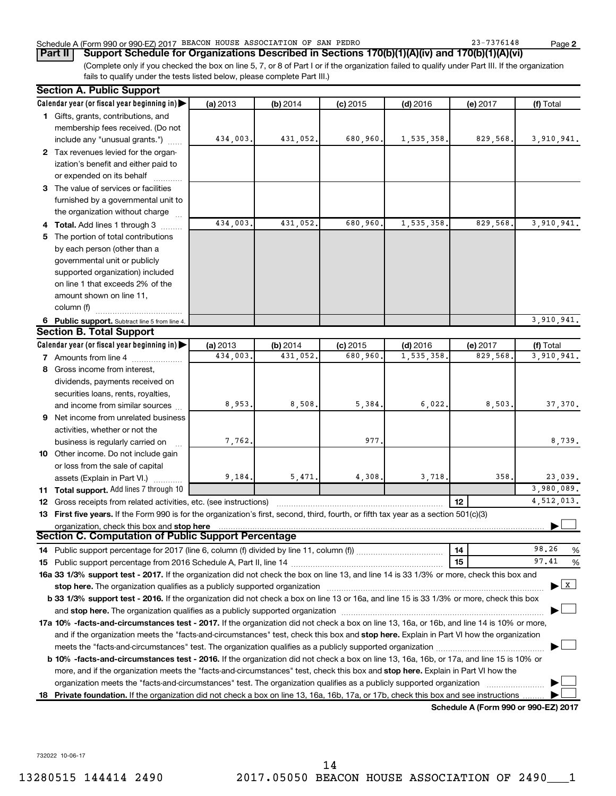#### Schedule A (Form 990 or 990-EZ) 2017 BEACON HOUSE ASSOCIATION OF SAN PEDRO 23-7376148 Page

(Complete only if you checked the box on line 5, 7, or 8 of Part I or if the organization failed to qualify under Part III. If the organization fails to qualify under the tests listed below, please complete Part III.) **Part II Support Schedule for Organizations Described in Sections 170(b)(1)(A)(iv) and 170(b)(1)(A)(vi)**

**2**

|     | <b>Section A. Public Support</b>                                                                                                                                                                                               |          |          |            |            |                                      |                                    |
|-----|--------------------------------------------------------------------------------------------------------------------------------------------------------------------------------------------------------------------------------|----------|----------|------------|------------|--------------------------------------|------------------------------------|
|     | Calendar year (or fiscal year beginning in)                                                                                                                                                                                    | (a) 2013 | (b) 2014 | $(c)$ 2015 | $(d)$ 2016 | (e) 2017                             | (f) Total                          |
|     | 1 Gifts, grants, contributions, and                                                                                                                                                                                            |          |          |            |            |                                      |                                    |
|     | membership fees received. (Do not                                                                                                                                                                                              |          |          |            |            |                                      |                                    |
|     | include any "unusual grants.")                                                                                                                                                                                                 | 434,003. | 431,052. | 680,960    | 1,535,358. | 829,568                              | 3,910,941.                         |
|     | 2 Tax revenues levied for the organ-                                                                                                                                                                                           |          |          |            |            |                                      |                                    |
|     | ization's benefit and either paid to                                                                                                                                                                                           |          |          |            |            |                                      |                                    |
|     | or expended on its behalf                                                                                                                                                                                                      |          |          |            |            |                                      |                                    |
|     | 3 The value of services or facilities                                                                                                                                                                                          |          |          |            |            |                                      |                                    |
|     | furnished by a governmental unit to                                                                                                                                                                                            |          |          |            |            |                                      |                                    |
|     | the organization without charge                                                                                                                                                                                                |          |          |            |            |                                      |                                    |
|     | 4 Total. Add lines 1 through 3                                                                                                                                                                                                 | 434,003. | 431,052. | 680,960    | 1,535,358. | 829,568                              | 3,910,941.                         |
| 5.  | The portion of total contributions                                                                                                                                                                                             |          |          |            |            |                                      |                                    |
|     | by each person (other than a                                                                                                                                                                                                   |          |          |            |            |                                      |                                    |
|     | governmental unit or publicly                                                                                                                                                                                                  |          |          |            |            |                                      |                                    |
|     | supported organization) included                                                                                                                                                                                               |          |          |            |            |                                      |                                    |
|     | on line 1 that exceeds 2% of the                                                                                                                                                                                               |          |          |            |            |                                      |                                    |
|     | amount shown on line 11,                                                                                                                                                                                                       |          |          |            |            |                                      |                                    |
|     | column (f)                                                                                                                                                                                                                     |          |          |            |            |                                      |                                    |
|     | 6 Public support. Subtract line 5 from line 4.                                                                                                                                                                                 |          |          |            |            |                                      | 3,910,941.                         |
|     | <b>Section B. Total Support</b>                                                                                                                                                                                                |          |          |            |            |                                      |                                    |
|     | Calendar year (or fiscal year beginning in)                                                                                                                                                                                    | (a) 2013 | (b) 2014 | $(c)$ 2015 | $(d)$ 2016 | (e) 2017                             | (f) Total                          |
|     | 7 Amounts from line 4                                                                                                                                                                                                          | 434,003. | 431,052. | 680,960    | 1,535,358  | 829,568                              | 3,910,941.                         |
|     | 8 Gross income from interest,                                                                                                                                                                                                  |          |          |            |            |                                      |                                    |
|     | dividends, payments received on                                                                                                                                                                                                |          |          |            |            |                                      |                                    |
|     | securities loans, rents, royalties,                                                                                                                                                                                            |          |          |            |            |                                      |                                    |
|     | and income from similar sources                                                                                                                                                                                                | 8,953.   | 8,508.   | 5,384.     | 6,022.     | 8,503                                | 37,370.                            |
|     | 9 Net income from unrelated business                                                                                                                                                                                           |          |          |            |            |                                      |                                    |
|     | activities, whether or not the                                                                                                                                                                                                 |          |          |            |            |                                      |                                    |
|     | business is regularly carried on                                                                                                                                                                                               | 7,762.   |          | 977        |            |                                      | 8,739.                             |
|     | 10 Other income. Do not include gain                                                                                                                                                                                           |          |          |            |            |                                      |                                    |
|     | or loss from the sale of capital                                                                                                                                                                                               |          |          |            |            |                                      |                                    |
|     | assets (Explain in Part VI.)                                                                                                                                                                                                   | 9,184.   | 5,471.   | 4,308.     | 3,718      | 358                                  | 23,039.                            |
|     | 11 Total support. Add lines 7 through 10                                                                                                                                                                                       |          |          |            |            |                                      | 3,980,089.                         |
|     | 12 Gross receipts from related activities, etc. (see instructions)                                                                                                                                                             |          |          |            |            | 12                                   | 4,512,013.                         |
|     | 13 First five years. If the Form 990 is for the organization's first, second, third, fourth, or fifth tax year as a section 501(c)(3)                                                                                          |          |          |            |            |                                      |                                    |
|     | organization, check this box and stop here                                                                                                                                                                                     |          |          |            |            |                                      |                                    |
|     | <b>Section C. Computation of Public Support Percentage</b>                                                                                                                                                                     |          |          |            |            |                                      |                                    |
|     |                                                                                                                                                                                                                                |          |          |            |            | 14                                   | 98.26<br>%                         |
|     |                                                                                                                                                                                                                                |          |          |            |            | 15                                   | 97.41<br>%                         |
|     | 16a 33 1/3% support test - 2017. If the organization did not check the box on line 13, and line 14 is 33 1/3% or more, check this box and                                                                                      |          |          |            |            |                                      |                                    |
|     | stop here. The organization qualifies as a publicly supported organization manufactured content and the content of the state of the state of the state of the state of the state of the state of the state of the state of the |          |          |            |            |                                      | $\blacktriangleright$ $\mathbf{X}$ |
|     | b 33 1/3% support test - 2016. If the organization did not check a box on line 13 or 16a, and line 15 is 33 1/3% or more, check this box                                                                                       |          |          |            |            |                                      |                                    |
|     |                                                                                                                                                                                                                                |          |          |            |            |                                      |                                    |
|     | 17a 10% -facts-and-circumstances test - 2017. If the organization did not check a box on line 13, 16a, or 16b, and line 14 is 10% or more,                                                                                     |          |          |            |            |                                      |                                    |
|     | and if the organization meets the "facts-and-circumstances" test, check this box and stop here. Explain in Part VI how the organization                                                                                        |          |          |            |            |                                      |                                    |
|     |                                                                                                                                                                                                                                |          |          |            |            |                                      |                                    |
|     | <b>b 10%</b> -facts-and-circumstances test - 2016. If the organization did not check a box on line 13, 16a, 16b, or 17a, and line 15 is 10% or                                                                                 |          |          |            |            |                                      |                                    |
|     | more, and if the organization meets the "facts-and-circumstances" test, check this box and stop here. Explain in Part VI how the                                                                                               |          |          |            |            |                                      |                                    |
|     | organization meets the "facts-and-circumstances" test. The organization qualifies as a publicly supported organization                                                                                                         |          |          |            |            |                                      |                                    |
| 18. | Private foundation. If the organization did not check a box on line 13, 16a, 16b, 17a, or 17b, check this box and see instructions.                                                                                            |          |          |            |            |                                      |                                    |
|     |                                                                                                                                                                                                                                |          |          |            |            | Schedule A (Form 990 or 990-EZ) 2017 |                                    |

732022 10-06-17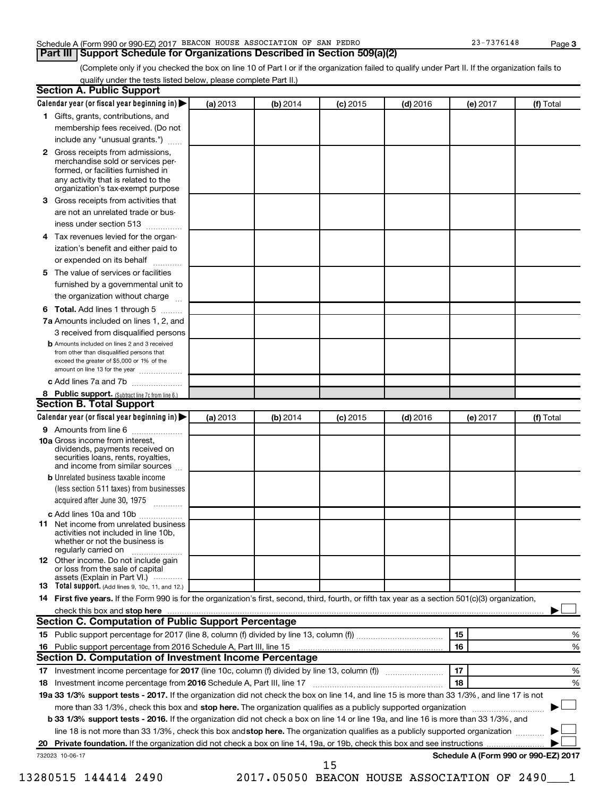#### Schedule A (Form 990 or 990-EZ) 2017 BEACON HOUSE ASSOCIATION OF SAN PEDRO 23-7376148 Page

#### **Part III Support Schedule for Organizations Described in Section 509(a)(2)**

(Complete only if you checked the box on line 10 of Part I or if the organization failed to qualify under Part II. If the organization fails to qualify under the tests listed below, please complete Part II.)

|              | Calendar year (or fiscal year beginning in)                                                                                                                                      | (a) 2013 | (b) 2014 | $(c)$ 2015 | $(d)$ 2016 |    | (e) 2017 | (f) Total                            |   |
|--------------|----------------------------------------------------------------------------------------------------------------------------------------------------------------------------------|----------|----------|------------|------------|----|----------|--------------------------------------|---|
|              | 1 Gifts, grants, contributions, and                                                                                                                                              |          |          |            |            |    |          |                                      |   |
|              | membership fees received. (Do not                                                                                                                                                |          |          |            |            |    |          |                                      |   |
|              | include any "unusual grants.")                                                                                                                                                   |          |          |            |            |    |          |                                      |   |
| $\mathbf{2}$ | Gross receipts from admissions,<br>merchandise sold or services per-<br>formed, or facilities furnished in<br>any activity that is related to the                                |          |          |            |            |    |          |                                      |   |
|              | organization's tax-exempt purpose                                                                                                                                                |          |          |            |            |    |          |                                      |   |
| 3.           | Gross receipts from activities that                                                                                                                                              |          |          |            |            |    |          |                                      |   |
|              | are not an unrelated trade or bus-                                                                                                                                               |          |          |            |            |    |          |                                      |   |
|              | iness under section 513                                                                                                                                                          |          |          |            |            |    |          |                                      |   |
| 4            | Tax revenues levied for the organ-                                                                                                                                               |          |          |            |            |    |          |                                      |   |
|              | ization's benefit and either paid to<br>or expended on its behalf<br>.                                                                                                           |          |          |            |            |    |          |                                      |   |
| 5            | The value of services or facilities                                                                                                                                              |          |          |            |            |    |          |                                      |   |
|              | furnished by a governmental unit to                                                                                                                                              |          |          |            |            |    |          |                                      |   |
|              | the organization without charge                                                                                                                                                  |          |          |            |            |    |          |                                      |   |
| 6            | Total. Add lines 1 through 5                                                                                                                                                     |          |          |            |            |    |          |                                      |   |
|              | 7a Amounts included on lines 1, 2, and                                                                                                                                           |          |          |            |            |    |          |                                      |   |
|              | 3 received from disqualified persons                                                                                                                                             |          |          |            |            |    |          |                                      |   |
|              | <b>b</b> Amounts included on lines 2 and 3 received<br>from other than disqualified persons that<br>exceed the greater of \$5,000 or 1% of the<br>amount on line 13 for the year |          |          |            |            |    |          |                                      |   |
|              | c Add lines 7a and 7b                                                                                                                                                            |          |          |            |            |    |          |                                      |   |
|              | 8 Public support. (Subtract line 7c from line 6.)                                                                                                                                |          |          |            |            |    |          |                                      |   |
|              | <b>Section B. Total Support</b>                                                                                                                                                  |          |          |            |            |    |          |                                      |   |
|              | Calendar year (or fiscal year beginning in)                                                                                                                                      | (a) 2013 | (b) 2014 | $(c)$ 2015 | $(d)$ 2016 |    | (e) 2017 | (f) Total                            |   |
|              | 9 Amounts from line 6                                                                                                                                                            |          |          |            |            |    |          |                                      |   |
|              | <b>10a</b> Gross income from interest,<br>dividends, payments received on<br>securities loans, rents, royalties,<br>and income from similar sources                              |          |          |            |            |    |          |                                      |   |
|              | <b>b</b> Unrelated business taxable income                                                                                                                                       |          |          |            |            |    |          |                                      |   |
|              | (less section 511 taxes) from businesses<br>acquired after June 30, 1975                                                                                                         |          |          |            |            |    |          |                                      |   |
|              | c Add lines 10a and 10b                                                                                                                                                          |          |          |            |            |    |          |                                      |   |
| 11           | Net income from unrelated business<br>activities not included in line 10b.<br>whether or not the business is<br>regularly carried on                                             |          |          |            |            |    |          |                                      |   |
|              | <b>12</b> Other income. Do not include gain<br>or loss from the sale of capital                                                                                                  |          |          |            |            |    |          |                                      |   |
|              | assets (Explain in Part VI.)<br>13 Total support. (Add lines 9, 10c, 11, and 12.)                                                                                                |          |          |            |            |    |          |                                      |   |
|              | 14 First five years. If the Form 990 is for the organization's first, second, third, fourth, or fifth tax year as a section 501(c)(3) organization,                              |          |          |            |            |    |          |                                      |   |
|              |                                                                                                                                                                                  |          |          |            |            |    |          |                                      |   |
|              | Section C. Computation of Public Support Percentage                                                                                                                              |          |          |            |            |    |          |                                      |   |
|              |                                                                                                                                                                                  |          |          |            |            | 15 |          |                                      | % |
|              |                                                                                                                                                                                  |          |          |            |            | 16 |          |                                      | % |
|              | Section D. Computation of Investment Income Percentage                                                                                                                           |          |          |            |            |    |          |                                      |   |
|              |                                                                                                                                                                                  |          |          |            |            | 17 |          |                                      |   |
|              |                                                                                                                                                                                  |          |          |            |            |    |          |                                      | % |
|              |                                                                                                                                                                                  |          |          |            |            | 18 |          |                                      | % |
|              |                                                                                                                                                                                  |          |          |            |            |    |          |                                      |   |
|              | 19a 33 1/3% support tests - 2017. If the organization did not check the box on line 14, and line 15 is more than 33 1/3%, and line 17 is not                                     |          |          |            |            |    |          |                                      |   |
|              | more than 33 1/3%, check this box and stop here. The organization qualifies as a publicly supported organization                                                                 |          |          |            |            |    |          |                                      |   |
|              | b 33 1/3% support tests - 2016. If the organization did not check a box on line 14 or line 19a, and line 16 is more than 33 1/3%, and                                            |          |          |            |            |    |          |                                      |   |
|              | line 18 is not more than 33 1/3%, check this box and stop here. The organization qualifies as a publicly supported organization                                                  |          |          |            |            |    |          |                                      |   |
|              | 732023 10-06-17                                                                                                                                                                  |          |          |            |            |    |          | Schedule A (Form 990 or 990-EZ) 2017 |   |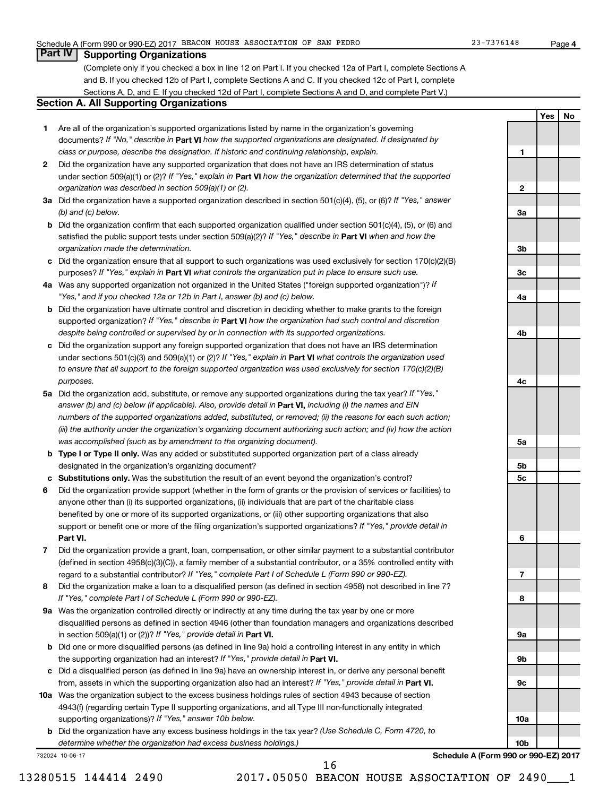#### **Part IV Supporting Organizations**

(Complete only if you checked a box in line 12 on Part I. If you checked 12a of Part I, complete Sections A and B. If you checked 12b of Part I, complete Sections A and C. If you checked 12c of Part I, complete Sections A, D, and E. If you checked 12d of Part I, complete Sections A and D, and complete Part V.)

#### **Section A. All Supporting Organizations**

- **1** Are all of the organization's supported organizations listed by name in the organization's governing documents? If "No," describe in Part VI how the supported organizations are designated. If designated by *class or purpose, describe the designation. If historic and continuing relationship, explain.*
- **2** Did the organization have any supported organization that does not have an IRS determination of status under section 509(a)(1) or (2)? If "Yes," explain in Part **VI** how the organization determined that the supported *organization was described in section 509(a)(1) or (2).*
- **3a** Did the organization have a supported organization described in section 501(c)(4), (5), or (6)? If "Yes," answer *(b) and (c) below.*
- **b** Did the organization confirm that each supported organization qualified under section 501(c)(4), (5), or (6) and satisfied the public support tests under section 509(a)(2)? If "Yes," describe in Part VI when and how the *organization made the determination.*
- **c** Did the organization ensure that all support to such organizations was used exclusively for section 170(c)(2)(B) purposes? If "Yes," explain in Part VI what controls the organization put in place to ensure such use.
- **4 a** *If* Was any supported organization not organized in the United States ("foreign supported organization")? *"Yes," and if you checked 12a or 12b in Part I, answer (b) and (c) below.*
- **b** Did the organization have ultimate control and discretion in deciding whether to make grants to the foreign supported organization? If "Yes," describe in Part VI how the organization had such control and discretion *despite being controlled or supervised by or in connection with its supported organizations.*
- **c** Did the organization support any foreign supported organization that does not have an IRS determination under sections 501(c)(3) and 509(a)(1) or (2)? If "Yes," explain in Part VI what controls the organization used *to ensure that all support to the foreign supported organization was used exclusively for section 170(c)(2)(B) purposes.*
- **5a** Did the organization add, substitute, or remove any supported organizations during the tax year? If "Yes," answer (b) and (c) below (if applicable). Also, provide detail in **Part VI,** including (i) the names and EIN *numbers of the supported organizations added, substituted, or removed; (ii) the reasons for each such action; (iii) the authority under the organization's organizing document authorizing such action; and (iv) how the action was accomplished (such as by amendment to the organizing document).*
- **b** Type I or Type II only. Was any added or substituted supported organization part of a class already designated in the organization's organizing document?
- **c Substitutions only.**  Was the substitution the result of an event beyond the organization's control?
- **6** Did the organization provide support (whether in the form of grants or the provision of services or facilities) to **Part VI.** support or benefit one or more of the filing organization's supported organizations? If "Yes," provide detail in anyone other than (i) its supported organizations, (ii) individuals that are part of the charitable class benefited by one or more of its supported organizations, or (iii) other supporting organizations that also
- **7** Did the organization provide a grant, loan, compensation, or other similar payment to a substantial contributor regard to a substantial contributor? If "Yes," complete Part I of Schedule L (Form 990 or 990-EZ). (defined in section 4958(c)(3)(C)), a family member of a substantial contributor, or a 35% controlled entity with
- **8** Did the organization make a loan to a disqualified person (as defined in section 4958) not described in line 7? *If "Yes," complete Part I of Schedule L (Form 990 or 990-EZ).*
- **9 a** Was the organization controlled directly or indirectly at any time during the tax year by one or more in section 509(a)(1) or (2))? If "Yes," provide detail in **Part VI.** disqualified persons as defined in section 4946 (other than foundation managers and organizations described
- **b** Did one or more disqualified persons (as defined in line 9a) hold a controlling interest in any entity in which the supporting organization had an interest? If "Yes," provide detail in Part VI.
- **c** Did a disqualified person (as defined in line 9a) have an ownership interest in, or derive any personal benefit from, assets in which the supporting organization also had an interest? If "Yes," provide detail in Part VI.
- **10 a** Was the organization subject to the excess business holdings rules of section 4943 because of section supporting organizations)? If "Yes," answer 10b below. 4943(f) (regarding certain Type II supporting organizations, and all Type III non-functionally integrated
	- **b** Did the organization have any excess business holdings in the tax year? (Use Schedule C, Form 4720, to *determine whether the organization had excess business holdings.)*

732024 10-06-17



**Schedule A (Form 990 or 990-EZ) 2017**

**4**

**Yes No**

**1**

**2**

13280515 144414 2490 2017.05050 BEACON HOUSE ASSOCIATION OF 2490\_\_\_1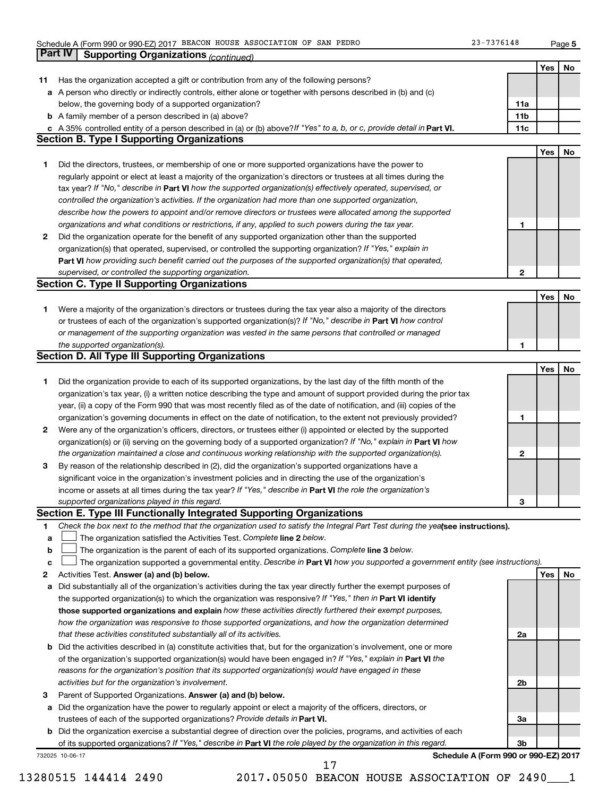|  | Schedule A (Form 990 or 990-EZ) 2017 BEACON HOUSE ASSOCIATION OF SAN PEDRO |  |  |  |  | $-7376148$ | Page |  |
|--|----------------------------------------------------------------------------|--|--|--|--|------------|------|--|
|--|----------------------------------------------------------------------------|--|--|--|--|------------|------|--|

**5**  $23 - 7376148$ 

|    | Part IV<br><b>Supporting Organizations (continued)</b>                                                                                                                       |                 |     |    |
|----|------------------------------------------------------------------------------------------------------------------------------------------------------------------------------|-----------------|-----|----|
|    |                                                                                                                                                                              |                 | Yes | No |
| 11 | Has the organization accepted a gift or contribution from any of the following persons?                                                                                      |                 |     |    |
|    | a A person who directly or indirectly controls, either alone or together with persons described in (b) and (c)                                                               |                 |     |    |
|    | below, the governing body of a supported organization?                                                                                                                       | 11a             |     |    |
|    | <b>b</b> A family member of a person described in (a) above?                                                                                                                 | 11 <sub>b</sub> |     |    |
|    |                                                                                                                                                                              | 11c             |     |    |
|    | c A 35% controlled entity of a person described in (a) or (b) above? If "Yes" to a, b, or c, provide detail in Part VI.<br><b>Section B. Type I Supporting Organizations</b> |                 |     |    |
|    |                                                                                                                                                                              |                 |     |    |
|    |                                                                                                                                                                              |                 | Yes | No |
| 1. | Did the directors, trustees, or membership of one or more supported organizations have the power to                                                                          |                 |     |    |
|    | regularly appoint or elect at least a majority of the organization's directors or trustees at all times during the                                                           |                 |     |    |
|    | tax year? If "No," describe in Part VI how the supported organization(s) effectively operated, supervised, or                                                                |                 |     |    |
|    | controlled the organization's activities. If the organization had more than one supported organization,                                                                      |                 |     |    |
|    | describe how the powers to appoint and/or remove directors or trustees were allocated among the supported                                                                    |                 |     |    |
|    | organizations and what conditions or restrictions, if any, applied to such powers during the tax year.                                                                       | 1               |     |    |
| 2  | Did the organization operate for the benefit of any supported organization other than the supported                                                                          |                 |     |    |
|    | organization(s) that operated, supervised, or controlled the supporting organization? If "Yes," explain in                                                                   |                 |     |    |
|    | Part VI how providing such benefit carried out the purposes of the supported organization(s) that operated,                                                                  |                 |     |    |
|    | supervised, or controlled the supporting organization.                                                                                                                       | $\mathbf{2}$    |     |    |
|    | <b>Section C. Type II Supporting Organizations</b>                                                                                                                           |                 |     |    |
|    |                                                                                                                                                                              |                 | Yes | No |
| 1. | Were a majority of the organization's directors or trustees during the tax year also a majority of the directors                                                             |                 |     |    |
|    | or trustees of each of the organization's supported organization(s)? If "No," describe in Part VI how control                                                                |                 |     |    |
|    | or management of the supporting organization was vested in the same persons that controlled or managed                                                                       |                 |     |    |
|    | the supported organization(s).                                                                                                                                               | 1               |     |    |
|    | <b>Section D. All Type III Supporting Organizations</b>                                                                                                                      |                 |     |    |
|    |                                                                                                                                                                              |                 | Yes | No |
| 1  | Did the organization provide to each of its supported organizations, by the last day of the fifth month of the                                                               |                 |     |    |
|    | organization's tax year, (i) a written notice describing the type and amount of support provided during the prior tax                                                        |                 |     |    |
|    | year, (ii) a copy of the Form 990 that was most recently filed as of the date of notification, and (iii) copies of the                                                       |                 |     |    |
|    | organization's governing documents in effect on the date of notification, to the extent not previously provided?                                                             | 1               |     |    |
| 2  | Were any of the organization's officers, directors, or trustees either (i) appointed or elected by the supported                                                             |                 |     |    |
|    | organization(s) or (ii) serving on the governing body of a supported organization? If "No," explain in Part VI how                                                           |                 |     |    |
|    |                                                                                                                                                                              | 2               |     |    |
|    | the organization maintained a close and continuous working relationship with the supported organization(s).                                                                  |                 |     |    |
| 3  | By reason of the relationship described in (2), did the organization's supported organizations have a                                                                        |                 |     |    |
|    | significant voice in the organization's investment policies and in directing the use of the organization's                                                                   |                 |     |    |
|    | income or assets at all times during the tax year? If "Yes," describe in Part VI the role the organization's                                                                 |                 |     |    |
|    | supported organizations played in this regard.                                                                                                                               | з               |     |    |
|    | Section E. Type III Functionally Integrated Supporting Organizations                                                                                                         |                 |     |    |
| 1  | Check the box next to the method that the organization used to satisfy the Integral Part Test during the yealsee instructions).                                              |                 |     |    |
| а  | The organization satisfied the Activities Test. Complete line 2 below.                                                                                                       |                 |     |    |
| b  | The organization is the parent of each of its supported organizations. Complete line 3 below.                                                                                |                 |     |    |
| с  | The organization supported a governmental entity. Describe in Part VI how you supported a government entity (see instructions).                                              |                 |     |    |
| 2  | Activities Test. Answer (a) and (b) below.                                                                                                                                   |                 | Yes | No |
| а  | Did substantially all of the organization's activities during the tax year directly further the exempt purposes of                                                           |                 |     |    |
|    | the supported organization(s) to which the organization was responsive? If "Yes," then in Part VI identify                                                                   |                 |     |    |
|    | those supported organizations and explain how these activities directly furthered their exempt purposes,                                                                     |                 |     |    |
|    | how the organization was responsive to those supported organizations, and how the organization determined                                                                    |                 |     |    |
|    | that these activities constituted substantially all of its activities.                                                                                                       | 2a              |     |    |
| b  | Did the activities described in (a) constitute activities that, but for the organization's involvement, one or more                                                          |                 |     |    |
|    | of the organization's supported organization(s) would have been engaged in? If "Yes," explain in Part VI the                                                                 |                 |     |    |
|    | reasons for the organization's position that its supported organization(s) would have engaged in these                                                                       |                 |     |    |
|    | activities but for the organization's involvement.                                                                                                                           | 2b              |     |    |
| 3  | Parent of Supported Organizations. Answer (a) and (b) below.                                                                                                                 |                 |     |    |
| а  | Did the organization have the power to regularly appoint or elect a majority of the officers, directors, or                                                                  |                 |     |    |
|    | trustees of each of the supported organizations? Provide details in Part VI.                                                                                                 | За              |     |    |
|    | <b>b</b> Did the organization exercise a substantial degree of direction over the policies, programs, and activities of each                                                 |                 |     |    |
|    | of its supported organizations? If "Yes," describe in Part VI the role played by the organization in this regard.                                                            | Зb              |     |    |
|    | Schedule A (Form 990 or 990-EZ) 2017<br>732025 10-06-17                                                                                                                      |                 |     |    |
|    | 17                                                                                                                                                                           |                 |     |    |

13280515 144414 2490 2017.05050 BEACON HOUSE ASSOCIATION OF 2490\_\_\_1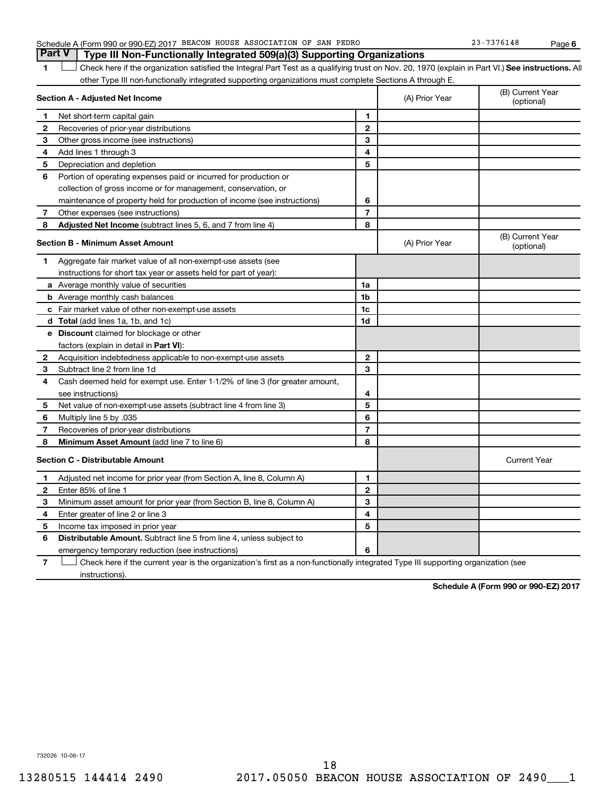|                          | Schedule A (Form 990 or 990-EZ) 2017 BEACON HOUSE ASSOCIATION OF SAN PEDRO                                                                         |                |                | 23-7376148                     | Page 6 |
|--------------------------|----------------------------------------------------------------------------------------------------------------------------------------------------|----------------|----------------|--------------------------------|--------|
| <b>Part V</b>            | Type III Non-Functionally Integrated 509(a)(3) Supporting Organizations                                                                            |                |                |                                |        |
| 1                        | Check here if the organization satisfied the Integral Part Test as a qualifying trust on Nov. 20, 1970 (explain in Part VI.) See instructions. All |                |                |                                |        |
|                          | other Type III non-functionally integrated supporting organizations must complete Sections A through E.                                            |                |                |                                |        |
|                          | Section A - Adjusted Net Income                                                                                                                    |                | (A) Prior Year | (B) Current Year<br>(optional) |        |
| 1                        | Net short-term capital gain                                                                                                                        | 1              |                |                                |        |
| 2                        | Recoveries of prior-year distributions                                                                                                             | $\mathbf{2}$   |                |                                |        |
| З                        | Other gross income (see instructions)                                                                                                              | 3              |                |                                |        |
| 4                        | Add lines 1 through 3                                                                                                                              | 4              |                |                                |        |
| 5                        | Depreciation and depletion                                                                                                                         | 5              |                |                                |        |
| 6                        | Portion of operating expenses paid or incurred for production or                                                                                   |                |                |                                |        |
|                          | collection of gross income or for management, conservation, or                                                                                     |                |                |                                |        |
|                          | maintenance of property held for production of income (see instructions)                                                                           | 6              |                |                                |        |
| 7                        | Other expenses (see instructions)                                                                                                                  | 7              |                |                                |        |
| 8                        | Adjusted Net Income (subtract lines 5, 6, and 7 from line 4)                                                                                       | 8              |                |                                |        |
|                          | <b>Section B - Minimum Asset Amount</b>                                                                                                            |                | (A) Prior Year | (B) Current Year<br>(optional) |        |
| 1                        | Aggregate fair market value of all non-exempt-use assets (see                                                                                      |                |                |                                |        |
|                          | instructions for short tax year or assets held for part of year):                                                                                  |                |                |                                |        |
|                          | a Average monthly value of securities                                                                                                              | 1a             |                |                                |        |
|                          | <b>b</b> Average monthly cash balances                                                                                                             | 1 <sub>b</sub> |                |                                |        |
|                          | c Fair market value of other non-exempt-use assets                                                                                                 | 1c             |                |                                |        |
|                          | d Total (add lines 1a, 1b, and 1c)                                                                                                                 | 1d             |                |                                |        |
|                          | e Discount claimed for blockage or other                                                                                                           |                |                |                                |        |
|                          | factors (explain in detail in Part VI):                                                                                                            |                |                |                                |        |
| 2                        | Acquisition indebtedness applicable to non-exempt-use assets                                                                                       | $\mathbf{2}$   |                |                                |        |
| З                        | Subtract line 2 from line 1d                                                                                                                       | 3              |                |                                |        |
| 4                        | Cash deemed held for exempt use. Enter 1-1/2% of line 3 (for greater amount,                                                                       |                |                |                                |        |
|                          | see instructions)                                                                                                                                  | 4              |                |                                |        |
| 5                        | Net value of non-exempt-use assets (subtract line 4 from line 3)                                                                                   | 5              |                |                                |        |
| 6                        | Multiply line 5 by .035                                                                                                                            | 6              |                |                                |        |
| 7                        | Recoveries of prior-year distributions                                                                                                             | 7              |                |                                |        |
| 8                        | Minimum Asset Amount (add line 7 to line 6)                                                                                                        | 8              |                |                                |        |
|                          | <b>Section C - Distributable Amount</b>                                                                                                            |                |                | <b>Current Year</b>            |        |
|                          | Adjusted net income for prior year (from Section A, line 8, Column A)                                                                              | 1              |                |                                |        |
| $\mathbf{2}$             | Enter 85% of line 1                                                                                                                                | $\mathbf 2$    |                |                                |        |
| 3                        | Minimum asset amount for prior year (from Section B, line 8, Column A)                                                                             | 3              |                |                                |        |
| 4                        | Enter greater of line 2 or line 3                                                                                                                  | 4              |                |                                |        |
| 5                        | Income tax imposed in prior year                                                                                                                   | 5              |                |                                |        |
| 6                        | Distributable Amount. Subtract line 5 from line 4, unless subject to                                                                               |                |                |                                |        |
|                          | emergency temporary reduction (see instructions)                                                                                                   | 6              |                |                                |        |
| $\overline{\phantom{a}}$ | Check here if the current year is the organization's first as a non-functionally integrated Type III supporting organization (see                  |                |                |                                |        |
|                          | instructions).                                                                                                                                     |                |                |                                |        |

**Schedule A (Form 990 or 990-EZ) 2017**

732026 10-06-17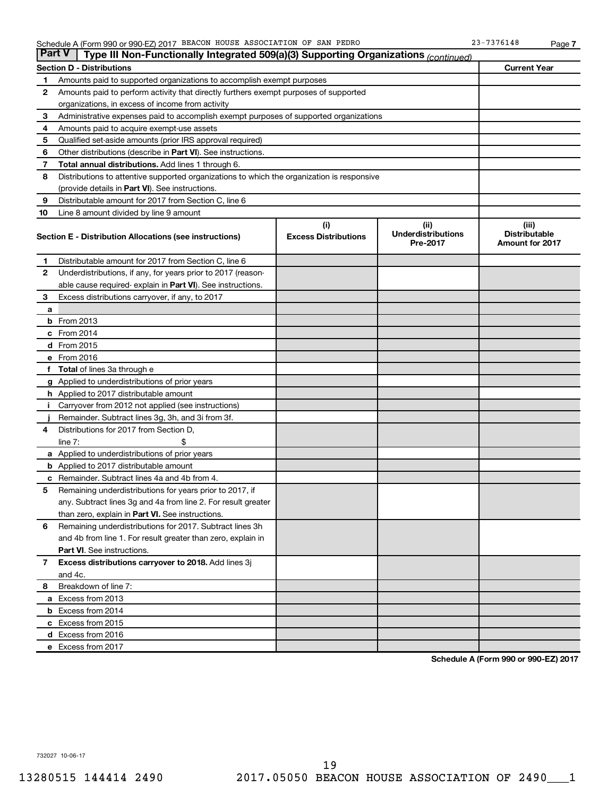| <b>Part V</b>  | Type III Non-Functionally Integrated 509(a)(3) Supporting Organizations (continued)        |                                    |                                               |                                                         |
|----------------|--------------------------------------------------------------------------------------------|------------------------------------|-----------------------------------------------|---------------------------------------------------------|
|                | <b>Section D - Distributions</b>                                                           |                                    |                                               | <b>Current Year</b>                                     |
| 1              | Amounts paid to supported organizations to accomplish exempt purposes                      |                                    |                                               |                                                         |
| 2              | Amounts paid to perform activity that directly furthers exempt purposes of supported       |                                    |                                               |                                                         |
|                | organizations, in excess of income from activity                                           |                                    |                                               |                                                         |
| 3              | Administrative expenses paid to accomplish exempt purposes of supported organizations      |                                    |                                               |                                                         |
| 4              | Amounts paid to acquire exempt-use assets                                                  |                                    |                                               |                                                         |
| 5              | Qualified set-aside amounts (prior IRS approval required)                                  |                                    |                                               |                                                         |
| 6              | Other distributions (describe in <b>Part VI</b> ). See instructions.                       |                                    |                                               |                                                         |
| 7              | <b>Total annual distributions.</b> Add lines 1 through 6.                                  |                                    |                                               |                                                         |
| 8              | Distributions to attentive supported organizations to which the organization is responsive |                                    |                                               |                                                         |
|                | (provide details in Part VI). See instructions.                                            |                                    |                                               |                                                         |
| 9              | Distributable amount for 2017 from Section C, line 6                                       |                                    |                                               |                                                         |
| 10             | Line 8 amount divided by line 9 amount                                                     |                                    |                                               |                                                         |
|                | Section E - Distribution Allocations (see instructions)                                    | (i)<br><b>Excess Distributions</b> | (ii)<br><b>Underdistributions</b><br>Pre-2017 | (iii)<br><b>Distributable</b><br><b>Amount for 2017</b> |
| 1              | Distributable amount for 2017 from Section C, line 6                                       |                                    |                                               |                                                         |
| 2              | Underdistributions, if any, for years prior to 2017 (reason-                               |                                    |                                               |                                                         |
|                | able cause required-explain in Part VI). See instructions.                                 |                                    |                                               |                                                         |
| 3              | Excess distributions carryover, if any, to 2017                                            |                                    |                                               |                                                         |
| а              |                                                                                            |                                    |                                               |                                                         |
|                | <b>b</b> From 2013                                                                         |                                    |                                               |                                                         |
|                | c From 2014                                                                                |                                    |                                               |                                                         |
|                | <b>d</b> From 2015                                                                         |                                    |                                               |                                                         |
|                | e From 2016                                                                                |                                    |                                               |                                                         |
|                | f Total of lines 3a through e                                                              |                                    |                                               |                                                         |
|                | <b>g</b> Applied to underdistributions of prior years                                      |                                    |                                               |                                                         |
|                | h Applied to 2017 distributable amount                                                     |                                    |                                               |                                                         |
| Ť.             | Carryover from 2012 not applied (see instructions)                                         |                                    |                                               |                                                         |
|                | Remainder. Subtract lines 3g, 3h, and 3i from 3f.                                          |                                    |                                               |                                                         |
| 4              | Distributions for 2017 from Section D,                                                     |                                    |                                               |                                                         |
|                | line $7:$                                                                                  |                                    |                                               |                                                         |
|                | a Applied to underdistributions of prior years                                             |                                    |                                               |                                                         |
|                | <b>b</b> Applied to 2017 distributable amount                                              |                                    |                                               |                                                         |
| с              | Remainder. Subtract lines 4a and 4b from 4.                                                |                                    |                                               |                                                         |
| 5              | Remaining underdistributions for years prior to 2017, if                                   |                                    |                                               |                                                         |
|                | any. Subtract lines 3g and 4a from line 2. For result greater                              |                                    |                                               |                                                         |
|                | than zero, explain in Part VI. See instructions.                                           |                                    |                                               |                                                         |
| 6              | Remaining underdistributions for 2017. Subtract lines 3h                                   |                                    |                                               |                                                         |
|                | and 4b from line 1. For result greater than zero, explain in                               |                                    |                                               |                                                         |
|                | <b>Part VI.</b> See instructions.                                                          |                                    |                                               |                                                         |
| $\overline{7}$ | Excess distributions carryover to 2018. Add lines 3j                                       |                                    |                                               |                                                         |
|                | and 4c.                                                                                    |                                    |                                               |                                                         |
| 8              | Breakdown of line 7:                                                                       |                                    |                                               |                                                         |
|                | a Excess from 2013                                                                         |                                    |                                               |                                                         |
|                | <b>b</b> Excess from 2014                                                                  |                                    |                                               |                                                         |
|                | c Excess from 2015                                                                         |                                    |                                               |                                                         |
|                | d Excess from 2016                                                                         |                                    |                                               |                                                         |
|                | e Excess from 2017                                                                         |                                    |                                               |                                                         |

**Schedule A (Form 990 or 990-EZ) 2017**

732027 10-06-17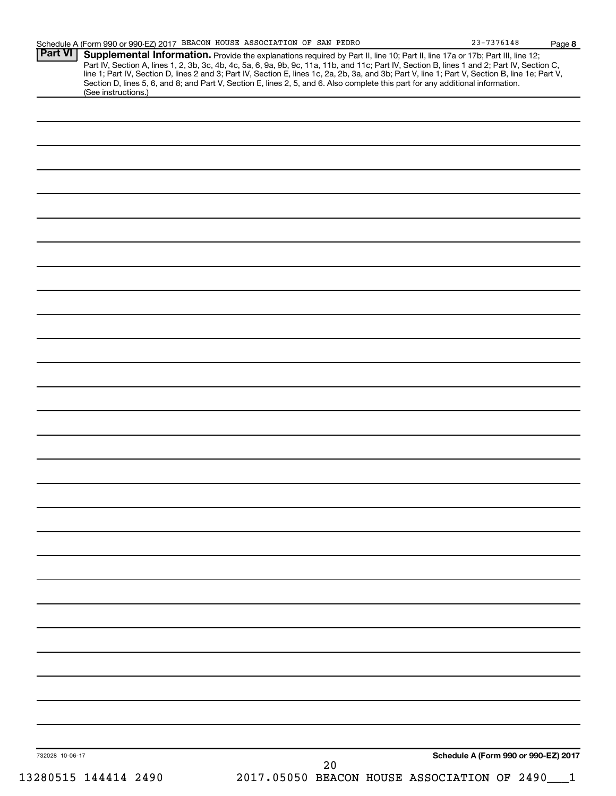|                 | Schedule A (Form 990 or 990-EZ) 2017 BEACON HOUSE ASSOCIATION OF SAN PEDRO                                                                                                                                                                                                                                                                                                                                                                                                                                                                                                                  | 23-7376148                           | Page 8 |
|-----------------|---------------------------------------------------------------------------------------------------------------------------------------------------------------------------------------------------------------------------------------------------------------------------------------------------------------------------------------------------------------------------------------------------------------------------------------------------------------------------------------------------------------------------------------------------------------------------------------------|--------------------------------------|--------|
| <b>Part VI</b>  | Supplemental Information. Provide the explanations required by Part II, line 10; Part II, line 17a or 17b; Part III, line 12;<br>Part IV, Section A, lines 1, 2, 3b, 3c, 4b, 4c, 5a, 6, 9a, 9b, 9c, 11a, 11b, and 11c; Part IV, Section B, lines 1 and 2; Part IV, Section C,<br>line 1; Part IV, Section D, lines 2 and 3; Part IV, Section E, lines 1c, 2a, 2b, 3a, and 3b; Part V, line 1; Part V, Section B, line 1e; Part V,<br>Section D, lines 5, 6, and 8; and Part V, Section E, lines 2, 5, and 6. Also complete this part for any additional information.<br>(See instructions.) |                                      |        |
|                 |                                                                                                                                                                                                                                                                                                                                                                                                                                                                                                                                                                                             |                                      |        |
|                 |                                                                                                                                                                                                                                                                                                                                                                                                                                                                                                                                                                                             |                                      |        |
|                 |                                                                                                                                                                                                                                                                                                                                                                                                                                                                                                                                                                                             |                                      |        |
|                 |                                                                                                                                                                                                                                                                                                                                                                                                                                                                                                                                                                                             |                                      |        |
|                 |                                                                                                                                                                                                                                                                                                                                                                                                                                                                                                                                                                                             |                                      |        |
|                 |                                                                                                                                                                                                                                                                                                                                                                                                                                                                                                                                                                                             |                                      |        |
|                 |                                                                                                                                                                                                                                                                                                                                                                                                                                                                                                                                                                                             |                                      |        |
|                 |                                                                                                                                                                                                                                                                                                                                                                                                                                                                                                                                                                                             |                                      |        |
|                 |                                                                                                                                                                                                                                                                                                                                                                                                                                                                                                                                                                                             |                                      |        |
|                 |                                                                                                                                                                                                                                                                                                                                                                                                                                                                                                                                                                                             |                                      |        |
|                 |                                                                                                                                                                                                                                                                                                                                                                                                                                                                                                                                                                                             |                                      |        |
|                 |                                                                                                                                                                                                                                                                                                                                                                                                                                                                                                                                                                                             |                                      |        |
|                 |                                                                                                                                                                                                                                                                                                                                                                                                                                                                                                                                                                                             |                                      |        |
|                 |                                                                                                                                                                                                                                                                                                                                                                                                                                                                                                                                                                                             |                                      |        |
|                 |                                                                                                                                                                                                                                                                                                                                                                                                                                                                                                                                                                                             |                                      |        |
|                 |                                                                                                                                                                                                                                                                                                                                                                                                                                                                                                                                                                                             |                                      |        |
|                 |                                                                                                                                                                                                                                                                                                                                                                                                                                                                                                                                                                                             |                                      |        |
|                 |                                                                                                                                                                                                                                                                                                                                                                                                                                                                                                                                                                                             |                                      |        |
|                 |                                                                                                                                                                                                                                                                                                                                                                                                                                                                                                                                                                                             |                                      |        |
|                 |                                                                                                                                                                                                                                                                                                                                                                                                                                                                                                                                                                                             |                                      |        |
|                 |                                                                                                                                                                                                                                                                                                                                                                                                                                                                                                                                                                                             |                                      |        |
|                 |                                                                                                                                                                                                                                                                                                                                                                                                                                                                                                                                                                                             |                                      |        |
|                 |                                                                                                                                                                                                                                                                                                                                                                                                                                                                                                                                                                                             |                                      |        |
|                 |                                                                                                                                                                                                                                                                                                                                                                                                                                                                                                                                                                                             |                                      |        |
|                 |                                                                                                                                                                                                                                                                                                                                                                                                                                                                                                                                                                                             |                                      |        |
|                 |                                                                                                                                                                                                                                                                                                                                                                                                                                                                                                                                                                                             |                                      |        |
|                 |                                                                                                                                                                                                                                                                                                                                                                                                                                                                                                                                                                                             |                                      |        |
|                 |                                                                                                                                                                                                                                                                                                                                                                                                                                                                                                                                                                                             |                                      |        |
|                 |                                                                                                                                                                                                                                                                                                                                                                                                                                                                                                                                                                                             |                                      |        |
|                 |                                                                                                                                                                                                                                                                                                                                                                                                                                                                                                                                                                                             |                                      |        |
|                 |                                                                                                                                                                                                                                                                                                                                                                                                                                                                                                                                                                                             |                                      |        |
|                 |                                                                                                                                                                                                                                                                                                                                                                                                                                                                                                                                                                                             |                                      |        |
| 732028 10-06-17 | 20                                                                                                                                                                                                                                                                                                                                                                                                                                                                                                                                                                                          | Schedule A (Form 990 or 990-EZ) 2017 |        |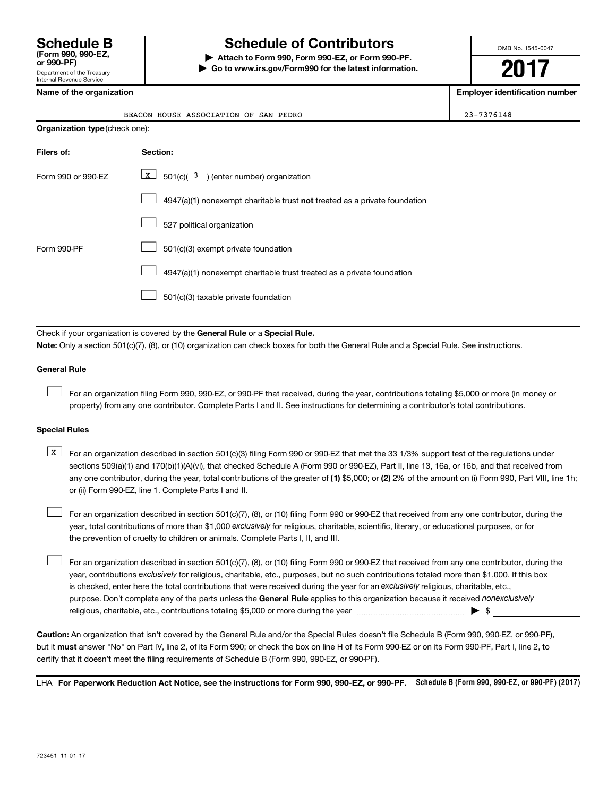### **Schedule B Schedule of Contributors**

**or 990-PF) | Attach to Form 990, Form 990-EZ, or Form 990-PF. | Go to www.irs.gov/Form990 for the latest information.** OMB No. 1545-0047

**2017**

**Name of the organization Employer identification number**

|                                | BEACON HOUSE ASSOCIATION OF SAN PEDRO                                                                                                                                                                                     | $23 - 7376148$ |
|--------------------------------|---------------------------------------------------------------------------------------------------------------------------------------------------------------------------------------------------------------------------|----------------|
| Organization type (check one): |                                                                                                                                                                                                                           |                |
| Filers of:                     | Section:                                                                                                                                                                                                                  |                |
| Form 990 or 990-EZ             | x  <br>$501(c)$ ( $3$ ) (enter number) organization                                                                                                                                                                       |                |
|                                | 4947(a)(1) nonexempt charitable trust not treated as a private foundation                                                                                                                                                 |                |
|                                | 527 political organization                                                                                                                                                                                                |                |
| Form 990-PF                    | 501(c)(3) exempt private foundation                                                                                                                                                                                       |                |
|                                | 4947(a)(1) nonexempt charitable trust treated as a private foundation                                                                                                                                                     |                |
|                                | 501(c)(3) taxable private foundation                                                                                                                                                                                      |                |
|                                | Check if your organization is covered by the General Rule or a Special Rule.<br>Note: Only a section 501(c)(7), (8), or (10) organization can check boxes for both the General Rule and a Special Rule. See instructions. |                |
| <b>General Rule</b>            |                                                                                                                                                                                                                           |                |
|                                | For an organization filing Form 990, 990-EZ, or 990-PF that received, during the year, contributions totaling \$5,000 or more (in money or                                                                                |                |

**Special Rules**

any one contributor, during the year, total contributions of the greater of (1) \$5,000; or (2) 2% of the amount on (i) Form 990, Part VIII, line 1h; **K** For an organization described in section 501(c)(3) filing Form 990 or 990-EZ that met the 33 1/3% support test of the regulations under sections 509(a)(1) and 170(b)(1)(A)(vi), that checked Schedule A (Form 990 or 990-EZ), Part II, line 13, 16a, or 16b, and that received from or (ii) Form 990-EZ, line 1. Complete Parts I and II.

property) from any one contributor. Complete Parts I and II. See instructions for determining a contributor's total contributions.

year, total contributions of more than \$1,000 *exclusively* for religious, charitable, scientific, literary, or educational purposes, or for For an organization described in section 501(c)(7), (8), or (10) filing Form 990 or 990-EZ that received from any one contributor, during the the prevention of cruelty to children or animals. Complete Parts I, II, and III.  $\Box$ 

purpose. Don't complete any of the parts unless the General Rule applies to this organization because it received nonexclusively year, contributions exclusively for religious, charitable, etc., purposes, but no such contributions totaled more than \$1,000. If this box is checked, enter here the total contributions that were received during the year for an exclusively religious, charitable, etc., For an organization described in section 501(c)(7), (8), or (10) filing Form 990 or 990-EZ that received from any one contributor, during the religious, charitable, etc., contributions totaling \$5,000 or more during the year  $\ldots$  $\ldots$  $\ldots$  $\ldots$  $\ldots$  $\ldots$  $\Box$ 

**Caution:**  An organization that isn't covered by the General Rule and/or the Special Rules doesn't file Schedule B (Form 990, 990-EZ, or 990-PF),  **must** but it answer "No" on Part IV, line 2, of its Form 990; or check the box on line H of its Form 990-EZ or on its Form 990-PF, Part I, line 2, to certify that it doesn't meet the filing requirements of Schedule B (Form 990, 990-EZ, or 990-PF).

LHA For Paperwork Reduction Act Notice, see the instructions for Form 990, 990-EZ, or 990-PF. Schedule B (Form 990, 990-EZ, or 990-PF) (2017)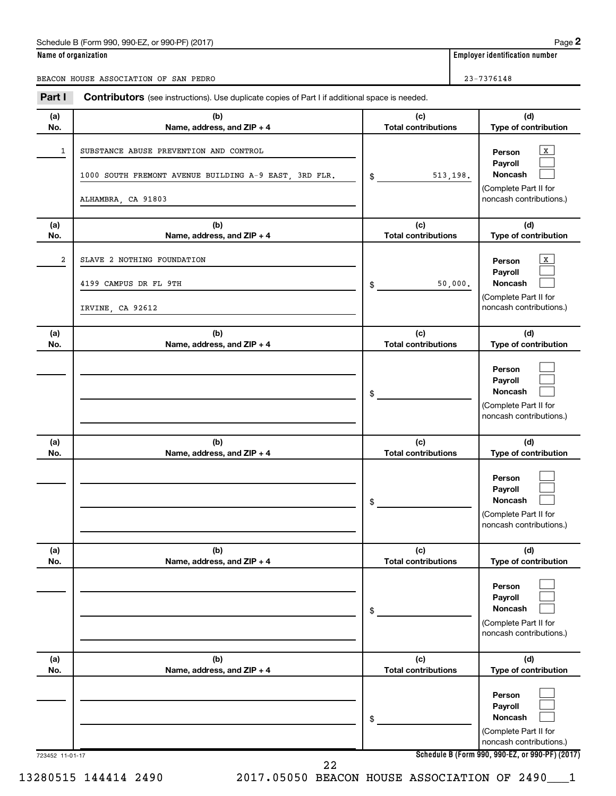#### Schedule B (Form 990, 990-EZ, or 990-PF) (2017)

|  | Name of organization |  |
|--|----------------------|--|
|  |                      |  |

**Name of organization Employer identification number** 

BEACON HOUSE ASSOCIATION OF SAN PEDRO 23-7376148

|            | Contributors (see instructions). Use duplicate copies of Part I if additional space is needed.                        |                                   |                                                                                                  |
|------------|-----------------------------------------------------------------------------------------------------------------------|-----------------------------------|--------------------------------------------------------------------------------------------------|
| (a)<br>No. | (b)<br>Name, address, and ZIP + 4                                                                                     | (c)<br><b>Total contributions</b> | (d)<br>Type of contribution                                                                      |
| 1          | SUBSTANCE ABUSE PREVENTION AND CONTROL<br>1000 SOUTH FREMONT AVENUE BUILDING A-9 EAST, 3RD FLR.<br>ALHAMBRA, CA 91803 | 513,198.<br>\$                    | $\mathbf{x}$<br>Person<br>Payroll<br>Noncash<br>(Complete Part II for<br>noncash contributions.) |
| (a)<br>No. | (b)<br>Name, address, and ZIP + 4                                                                                     | (c)<br><b>Total contributions</b> | (d)<br>Type of contribution                                                                      |
| 2          | SLAVE 2 NOTHING FOUNDATION<br>4199 CAMPUS DR FL 9TH<br>IRVINE, CA 92612                                               | 50,000.<br>\$                     | X<br>Person<br>Payroll<br>Noncash<br>(Complete Part II for<br>noncash contributions.)            |
| (a)<br>No. | (b)<br>Name, address, and ZIP + 4                                                                                     | (c)<br><b>Total contributions</b> | (d)<br>Type of contribution                                                                      |
|            |                                                                                                                       | \$                                | Person<br>Payroll<br>Noncash<br>(Complete Part II for<br>noncash contributions.)                 |
| (a)<br>No. | (b)<br>Name, address, and ZIP + 4                                                                                     | (c)<br><b>Total contributions</b> | (d)<br>Type of contribution                                                                      |
|            |                                                                                                                       | \$                                | Person<br>Payroll<br>Noncash<br>(Complete Part II for<br>noncash contributions.)                 |
| (a)<br>No. | (b)<br>Name, address, and ZIP + 4                                                                                     | (c)<br><b>Total contributions</b> | (d)<br>Type of contribution                                                                      |
|            |                                                                                                                       | \$                                | Person<br>Payroll<br>Noncash<br>(Complete Part II for<br>noncash contributions.)                 |
| (a)<br>No. | (b)<br>Name, address, and ZIP + 4                                                                                     | (c)<br><b>Total contributions</b> | (d)<br>Type of contribution                                                                      |
|            |                                                                                                                       | \$                                | Person<br>Payroll<br>Noncash<br>(Complete Part II for<br>noncash contributions.)                 |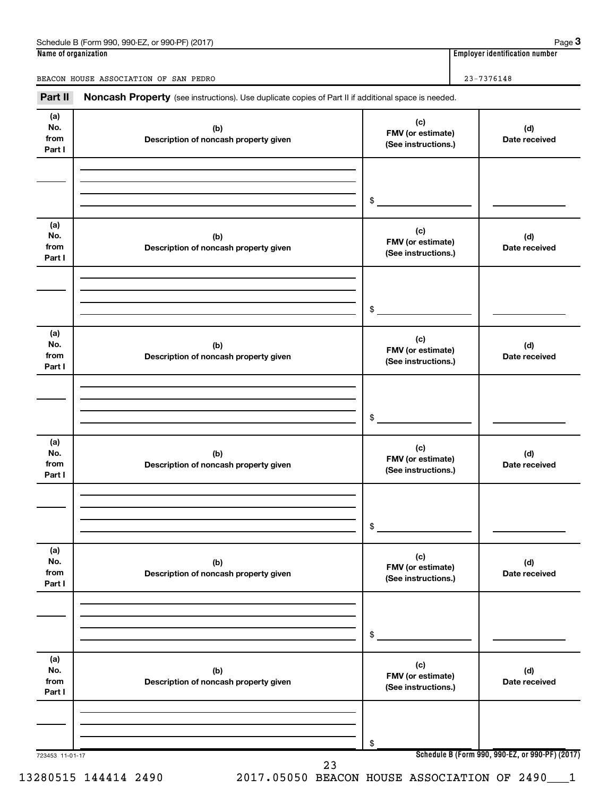#### **Name of organization Employer identification number** Schedule B (Form 990, 990-EZ, or 990-PF) (2017)

BEACON HOUSE ASSOCIATION OF SAN PEDRO 23-7376148

Part II Noncash Property (see instructions). Use duplicate copies of Part II if additional space is needed.

| No.<br>from<br>Part I        | (b)<br>Description of noncash property given | (c)<br>FMV (or estimate)<br>(See instructions.) | (d)<br>Date received |
|------------------------------|----------------------------------------------|-------------------------------------------------|----------------------|
|                              |                                              | \$                                              |                      |
| (a)<br>No.<br>from<br>Part I | (b)<br>Description of noncash property given | (c)<br>FMV (or estimate)<br>(See instructions.) | (d)<br>Date received |
|                              |                                              | $$^{\circ}$                                     |                      |
| (a)<br>No.<br>from<br>Part I | (b)<br>Description of noncash property given | (c)<br>FMV (or estimate)<br>(See instructions.) | (d)<br>Date received |
|                              |                                              | $\mathsf{S}$                                    |                      |
| (a)<br>No.<br>from<br>Part I | (b)<br>Description of noncash property given | (c)<br>FMV (or estimate)<br>(See instructions.) | (d)<br>Date received |
|                              |                                              | $\frac{1}{2}$                                   |                      |
| (a)<br>No.<br>from<br>Part I | (b)<br>Description of noncash property given | (c)<br>FMV (or estimate)<br>(See instructions.) | (d)<br>Date received |
|                              |                                              | \$                                              |                      |
| (a)<br>No.<br>from<br>Part I | (b)<br>Description of noncash property given | (c)<br>FMV (or estimate)<br>(See instructions.) | (d)<br>Date received |
|                              |                                              | \$                                              |                      |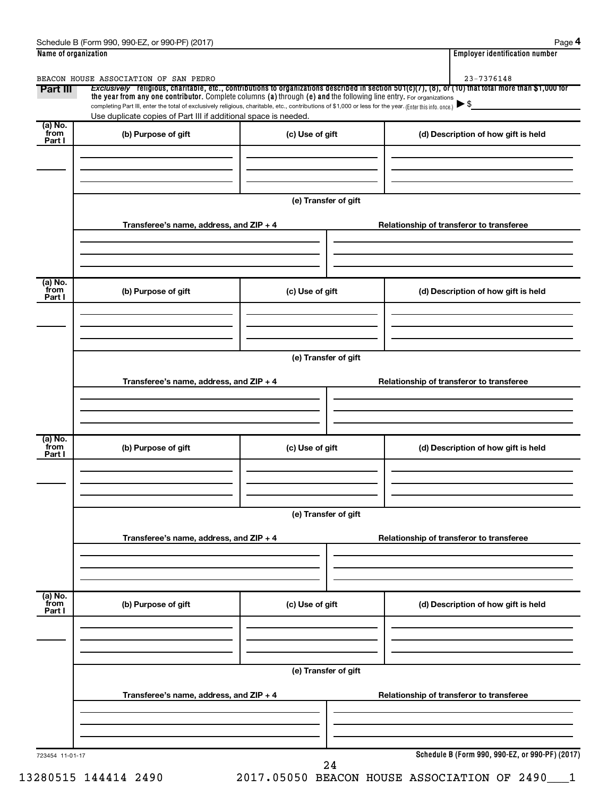| Part III                  | BEACON HOUSE ASSOCIATION OF SAN PEDRO<br>the year from any one contributor. Complete columns (a) through (e) and the following line entry. For organizations                                                                |                      | $23 - 7376148$<br>Exclusively religious, charitable, etc., contributions to organizations described in section 501(c)(7), (8), or (10) that total more than \$1,000 for |
|---------------------------|-----------------------------------------------------------------------------------------------------------------------------------------------------------------------------------------------------------------------------|----------------------|-------------------------------------------------------------------------------------------------------------------------------------------------------------------------|
|                           | completing Part III, enter the total of exclusively religious, charitable, etc., contributions of \$1,000 or less for the year. (Enter this info. once.)<br>Use duplicate copies of Part III if additional space is needed. |                      |                                                                                                                                                                         |
| (a) No.<br>from<br>Part I | (b) Purpose of gift                                                                                                                                                                                                         | (c) Use of gift      | (d) Description of how gift is held                                                                                                                                     |
|                           |                                                                                                                                                                                                                             | (e) Transfer of gift |                                                                                                                                                                         |
|                           | Transferee's name, address, and ZIP + 4                                                                                                                                                                                     |                      | Relationship of transferor to transferee                                                                                                                                |
| (a) No.<br>from<br>Part I | (b) Purpose of gift                                                                                                                                                                                                         | (c) Use of gift      | (d) Description of how gift is held                                                                                                                                     |
|                           | Transferee's name, address, and ZIP + 4                                                                                                                                                                                     | (e) Transfer of gift | Relationship of transferor to transferee                                                                                                                                |
| (a) No.                   |                                                                                                                                                                                                                             |                      |                                                                                                                                                                         |
| from<br>Part I            | (b) Purpose of gift                                                                                                                                                                                                         | (c) Use of gift      | (d) Description of how gift is held                                                                                                                                     |
|                           |                                                                                                                                                                                                                             | (e) Transfer of gift |                                                                                                                                                                         |
|                           | Transferee's name, address, and ZIP + 4                                                                                                                                                                                     |                      | Relationship of transferor to transferee                                                                                                                                |
| (a) No.<br>from<br>Part I | (b) Purpose of gift                                                                                                                                                                                                         | (c) Use of gift      | (d) Description of how gift is held                                                                                                                                     |
|                           |                                                                                                                                                                                                                             |                      |                                                                                                                                                                         |
|                           |                                                                                                                                                                                                                             | (e) Transfer of gift | Relationship of transferor to transferee                                                                                                                                |
|                           | Transferee's name, address, and ZIP + 4                                                                                                                                                                                     |                      |                                                                                                                                                                         |

13280515 144414 2490 2017.05050 BEACON HOUSE ASSOCIATION OF 2490\_\_\_1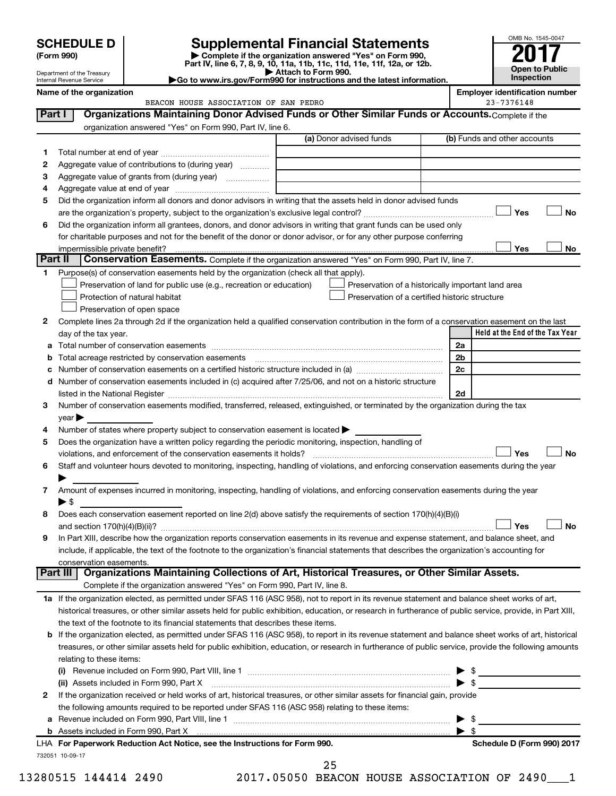| (Form 990) |  |
|------------|--|
|------------|--|

# **SCHEDULE D Supplemental Financial Statements**<br> **Form 990 2017**<br> **Part IV** line 6.7.8.9.10, 11a, 11b, 11d, 11d, 11d, 11d, 11d, 12a, 0r, 12b

**(Form 990) | Complete if the organization answered "Yes" on Form 990, Part IV, line 6, 7, 8, 9, 10, 11a, 11b, 11c, 11d, 11e, 11f, 12a, or 12b.**

**| Attach to Form 990. |Go to www.irs.gov/Form990 for instructions and the latest information.**



Department of the Treasury Internal Revenue Service

**Name of the organization Employer identification number** BEACON HOUSE ASSOCIATION OF SAN PEDRO 23-7376148

| Part I       | Organizations Maintaining Donor Advised Funds or Other Similar Funds or Accounts. Complete if the                                                         |                         |                                                    |
|--------------|-----------------------------------------------------------------------------------------------------------------------------------------------------------|-------------------------|----------------------------------------------------|
|              | organization answered "Yes" on Form 990, Part IV, line 6.                                                                                                 |                         |                                                    |
|              |                                                                                                                                                           | (a) Donor advised funds | (b) Funds and other accounts                       |
| 1            |                                                                                                                                                           |                         |                                                    |
| 2            | Aggregate value of contributions to (during year)                                                                                                         |                         |                                                    |
| З            | Aggregate value of grants from (during year)                                                                                                              |                         |                                                    |
| 4            |                                                                                                                                                           |                         |                                                    |
| 5            | Did the organization inform all donors and donor advisors in writing that the assets held in donor advised funds                                          |                         |                                                    |
|              |                                                                                                                                                           |                         | Yes<br>No                                          |
| 6            | Did the organization inform all grantees, donors, and donor advisors in writing that grant funds can be used only                                         |                         |                                                    |
|              | for charitable purposes and not for the benefit of the donor or donor advisor, or for any other purpose conferring                                        |                         |                                                    |
|              | impermissible private benefit?                                                                                                                            |                         | Yes<br>No                                          |
| Part II      | Conservation Easements. Complete if the organization answered "Yes" on Form 990, Part IV, line 7.                                                         |                         |                                                    |
| 1.           | Purpose(s) of conservation easements held by the organization (check all that apply).                                                                     |                         |                                                    |
|              | Preservation of land for public use (e.g., recreation or education)                                                                                       |                         | Preservation of a historically important land area |
|              | Protection of natural habitat                                                                                                                             |                         | Preservation of a certified historic structure     |
|              | Preservation of open space                                                                                                                                |                         |                                                    |
| 2            | Complete lines 2a through 2d if the organization held a qualified conservation contribution in the form of a conservation easement on the last            |                         |                                                    |
|              | day of the tax year.                                                                                                                                      |                         | Held at the End of the Tax Year                    |
|              |                                                                                                                                                           |                         | 2a                                                 |
|              | Total acreage restricted by conservation easements                                                                                                        |                         | 2b                                                 |
|              |                                                                                                                                                           |                         | 2c                                                 |
| d            | Number of conservation easements included in (c) acquired after 7/25/06, and not on a historic structure                                                  |                         |                                                    |
|              |                                                                                                                                                           |                         | 2d                                                 |
| 3            | Number of conservation easements modified, transferred, released, extinguished, or terminated by the organization during the tax                          |                         |                                                    |
|              | year                                                                                                                                                      |                         |                                                    |
| 4            | Number of states where property subject to conservation easement is located >                                                                             |                         |                                                    |
| 5            | Does the organization have a written policy regarding the periodic monitoring, inspection, handling of                                                    |                         |                                                    |
|              | violations, and enforcement of the conservation easements it holds?                                                                                       |                         | Yes<br><b>No</b>                                   |
| 6            | Staff and volunteer hours devoted to monitoring, inspecting, handling of violations, and enforcing conservation easements during the year                 |                         |                                                    |
|              |                                                                                                                                                           |                         |                                                    |
| 7            | Amount of expenses incurred in monitoring, inspecting, handling of violations, and enforcing conservation easements during the year                       |                         |                                                    |
|              | $\blacktriangleright$ \$                                                                                                                                  |                         |                                                    |
| 8            | Does each conservation easement reported on line 2(d) above satisfy the requirements of section 170(h)(4)(B)(i)                                           |                         |                                                    |
|              |                                                                                                                                                           |                         | <b>No</b><br>Yes                                   |
| 9            | In Part XIII, describe how the organization reports conservation easements in its revenue and expense statement, and balance sheet, and                   |                         |                                                    |
|              | include, if applicable, the text of the footnote to the organization's financial statements that describes the organization's accounting for              |                         |                                                    |
|              | conservation easements.<br>Organizations Maintaining Collections of Art, Historical Treasures, or Other Similar Assets.<br>Part III                       |                         |                                                    |
|              | Complete if the organization answered "Yes" on Form 990, Part IV, line 8.                                                                                 |                         |                                                    |
|              | 1a If the organization elected, as permitted under SFAS 116 (ASC 958), not to report in its revenue statement and balance sheet works of art,             |                         |                                                    |
|              | historical treasures, or other similar assets held for public exhibition, education, or research in furtherance of public service, provide, in Part XIII, |                         |                                                    |
|              | the text of the footnote to its financial statements that describes these items.                                                                          |                         |                                                    |
| b            | If the organization elected, as permitted under SFAS 116 (ASC 958), to report in its revenue statement and balance sheet works of art, historical         |                         |                                                    |
|              | treasures, or other similar assets held for public exhibition, education, or research in furtherance of public service, provide the following amounts     |                         |                                                    |
|              | relating to these items:                                                                                                                                  |                         |                                                    |
|              |                                                                                                                                                           |                         | - \$                                               |
|              | (ii) Assets included in Form 990, Part X                                                                                                                  |                         | $\blacktriangleright$ \$                           |
| $\mathbf{2}$ | If the organization received or held works of art, historical treasures, or other similar assets for financial gain, provide                              |                         |                                                    |
|              | the following amounts required to be reported under SFAS 116 (ASC 958) relating to these items:                                                           |                         |                                                    |
|              |                                                                                                                                                           |                         | -\$                                                |
|              |                                                                                                                                                           |                         | $\blacktriangleright$ s                            |
|              | LHA For Paperwork Reduction Act Notice, see the Instructions for Form 990.                                                                                |                         | Schedule D (Form 990) 2017                         |
|              | 732051 10-09-17                                                                                                                                           |                         |                                                    |

13280515 144414 2490 2017.05050 BEACON HOUSE ASSOCIATION OF 2490\_\_\_1 25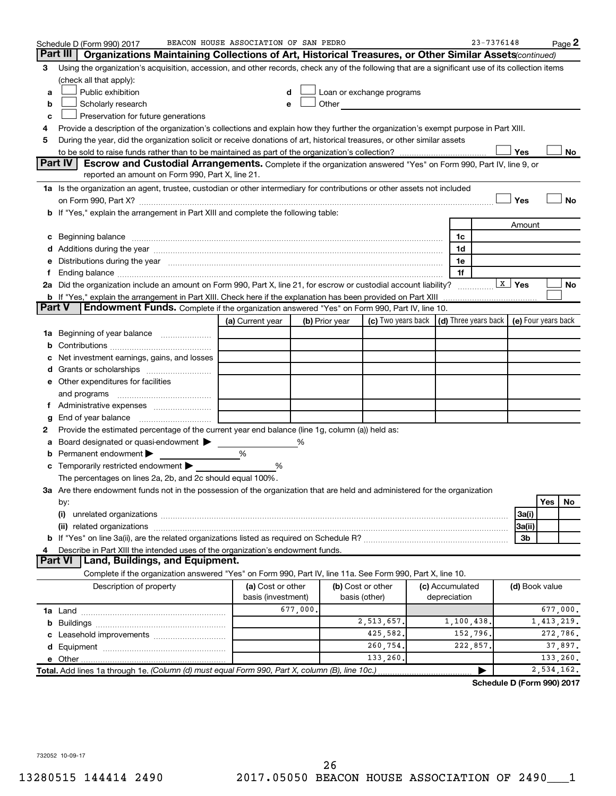| Part III<br>Organizations Maintaining Collections of Art, Historical Treasures, or Other Similar Assets (continued)<br>Using the organization's acquisition, accession, and other records, check any of the following that are a significant use of its collection items<br>З<br>(check all that apply):<br>Public exhibition<br>Loan or exchange programs<br>d<br>a<br>Other and the contract of the contract of the contract of the contract of the contract of the contract of the contract of the contract of the contract of the contract of the contract of the contract of the contract of the<br>Scholarly research<br>b<br>Preservation for future generations<br>с<br>Provide a description of the organization's collections and explain how they further the organization's exempt purpose in Part XIII.<br>4<br>During the year, did the organization solicit or receive donations of art, historical treasures, or other similar assets<br>5<br>Yes<br>No<br>Part IV<br><b>Escrow and Custodial Arrangements.</b> Complete if the organization answered "Yes" on Form 990, Part IV, line 9, or<br>reported an amount on Form 990, Part X, line 21.<br>1a Is the organization an agent, trustee, custodian or other intermediary for contributions or other assets not included<br>Yes<br>No<br>b If "Yes," explain the arrangement in Part XIII and complete the following table:<br>Amount<br>c Beginning balance measurements and the contract of the contract of the contract of the contract of the contract of the contract of the contract of the contract of the contract of the contract of the contract of the contr<br>1c<br>1d<br>e Distributions during the year measurement contained and all the contract of the contract of the set of the s<br>1e<br>1f<br>$X \mid Y$ es<br>2a Did the organization include an amount on Form 990, Part X, line 21, for escrow or custodial account liability?<br>No<br><b>b</b> If "Yes," explain the arrangement in Part XIII. Check here if the explanation has been provided on Part XIII<br>Endowment Funds. Complete if the organization answered "Yes" on Form 990, Part IV, line 10.<br>Part V<br>$(d)$ Three years back $\mid$ (e) Four years back<br>(c) Two years back<br>(a) Current year<br>(b) Prior year<br>1a Beginning of year balance<br>b<br>Net investment earnings, gains, and losses<br>e Other expenditures for facilities<br>End of year balance <i>manually contained</i><br>g<br>Provide the estimated percentage of the current year end balance (line 1g, column (a)) held as:<br>2<br>Board designated or quasi-endowment ><br>%<br>а<br><b>b</b> Permanent endowment $\blacktriangleright$<br>%<br>c Temporarily restricted endowment<br>%<br>The percentages on lines 2a, 2b, and 2c should equal 100%.<br>3a Are there endowment funds not in the possession of the organization that are held and administered for the organization<br>Yes<br>No<br>by:<br>3a(i)<br>(i)<br>3a(ii)<br>3b<br>Describe in Part XIII the intended uses of the organization's endowment funds.<br>4<br>Land, Buildings, and Equipment.<br><b>Part VI</b><br>Complete if the organization answered "Yes" on Form 990, Part IV, line 11a. See Form 990, Part X, line 10.<br>Description of property<br>(a) Cost or other<br>(b) Cost or other<br>(c) Accumulated<br>(d) Book value<br>basis (investment)<br>depreciation<br>basis (other)<br>677,000.<br>677,000.<br>2,513,657.<br>1,413,219.<br>1,100,438.<br>272,786.<br>425,582.<br>152,796.<br>37,897.<br>260,754,<br>222,857.<br>133,260.<br>133,260<br>Total. Add lines 1a through 1e. (Column (d) must equal Form 990, Part X, column (B), line 10c.)<br>2,534,162.<br>▶ | Schedule D (Form 990) 2017 | BEACON HOUSE ASSOCIATION OF SAN PEDRO |  |  | $23 - 7376148$ |  | Page 2 |
|---------------------------------------------------------------------------------------------------------------------------------------------------------------------------------------------------------------------------------------------------------------------------------------------------------------------------------------------------------------------------------------------------------------------------------------------------------------------------------------------------------------------------------------------------------------------------------------------------------------------------------------------------------------------------------------------------------------------------------------------------------------------------------------------------------------------------------------------------------------------------------------------------------------------------------------------------------------------------------------------------------------------------------------------------------------------------------------------------------------------------------------------------------------------------------------------------------------------------------------------------------------------------------------------------------------------------------------------------------------------------------------------------------------------------------------------------------------------------------------------------------------------------------------------------------------------------------------------------------------------------------------------------------------------------------------------------------------------------------------------------------------------------------------------------------------------------------------------------------------------------------------------------------------------------------------------------------------------------------------------------------------------------------------------------------------------------------------------------------------------------------------------------------------------------------------------------------------------------------------------------------------------------------------------------------------------------------------------------------------------------------------------------------------------------------------------------------------------------------------------------------------------------------------------------------------------------------------------------------------------------------------------------------------------------------------------------------------------------------------------------------------------------------------------------------------------------------------------------------------------------------------------------------------------------------------------------------------------------------------------------------------------------------------------------------------------------------------------------------------------------------------------------------------------------------------------------------------------------------------------------------------------------------------------------------------------------------------------------------------------------------------------------------------------------------------------------------------------------------------------------------------------------------------------------------------------------------------------------------------------------------------------------------------------------------------------------------|----------------------------|---------------------------------------|--|--|----------------|--|--------|
|                                                                                                                                                                                                                                                                                                                                                                                                                                                                                                                                                                                                                                                                                                                                                                                                                                                                                                                                                                                                                                                                                                                                                                                                                                                                                                                                                                                                                                                                                                                                                                                                                                                                                                                                                                                                                                                                                                                                                                                                                                                                                                                                                                                                                                                                                                                                                                                                                                                                                                                                                                                                                                                                                                                                                                                                                                                                                                                                                                                                                                                                                                                                                                                                                                                                                                                                                                                                                                                                                                                                                                                                                                                                                                         |                            |                                       |  |  |                |  |        |
|                                                                                                                                                                                                                                                                                                                                                                                                                                                                                                                                                                                                                                                                                                                                                                                                                                                                                                                                                                                                                                                                                                                                                                                                                                                                                                                                                                                                                                                                                                                                                                                                                                                                                                                                                                                                                                                                                                                                                                                                                                                                                                                                                                                                                                                                                                                                                                                                                                                                                                                                                                                                                                                                                                                                                                                                                                                                                                                                                                                                                                                                                                                                                                                                                                                                                                                                                                                                                                                                                                                                                                                                                                                                                                         |                            |                                       |  |  |                |  |        |
|                                                                                                                                                                                                                                                                                                                                                                                                                                                                                                                                                                                                                                                                                                                                                                                                                                                                                                                                                                                                                                                                                                                                                                                                                                                                                                                                                                                                                                                                                                                                                                                                                                                                                                                                                                                                                                                                                                                                                                                                                                                                                                                                                                                                                                                                                                                                                                                                                                                                                                                                                                                                                                                                                                                                                                                                                                                                                                                                                                                                                                                                                                                                                                                                                                                                                                                                                                                                                                                                                                                                                                                                                                                                                                         |                            |                                       |  |  |                |  |        |
|                                                                                                                                                                                                                                                                                                                                                                                                                                                                                                                                                                                                                                                                                                                                                                                                                                                                                                                                                                                                                                                                                                                                                                                                                                                                                                                                                                                                                                                                                                                                                                                                                                                                                                                                                                                                                                                                                                                                                                                                                                                                                                                                                                                                                                                                                                                                                                                                                                                                                                                                                                                                                                                                                                                                                                                                                                                                                                                                                                                                                                                                                                                                                                                                                                                                                                                                                                                                                                                                                                                                                                                                                                                                                                         |                            |                                       |  |  |                |  |        |
|                                                                                                                                                                                                                                                                                                                                                                                                                                                                                                                                                                                                                                                                                                                                                                                                                                                                                                                                                                                                                                                                                                                                                                                                                                                                                                                                                                                                                                                                                                                                                                                                                                                                                                                                                                                                                                                                                                                                                                                                                                                                                                                                                                                                                                                                                                                                                                                                                                                                                                                                                                                                                                                                                                                                                                                                                                                                                                                                                                                                                                                                                                                                                                                                                                                                                                                                                                                                                                                                                                                                                                                                                                                                                                         |                            |                                       |  |  |                |  |        |
|                                                                                                                                                                                                                                                                                                                                                                                                                                                                                                                                                                                                                                                                                                                                                                                                                                                                                                                                                                                                                                                                                                                                                                                                                                                                                                                                                                                                                                                                                                                                                                                                                                                                                                                                                                                                                                                                                                                                                                                                                                                                                                                                                                                                                                                                                                                                                                                                                                                                                                                                                                                                                                                                                                                                                                                                                                                                                                                                                                                                                                                                                                                                                                                                                                                                                                                                                                                                                                                                                                                                                                                                                                                                                                         |                            |                                       |  |  |                |  |        |
|                                                                                                                                                                                                                                                                                                                                                                                                                                                                                                                                                                                                                                                                                                                                                                                                                                                                                                                                                                                                                                                                                                                                                                                                                                                                                                                                                                                                                                                                                                                                                                                                                                                                                                                                                                                                                                                                                                                                                                                                                                                                                                                                                                                                                                                                                                                                                                                                                                                                                                                                                                                                                                                                                                                                                                                                                                                                                                                                                                                                                                                                                                                                                                                                                                                                                                                                                                                                                                                                                                                                                                                                                                                                                                         |                            |                                       |  |  |                |  |        |
|                                                                                                                                                                                                                                                                                                                                                                                                                                                                                                                                                                                                                                                                                                                                                                                                                                                                                                                                                                                                                                                                                                                                                                                                                                                                                                                                                                                                                                                                                                                                                                                                                                                                                                                                                                                                                                                                                                                                                                                                                                                                                                                                                                                                                                                                                                                                                                                                                                                                                                                                                                                                                                                                                                                                                                                                                                                                                                                                                                                                                                                                                                                                                                                                                                                                                                                                                                                                                                                                                                                                                                                                                                                                                                         |                            |                                       |  |  |                |  |        |
|                                                                                                                                                                                                                                                                                                                                                                                                                                                                                                                                                                                                                                                                                                                                                                                                                                                                                                                                                                                                                                                                                                                                                                                                                                                                                                                                                                                                                                                                                                                                                                                                                                                                                                                                                                                                                                                                                                                                                                                                                                                                                                                                                                                                                                                                                                                                                                                                                                                                                                                                                                                                                                                                                                                                                                                                                                                                                                                                                                                                                                                                                                                                                                                                                                                                                                                                                                                                                                                                                                                                                                                                                                                                                                         |                            |                                       |  |  |                |  |        |
|                                                                                                                                                                                                                                                                                                                                                                                                                                                                                                                                                                                                                                                                                                                                                                                                                                                                                                                                                                                                                                                                                                                                                                                                                                                                                                                                                                                                                                                                                                                                                                                                                                                                                                                                                                                                                                                                                                                                                                                                                                                                                                                                                                                                                                                                                                                                                                                                                                                                                                                                                                                                                                                                                                                                                                                                                                                                                                                                                                                                                                                                                                                                                                                                                                                                                                                                                                                                                                                                                                                                                                                                                                                                                                         |                            |                                       |  |  |                |  |        |
|                                                                                                                                                                                                                                                                                                                                                                                                                                                                                                                                                                                                                                                                                                                                                                                                                                                                                                                                                                                                                                                                                                                                                                                                                                                                                                                                                                                                                                                                                                                                                                                                                                                                                                                                                                                                                                                                                                                                                                                                                                                                                                                                                                                                                                                                                                                                                                                                                                                                                                                                                                                                                                                                                                                                                                                                                                                                                                                                                                                                                                                                                                                                                                                                                                                                                                                                                                                                                                                                                                                                                                                                                                                                                                         |                            |                                       |  |  |                |  |        |
|                                                                                                                                                                                                                                                                                                                                                                                                                                                                                                                                                                                                                                                                                                                                                                                                                                                                                                                                                                                                                                                                                                                                                                                                                                                                                                                                                                                                                                                                                                                                                                                                                                                                                                                                                                                                                                                                                                                                                                                                                                                                                                                                                                                                                                                                                                                                                                                                                                                                                                                                                                                                                                                                                                                                                                                                                                                                                                                                                                                                                                                                                                                                                                                                                                                                                                                                                                                                                                                                                                                                                                                                                                                                                                         |                            |                                       |  |  |                |  |        |
|                                                                                                                                                                                                                                                                                                                                                                                                                                                                                                                                                                                                                                                                                                                                                                                                                                                                                                                                                                                                                                                                                                                                                                                                                                                                                                                                                                                                                                                                                                                                                                                                                                                                                                                                                                                                                                                                                                                                                                                                                                                                                                                                                                                                                                                                                                                                                                                                                                                                                                                                                                                                                                                                                                                                                                                                                                                                                                                                                                                                                                                                                                                                                                                                                                                                                                                                                                                                                                                                                                                                                                                                                                                                                                         |                            |                                       |  |  |                |  |        |
|                                                                                                                                                                                                                                                                                                                                                                                                                                                                                                                                                                                                                                                                                                                                                                                                                                                                                                                                                                                                                                                                                                                                                                                                                                                                                                                                                                                                                                                                                                                                                                                                                                                                                                                                                                                                                                                                                                                                                                                                                                                                                                                                                                                                                                                                                                                                                                                                                                                                                                                                                                                                                                                                                                                                                                                                                                                                                                                                                                                                                                                                                                                                                                                                                                                                                                                                                                                                                                                                                                                                                                                                                                                                                                         |                            |                                       |  |  |                |  |        |
|                                                                                                                                                                                                                                                                                                                                                                                                                                                                                                                                                                                                                                                                                                                                                                                                                                                                                                                                                                                                                                                                                                                                                                                                                                                                                                                                                                                                                                                                                                                                                                                                                                                                                                                                                                                                                                                                                                                                                                                                                                                                                                                                                                                                                                                                                                                                                                                                                                                                                                                                                                                                                                                                                                                                                                                                                                                                                                                                                                                                                                                                                                                                                                                                                                                                                                                                                                                                                                                                                                                                                                                                                                                                                                         |                            |                                       |  |  |                |  |        |
|                                                                                                                                                                                                                                                                                                                                                                                                                                                                                                                                                                                                                                                                                                                                                                                                                                                                                                                                                                                                                                                                                                                                                                                                                                                                                                                                                                                                                                                                                                                                                                                                                                                                                                                                                                                                                                                                                                                                                                                                                                                                                                                                                                                                                                                                                                                                                                                                                                                                                                                                                                                                                                                                                                                                                                                                                                                                                                                                                                                                                                                                                                                                                                                                                                                                                                                                                                                                                                                                                                                                                                                                                                                                                                         |                            |                                       |  |  |                |  |        |
|                                                                                                                                                                                                                                                                                                                                                                                                                                                                                                                                                                                                                                                                                                                                                                                                                                                                                                                                                                                                                                                                                                                                                                                                                                                                                                                                                                                                                                                                                                                                                                                                                                                                                                                                                                                                                                                                                                                                                                                                                                                                                                                                                                                                                                                                                                                                                                                                                                                                                                                                                                                                                                                                                                                                                                                                                                                                                                                                                                                                                                                                                                                                                                                                                                                                                                                                                                                                                                                                                                                                                                                                                                                                                                         |                            |                                       |  |  |                |  |        |
|                                                                                                                                                                                                                                                                                                                                                                                                                                                                                                                                                                                                                                                                                                                                                                                                                                                                                                                                                                                                                                                                                                                                                                                                                                                                                                                                                                                                                                                                                                                                                                                                                                                                                                                                                                                                                                                                                                                                                                                                                                                                                                                                                                                                                                                                                                                                                                                                                                                                                                                                                                                                                                                                                                                                                                                                                                                                                                                                                                                                                                                                                                                                                                                                                                                                                                                                                                                                                                                                                                                                                                                                                                                                                                         |                            |                                       |  |  |                |  |        |
|                                                                                                                                                                                                                                                                                                                                                                                                                                                                                                                                                                                                                                                                                                                                                                                                                                                                                                                                                                                                                                                                                                                                                                                                                                                                                                                                                                                                                                                                                                                                                                                                                                                                                                                                                                                                                                                                                                                                                                                                                                                                                                                                                                                                                                                                                                                                                                                                                                                                                                                                                                                                                                                                                                                                                                                                                                                                                                                                                                                                                                                                                                                                                                                                                                                                                                                                                                                                                                                                                                                                                                                                                                                                                                         |                            |                                       |  |  |                |  |        |
|                                                                                                                                                                                                                                                                                                                                                                                                                                                                                                                                                                                                                                                                                                                                                                                                                                                                                                                                                                                                                                                                                                                                                                                                                                                                                                                                                                                                                                                                                                                                                                                                                                                                                                                                                                                                                                                                                                                                                                                                                                                                                                                                                                                                                                                                                                                                                                                                                                                                                                                                                                                                                                                                                                                                                                                                                                                                                                                                                                                                                                                                                                                                                                                                                                                                                                                                                                                                                                                                                                                                                                                                                                                                                                         |                            |                                       |  |  |                |  |        |
|                                                                                                                                                                                                                                                                                                                                                                                                                                                                                                                                                                                                                                                                                                                                                                                                                                                                                                                                                                                                                                                                                                                                                                                                                                                                                                                                                                                                                                                                                                                                                                                                                                                                                                                                                                                                                                                                                                                                                                                                                                                                                                                                                                                                                                                                                                                                                                                                                                                                                                                                                                                                                                                                                                                                                                                                                                                                                                                                                                                                                                                                                                                                                                                                                                                                                                                                                                                                                                                                                                                                                                                                                                                                                                         |                            |                                       |  |  |                |  |        |
|                                                                                                                                                                                                                                                                                                                                                                                                                                                                                                                                                                                                                                                                                                                                                                                                                                                                                                                                                                                                                                                                                                                                                                                                                                                                                                                                                                                                                                                                                                                                                                                                                                                                                                                                                                                                                                                                                                                                                                                                                                                                                                                                                                                                                                                                                                                                                                                                                                                                                                                                                                                                                                                                                                                                                                                                                                                                                                                                                                                                                                                                                                                                                                                                                                                                                                                                                                                                                                                                                                                                                                                                                                                                                                         |                            |                                       |  |  |                |  |        |
|                                                                                                                                                                                                                                                                                                                                                                                                                                                                                                                                                                                                                                                                                                                                                                                                                                                                                                                                                                                                                                                                                                                                                                                                                                                                                                                                                                                                                                                                                                                                                                                                                                                                                                                                                                                                                                                                                                                                                                                                                                                                                                                                                                                                                                                                                                                                                                                                                                                                                                                                                                                                                                                                                                                                                                                                                                                                                                                                                                                                                                                                                                                                                                                                                                                                                                                                                                                                                                                                                                                                                                                                                                                                                                         |                            |                                       |  |  |                |  |        |
|                                                                                                                                                                                                                                                                                                                                                                                                                                                                                                                                                                                                                                                                                                                                                                                                                                                                                                                                                                                                                                                                                                                                                                                                                                                                                                                                                                                                                                                                                                                                                                                                                                                                                                                                                                                                                                                                                                                                                                                                                                                                                                                                                                                                                                                                                                                                                                                                                                                                                                                                                                                                                                                                                                                                                                                                                                                                                                                                                                                                                                                                                                                                                                                                                                                                                                                                                                                                                                                                                                                                                                                                                                                                                                         |                            |                                       |  |  |                |  |        |
|                                                                                                                                                                                                                                                                                                                                                                                                                                                                                                                                                                                                                                                                                                                                                                                                                                                                                                                                                                                                                                                                                                                                                                                                                                                                                                                                                                                                                                                                                                                                                                                                                                                                                                                                                                                                                                                                                                                                                                                                                                                                                                                                                                                                                                                                                                                                                                                                                                                                                                                                                                                                                                                                                                                                                                                                                                                                                                                                                                                                                                                                                                                                                                                                                                                                                                                                                                                                                                                                                                                                                                                                                                                                                                         |                            |                                       |  |  |                |  |        |
|                                                                                                                                                                                                                                                                                                                                                                                                                                                                                                                                                                                                                                                                                                                                                                                                                                                                                                                                                                                                                                                                                                                                                                                                                                                                                                                                                                                                                                                                                                                                                                                                                                                                                                                                                                                                                                                                                                                                                                                                                                                                                                                                                                                                                                                                                                                                                                                                                                                                                                                                                                                                                                                                                                                                                                                                                                                                                                                                                                                                                                                                                                                                                                                                                                                                                                                                                                                                                                                                                                                                                                                                                                                                                                         |                            |                                       |  |  |                |  |        |
|                                                                                                                                                                                                                                                                                                                                                                                                                                                                                                                                                                                                                                                                                                                                                                                                                                                                                                                                                                                                                                                                                                                                                                                                                                                                                                                                                                                                                                                                                                                                                                                                                                                                                                                                                                                                                                                                                                                                                                                                                                                                                                                                                                                                                                                                                                                                                                                                                                                                                                                                                                                                                                                                                                                                                                                                                                                                                                                                                                                                                                                                                                                                                                                                                                                                                                                                                                                                                                                                                                                                                                                                                                                                                                         |                            |                                       |  |  |                |  |        |
|                                                                                                                                                                                                                                                                                                                                                                                                                                                                                                                                                                                                                                                                                                                                                                                                                                                                                                                                                                                                                                                                                                                                                                                                                                                                                                                                                                                                                                                                                                                                                                                                                                                                                                                                                                                                                                                                                                                                                                                                                                                                                                                                                                                                                                                                                                                                                                                                                                                                                                                                                                                                                                                                                                                                                                                                                                                                                                                                                                                                                                                                                                                                                                                                                                                                                                                                                                                                                                                                                                                                                                                                                                                                                                         |                            |                                       |  |  |                |  |        |
|                                                                                                                                                                                                                                                                                                                                                                                                                                                                                                                                                                                                                                                                                                                                                                                                                                                                                                                                                                                                                                                                                                                                                                                                                                                                                                                                                                                                                                                                                                                                                                                                                                                                                                                                                                                                                                                                                                                                                                                                                                                                                                                                                                                                                                                                                                                                                                                                                                                                                                                                                                                                                                                                                                                                                                                                                                                                                                                                                                                                                                                                                                                                                                                                                                                                                                                                                                                                                                                                                                                                                                                                                                                                                                         |                            |                                       |  |  |                |  |        |
|                                                                                                                                                                                                                                                                                                                                                                                                                                                                                                                                                                                                                                                                                                                                                                                                                                                                                                                                                                                                                                                                                                                                                                                                                                                                                                                                                                                                                                                                                                                                                                                                                                                                                                                                                                                                                                                                                                                                                                                                                                                                                                                                                                                                                                                                                                                                                                                                                                                                                                                                                                                                                                                                                                                                                                                                                                                                                                                                                                                                                                                                                                                                                                                                                                                                                                                                                                                                                                                                                                                                                                                                                                                                                                         |                            |                                       |  |  |                |  |        |
|                                                                                                                                                                                                                                                                                                                                                                                                                                                                                                                                                                                                                                                                                                                                                                                                                                                                                                                                                                                                                                                                                                                                                                                                                                                                                                                                                                                                                                                                                                                                                                                                                                                                                                                                                                                                                                                                                                                                                                                                                                                                                                                                                                                                                                                                                                                                                                                                                                                                                                                                                                                                                                                                                                                                                                                                                                                                                                                                                                                                                                                                                                                                                                                                                                                                                                                                                                                                                                                                                                                                                                                                                                                                                                         |                            |                                       |  |  |                |  |        |
|                                                                                                                                                                                                                                                                                                                                                                                                                                                                                                                                                                                                                                                                                                                                                                                                                                                                                                                                                                                                                                                                                                                                                                                                                                                                                                                                                                                                                                                                                                                                                                                                                                                                                                                                                                                                                                                                                                                                                                                                                                                                                                                                                                                                                                                                                                                                                                                                                                                                                                                                                                                                                                                                                                                                                                                                                                                                                                                                                                                                                                                                                                                                                                                                                                                                                                                                                                                                                                                                                                                                                                                                                                                                                                         |                            |                                       |  |  |                |  |        |
|                                                                                                                                                                                                                                                                                                                                                                                                                                                                                                                                                                                                                                                                                                                                                                                                                                                                                                                                                                                                                                                                                                                                                                                                                                                                                                                                                                                                                                                                                                                                                                                                                                                                                                                                                                                                                                                                                                                                                                                                                                                                                                                                                                                                                                                                                                                                                                                                                                                                                                                                                                                                                                                                                                                                                                                                                                                                                                                                                                                                                                                                                                                                                                                                                                                                                                                                                                                                                                                                                                                                                                                                                                                                                                         |                            |                                       |  |  |                |  |        |
|                                                                                                                                                                                                                                                                                                                                                                                                                                                                                                                                                                                                                                                                                                                                                                                                                                                                                                                                                                                                                                                                                                                                                                                                                                                                                                                                                                                                                                                                                                                                                                                                                                                                                                                                                                                                                                                                                                                                                                                                                                                                                                                                                                                                                                                                                                                                                                                                                                                                                                                                                                                                                                                                                                                                                                                                                                                                                                                                                                                                                                                                                                                                                                                                                                                                                                                                                                                                                                                                                                                                                                                                                                                                                                         |                            |                                       |  |  |                |  |        |
|                                                                                                                                                                                                                                                                                                                                                                                                                                                                                                                                                                                                                                                                                                                                                                                                                                                                                                                                                                                                                                                                                                                                                                                                                                                                                                                                                                                                                                                                                                                                                                                                                                                                                                                                                                                                                                                                                                                                                                                                                                                                                                                                                                                                                                                                                                                                                                                                                                                                                                                                                                                                                                                                                                                                                                                                                                                                                                                                                                                                                                                                                                                                                                                                                                                                                                                                                                                                                                                                                                                                                                                                                                                                                                         |                            |                                       |  |  |                |  |        |
|                                                                                                                                                                                                                                                                                                                                                                                                                                                                                                                                                                                                                                                                                                                                                                                                                                                                                                                                                                                                                                                                                                                                                                                                                                                                                                                                                                                                                                                                                                                                                                                                                                                                                                                                                                                                                                                                                                                                                                                                                                                                                                                                                                                                                                                                                                                                                                                                                                                                                                                                                                                                                                                                                                                                                                                                                                                                                                                                                                                                                                                                                                                                                                                                                                                                                                                                                                                                                                                                                                                                                                                                                                                                                                         |                            |                                       |  |  |                |  |        |
|                                                                                                                                                                                                                                                                                                                                                                                                                                                                                                                                                                                                                                                                                                                                                                                                                                                                                                                                                                                                                                                                                                                                                                                                                                                                                                                                                                                                                                                                                                                                                                                                                                                                                                                                                                                                                                                                                                                                                                                                                                                                                                                                                                                                                                                                                                                                                                                                                                                                                                                                                                                                                                                                                                                                                                                                                                                                                                                                                                                                                                                                                                                                                                                                                                                                                                                                                                                                                                                                                                                                                                                                                                                                                                         |                            |                                       |  |  |                |  |        |
|                                                                                                                                                                                                                                                                                                                                                                                                                                                                                                                                                                                                                                                                                                                                                                                                                                                                                                                                                                                                                                                                                                                                                                                                                                                                                                                                                                                                                                                                                                                                                                                                                                                                                                                                                                                                                                                                                                                                                                                                                                                                                                                                                                                                                                                                                                                                                                                                                                                                                                                                                                                                                                                                                                                                                                                                                                                                                                                                                                                                                                                                                                                                                                                                                                                                                                                                                                                                                                                                                                                                                                                                                                                                                                         |                            |                                       |  |  |                |  |        |
|                                                                                                                                                                                                                                                                                                                                                                                                                                                                                                                                                                                                                                                                                                                                                                                                                                                                                                                                                                                                                                                                                                                                                                                                                                                                                                                                                                                                                                                                                                                                                                                                                                                                                                                                                                                                                                                                                                                                                                                                                                                                                                                                                                                                                                                                                                                                                                                                                                                                                                                                                                                                                                                                                                                                                                                                                                                                                                                                                                                                                                                                                                                                                                                                                                                                                                                                                                                                                                                                                                                                                                                                                                                                                                         |                            |                                       |  |  |                |  |        |
|                                                                                                                                                                                                                                                                                                                                                                                                                                                                                                                                                                                                                                                                                                                                                                                                                                                                                                                                                                                                                                                                                                                                                                                                                                                                                                                                                                                                                                                                                                                                                                                                                                                                                                                                                                                                                                                                                                                                                                                                                                                                                                                                                                                                                                                                                                                                                                                                                                                                                                                                                                                                                                                                                                                                                                                                                                                                                                                                                                                                                                                                                                                                                                                                                                                                                                                                                                                                                                                                                                                                                                                                                                                                                                         |                            |                                       |  |  |                |  |        |
|                                                                                                                                                                                                                                                                                                                                                                                                                                                                                                                                                                                                                                                                                                                                                                                                                                                                                                                                                                                                                                                                                                                                                                                                                                                                                                                                                                                                                                                                                                                                                                                                                                                                                                                                                                                                                                                                                                                                                                                                                                                                                                                                                                                                                                                                                                                                                                                                                                                                                                                                                                                                                                                                                                                                                                                                                                                                                                                                                                                                                                                                                                                                                                                                                                                                                                                                                                                                                                                                                                                                                                                                                                                                                                         |                            |                                       |  |  |                |  |        |
|                                                                                                                                                                                                                                                                                                                                                                                                                                                                                                                                                                                                                                                                                                                                                                                                                                                                                                                                                                                                                                                                                                                                                                                                                                                                                                                                                                                                                                                                                                                                                                                                                                                                                                                                                                                                                                                                                                                                                                                                                                                                                                                                                                                                                                                                                                                                                                                                                                                                                                                                                                                                                                                                                                                                                                                                                                                                                                                                                                                                                                                                                                                                                                                                                                                                                                                                                                                                                                                                                                                                                                                                                                                                                                         |                            |                                       |  |  |                |  |        |
|                                                                                                                                                                                                                                                                                                                                                                                                                                                                                                                                                                                                                                                                                                                                                                                                                                                                                                                                                                                                                                                                                                                                                                                                                                                                                                                                                                                                                                                                                                                                                                                                                                                                                                                                                                                                                                                                                                                                                                                                                                                                                                                                                                                                                                                                                                                                                                                                                                                                                                                                                                                                                                                                                                                                                                                                                                                                                                                                                                                                                                                                                                                                                                                                                                                                                                                                                                                                                                                                                                                                                                                                                                                                                                         |                            |                                       |  |  |                |  |        |
|                                                                                                                                                                                                                                                                                                                                                                                                                                                                                                                                                                                                                                                                                                                                                                                                                                                                                                                                                                                                                                                                                                                                                                                                                                                                                                                                                                                                                                                                                                                                                                                                                                                                                                                                                                                                                                                                                                                                                                                                                                                                                                                                                                                                                                                                                                                                                                                                                                                                                                                                                                                                                                                                                                                                                                                                                                                                                                                                                                                                                                                                                                                                                                                                                                                                                                                                                                                                                                                                                                                                                                                                                                                                                                         |                            |                                       |  |  |                |  |        |
|                                                                                                                                                                                                                                                                                                                                                                                                                                                                                                                                                                                                                                                                                                                                                                                                                                                                                                                                                                                                                                                                                                                                                                                                                                                                                                                                                                                                                                                                                                                                                                                                                                                                                                                                                                                                                                                                                                                                                                                                                                                                                                                                                                                                                                                                                                                                                                                                                                                                                                                                                                                                                                                                                                                                                                                                                                                                                                                                                                                                                                                                                                                                                                                                                                                                                                                                                                                                                                                                                                                                                                                                                                                                                                         |                            |                                       |  |  |                |  |        |
|                                                                                                                                                                                                                                                                                                                                                                                                                                                                                                                                                                                                                                                                                                                                                                                                                                                                                                                                                                                                                                                                                                                                                                                                                                                                                                                                                                                                                                                                                                                                                                                                                                                                                                                                                                                                                                                                                                                                                                                                                                                                                                                                                                                                                                                                                                                                                                                                                                                                                                                                                                                                                                                                                                                                                                                                                                                                                                                                                                                                                                                                                                                                                                                                                                                                                                                                                                                                                                                                                                                                                                                                                                                                                                         |                            |                                       |  |  |                |  |        |
|                                                                                                                                                                                                                                                                                                                                                                                                                                                                                                                                                                                                                                                                                                                                                                                                                                                                                                                                                                                                                                                                                                                                                                                                                                                                                                                                                                                                                                                                                                                                                                                                                                                                                                                                                                                                                                                                                                                                                                                                                                                                                                                                                                                                                                                                                                                                                                                                                                                                                                                                                                                                                                                                                                                                                                                                                                                                                                                                                                                                                                                                                                                                                                                                                                                                                                                                                                                                                                                                                                                                                                                                                                                                                                         |                            |                                       |  |  |                |  |        |
|                                                                                                                                                                                                                                                                                                                                                                                                                                                                                                                                                                                                                                                                                                                                                                                                                                                                                                                                                                                                                                                                                                                                                                                                                                                                                                                                                                                                                                                                                                                                                                                                                                                                                                                                                                                                                                                                                                                                                                                                                                                                                                                                                                                                                                                                                                                                                                                                                                                                                                                                                                                                                                                                                                                                                                                                                                                                                                                                                                                                                                                                                                                                                                                                                                                                                                                                                                                                                                                                                                                                                                                                                                                                                                         |                            |                                       |  |  |                |  |        |
|                                                                                                                                                                                                                                                                                                                                                                                                                                                                                                                                                                                                                                                                                                                                                                                                                                                                                                                                                                                                                                                                                                                                                                                                                                                                                                                                                                                                                                                                                                                                                                                                                                                                                                                                                                                                                                                                                                                                                                                                                                                                                                                                                                                                                                                                                                                                                                                                                                                                                                                                                                                                                                                                                                                                                                                                                                                                                                                                                                                                                                                                                                                                                                                                                                                                                                                                                                                                                                                                                                                                                                                                                                                                                                         |                            |                                       |  |  |                |  |        |
|                                                                                                                                                                                                                                                                                                                                                                                                                                                                                                                                                                                                                                                                                                                                                                                                                                                                                                                                                                                                                                                                                                                                                                                                                                                                                                                                                                                                                                                                                                                                                                                                                                                                                                                                                                                                                                                                                                                                                                                                                                                                                                                                                                                                                                                                                                                                                                                                                                                                                                                                                                                                                                                                                                                                                                                                                                                                                                                                                                                                                                                                                                                                                                                                                                                                                                                                                                                                                                                                                                                                                                                                                                                                                                         |                            |                                       |  |  |                |  |        |

**Schedule D (Form 990) 2017**

732052 10-09-17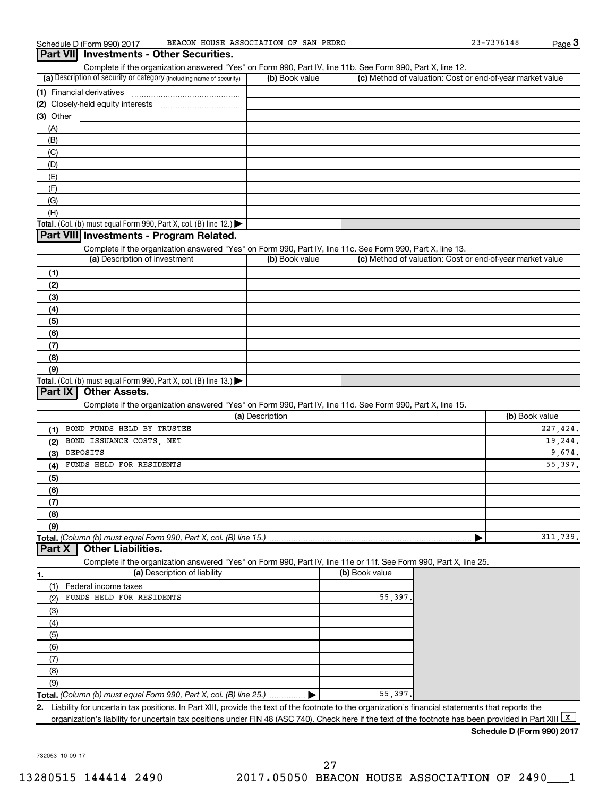| Schedule D (Form 990) 2017     | BEACON HOUSE ASSOCIATION OF SAN PEDRO                                                                             |                 |                                                           |                |
|--------------------------------|-------------------------------------------------------------------------------------------------------------------|-----------------|-----------------------------------------------------------|----------------|
|                                | Part VII Investments - Other Securities.                                                                          |                 |                                                           |                |
|                                | Complete if the organization answered "Yes" on Form 990, Part IV, line 11b. See Form 990, Part X, line 12.        |                 |                                                           |                |
|                                | (a) Description of security or category (including name of security)                                              | (b) Book value  | (c) Method of valuation: Cost or end-of-year market value |                |
|                                |                                                                                                                   |                 |                                                           |                |
|                                |                                                                                                                   |                 |                                                           |                |
| $(3)$ Other                    |                                                                                                                   |                 |                                                           |                |
| (A)                            |                                                                                                                   |                 |                                                           |                |
| (B)                            |                                                                                                                   |                 |                                                           |                |
| (C)                            |                                                                                                                   |                 |                                                           |                |
| (D)                            |                                                                                                                   |                 |                                                           |                |
| (E)                            |                                                                                                                   |                 |                                                           |                |
| (F)                            |                                                                                                                   |                 |                                                           |                |
|                                |                                                                                                                   |                 |                                                           |                |
| (G)                            |                                                                                                                   |                 |                                                           |                |
| (H)                            |                                                                                                                   |                 |                                                           |                |
|                                | Total. (Col. (b) must equal Form 990, Part X, col. (B) line 12.)                                                  |                 |                                                           |                |
|                                | Part VIII Investments - Program Related.                                                                          |                 |                                                           |                |
|                                | Complete if the organization answered "Yes" on Form 990, Part IV, line 11c. See Form 990, Part X, line 13.        |                 |                                                           |                |
|                                | (a) Description of investment                                                                                     | (b) Book value  | (c) Method of valuation: Cost or end-of-year market value |                |
| (1)                            |                                                                                                                   |                 |                                                           |                |
| (2)                            |                                                                                                                   |                 |                                                           |                |
| (3)                            |                                                                                                                   |                 |                                                           |                |
| (4)                            |                                                                                                                   |                 |                                                           |                |
| (5)                            |                                                                                                                   |                 |                                                           |                |
| (6)                            |                                                                                                                   |                 |                                                           |                |
|                                |                                                                                                                   |                 |                                                           |                |
|                                |                                                                                                                   |                 |                                                           |                |
| (7)                            |                                                                                                                   |                 |                                                           |                |
| (8)                            |                                                                                                                   |                 |                                                           |                |
| (9)                            |                                                                                                                   |                 |                                                           |                |
|                                | Total. (Col. (b) must equal Form 990, Part X, col. (B) line 13.)                                                  |                 |                                                           |                |
|                                | <b>Other Assets.</b>                                                                                              |                 |                                                           |                |
|                                | Complete if the organization answered "Yes" on Form 990, Part IV, line 11d. See Form 990, Part X, line 15.        |                 |                                                           |                |
|                                |                                                                                                                   | (a) Description |                                                           | (b) Book value |
| (1)                            | BOND FUNDS HELD BY TRUSTEE                                                                                        |                 |                                                           | 227,424.       |
| (2)                            | BOND ISSUANCE COSTS, NET                                                                                          |                 |                                                           | 19,244.        |
| (3) DEPOSITS                   |                                                                                                                   |                 |                                                           | 9,674.         |
|                                |                                                                                                                   |                 |                                                           | 55,397.        |
|                                | (4) FUNDS HELD FOR RESIDENTS                                                                                      |                 |                                                           |                |
| (5)                            |                                                                                                                   |                 |                                                           |                |
| (6)                            |                                                                                                                   |                 |                                                           |                |
| (7)                            |                                                                                                                   |                 |                                                           |                |
| (8)                            |                                                                                                                   |                 |                                                           |                |
| (9)                            |                                                                                                                   |                 |                                                           |                |
|                                | Total. (Column (b) must equal Form 990, Part X, col. (B) line 15.)                                                |                 |                                                           | 311,739.       |
|                                | <b>Other Liabilities.</b>                                                                                         |                 |                                                           |                |
|                                | Complete if the organization answered "Yes" on Form 990, Part IV, line 11e or 11f. See Form 990, Part X, line 25. |                 |                                                           |                |
|                                | (a) Description of liability                                                                                      |                 | (b) Book value                                            |                |
| (1)                            | Federal income taxes                                                                                              |                 |                                                           |                |
| (2)                            | FUNDS HELD FOR RESIDENTS                                                                                          |                 | 55,397.                                                   |                |
| (3)                            |                                                                                                                   |                 |                                                           |                |
|                                |                                                                                                                   |                 |                                                           |                |
| (4)                            |                                                                                                                   |                 |                                                           |                |
| (5)                            |                                                                                                                   |                 |                                                           |                |
| (6)                            |                                                                                                                   |                 |                                                           |                |
| (7)                            |                                                                                                                   |                 |                                                           |                |
| Part IX<br>Part X<br>1.<br>(8) |                                                                                                                   |                 |                                                           |                |
| (9)                            | Total. (Column (b) must equal Form 990, Part X, col. (B) line 25.)                                                |                 | 55,397                                                    |                |

organization's liability for uncertain tax positions under FIN 48 (ASC 740). Check here if the text of the footnote has been provided in Part XIII  $\boxed{\mathrm{x}}$ 

#### **Schedule D (Form 990) 2017**

732053 10-09-17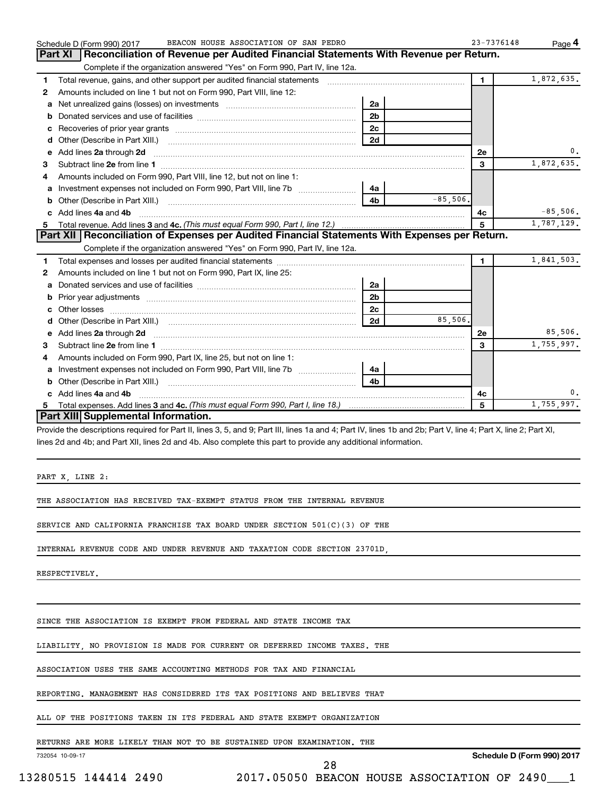|    | $23 - 7376148$<br>BEACON HOUSE ASSOCIATION OF SAN PEDRO<br>Schedule D (Form 990) 2017                                                                                                                                              |                |            |              | Page 4     |
|----|------------------------------------------------------------------------------------------------------------------------------------------------------------------------------------------------------------------------------------|----------------|------------|--------------|------------|
|    | Reconciliation of Revenue per Audited Financial Statements With Revenue per Return.<br> Part XI                                                                                                                                    |                |            |              |            |
|    | Complete if the organization answered "Yes" on Form 990, Part IV, line 12a.                                                                                                                                                        |                |            |              |            |
| 1  |                                                                                                                                                                                                                                    |                |            | $\mathbf{1}$ | 1,872,635. |
| 2  | Amounts included on line 1 but not on Form 990, Part VIII, line 12:                                                                                                                                                                |                |            |              |            |
| a  | Net unrealized gains (losses) on investments [11] matter contracts and the unrealized gains (losses) on investments                                                                                                                | 2a             |            |              |            |
|    |                                                                                                                                                                                                                                    | 2 <sub>b</sub> |            |              |            |
| с  |                                                                                                                                                                                                                                    | 2 <sub>c</sub> |            |              |            |
| d  |                                                                                                                                                                                                                                    | 2d             |            |              |            |
| е  | Add lines 2a through 2d                                                                                                                                                                                                            |                |            | 2е           | 0.         |
| з  |                                                                                                                                                                                                                                    |                |            | 3            | 1,872,635. |
| 4  | Amounts included on Form 990, Part VIII, line 12, but not on line 1:                                                                                                                                                               |                |            |              |            |
| a  | Investment expenses not included on Form 990, Part VIII, line 7b [11] [11] Investment expenses not included on Form 990, Part VIII, line 7b                                                                                        | 4a l           |            |              |            |
|    |                                                                                                                                                                                                                                    | 4 <sub>b</sub> | $-85,506.$ |              |            |
|    | c Add lines 4a and 4b                                                                                                                                                                                                              |                |            | 4c           | $-85,506.$ |
| 5  |                                                                                                                                                                                                                                    |                |            | 5            | 1,787,129. |
|    | Part XII   Reconciliation of Expenses per Audited Financial Statements With Expenses per Return.                                                                                                                                   |                |            |              |            |
|    | Complete if the organization answered "Yes" on Form 990, Part IV, line 12a.                                                                                                                                                        |                |            |              |            |
| 1  |                                                                                                                                                                                                                                    |                |            | $\mathbf{1}$ | 1,841,503. |
| 2  | Amounts included on line 1 but not on Form 990, Part IX, line 25:                                                                                                                                                                  |                |            |              |            |
| a  |                                                                                                                                                                                                                                    | 2a             |            |              |            |
| b  |                                                                                                                                                                                                                                    | 2 <sub>b</sub> |            |              |            |
| c  | Other losses                                                                                                                                                                                                                       | 2c             |            |              |            |
| d  |                                                                                                                                                                                                                                    | 2d             | 85,506.    |              |            |
| е  | Add lines 2a through 2d <b>contained a contained a contained a contained a</b> contained a contained a contained a contained a contact a contact a contact a contact a contact a contact a contact a contact a contact a contact a |                |            | 2e           | 85,506.    |
| 3  |                                                                                                                                                                                                                                    |                |            | 3            | 1,755,997. |
| 4  | Amounts included on Form 990, Part IX, line 25, but not on line 1:                                                                                                                                                                 |                |            |              |            |
| a  |                                                                                                                                                                                                                                    | 4a             |            |              |            |
| b  | Other (Describe in Part XIII.) [100] [100] [100] [100] [100] [100] [100] [100] [100] [100] [100] [100] [100] [                                                                                                                     | 4 <sub>b</sub> |            |              |            |
| c  | Add lines 4a and 4b                                                                                                                                                                                                                |                |            | 4c           | 0.         |
| 5. |                                                                                                                                                                                                                                    |                |            | 5            | 1,755,997. |
|    | Part XIII Supplemental Information.                                                                                                                                                                                                |                |            |              |            |
|    | Drougle the descriptions required for Dart II, lines 2, 5, and 0; Dart III, lines 1e and 4; Dart IV, lines 1b and 2b; Dart V, line 4; Dart V, line 2; Dart VI                                                                      |                |            |              |            |

Provide the descriptions required for Part II, lines 3, 5, and 9; Part III, lines 1a and 4; Part IV, lines 1b and 2b; Part V, line 4; Part X, line 2; Part XI, lines 2d and 4b; and Part XII, lines 2d and 4b. Also complete this part to provide any additional information.

PART X, LINE 2:

THE ASSOCIATION HAS RECEIVED TAX-EXEMPT STATUS FROM THE INTERNAL REVENUE

SERVICE AND CALIFORNIA FRANCHISE TAX BOARD UNDER SECTION 501(C)(3) OF THE

INTERNAL REVENUE CODE AND UNDER REVENUE AND TAXATION CODE SECTION 23701D,

RESPECTIVELY.

SINCE THE ASSOCIATION IS EXEMPT FROM FEDERAL AND STATE INCOME TAX

LIABILITY, NO PROVISION IS MADE FOR CURRENT OR DEFERRED INCOME TAXES. THE

ASSOCIATION USES THE SAME ACCOUNTING METHODS FOR TAX AND FINANCIAL

REPORTING. MANAGEMENT HAS CONSIDERED ITS TAX POSITIONS AND BELIEVES THAT

ALL OF THE POSITIONS TAKEN IN ITS FEDERAL AND STATE EXEMPT ORGANIZATION

RETURNS ARE MORE LIKELY THAN NOT TO BE SUSTAINED UPON EXAMINATION. THE

732054 10-09-17

13280515 144414 2490 2017.05050 BEACON HOUSE ASSOCIATION OF 2490\_\_\_1 28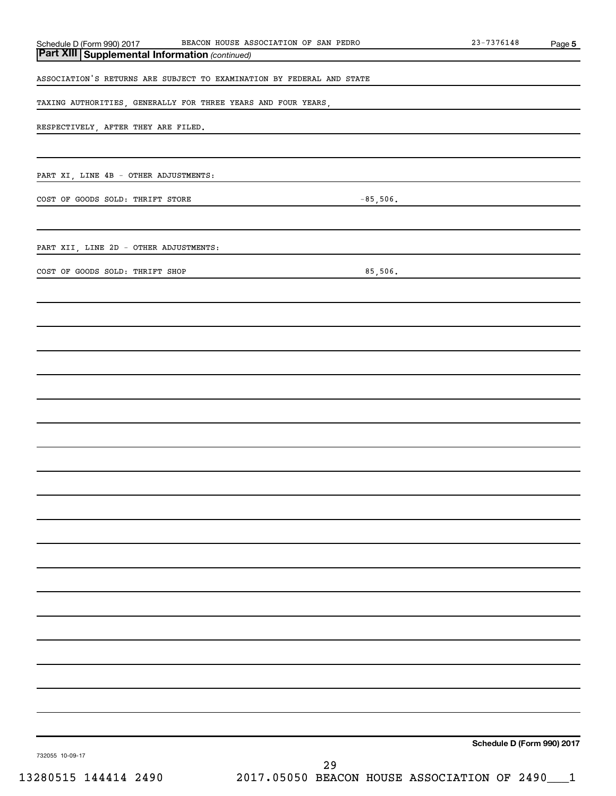| BEACON HOUSE ASSOCIATION OF SAN PEDRO                                                               | $23 - 7376148$<br>Page 5   |
|-----------------------------------------------------------------------------------------------------|----------------------------|
| Schedule D (Form 990) 2017 BEACON HOUSE AS<br><b>Part XIII Supplemental Information</b> (continued) |                            |
| ASSOCIATION'S RETURNS ARE SUBJECT TO EXAMINATION BY FEDERAL AND STATE                               |                            |
| TAXING AUTHORITIES, GENERALLY FOR THREE YEARS AND FOUR YEARS,                                       |                            |
| RESPECTIVELY, AFTER THEY ARE FILED.                                                                 |                            |
|                                                                                                     |                            |
| PART XI, LINE 4B - OTHER ADJUSTMENTS:                                                               |                            |
| COST OF GOODS SOLD: THRIFT STORE                                                                    | $-85,506.$                 |
|                                                                                                     |                            |
| PART XII, LINE 2D - OTHER ADJUSTMENTS:                                                              |                            |
| COST OF GOODS SOLD: THRIFT SHOP                                                                     | 85,506.                    |
|                                                                                                     |                            |
|                                                                                                     |                            |
|                                                                                                     |                            |
|                                                                                                     |                            |
|                                                                                                     |                            |
|                                                                                                     |                            |
|                                                                                                     |                            |
|                                                                                                     |                            |
|                                                                                                     |                            |
|                                                                                                     |                            |
|                                                                                                     |                            |
|                                                                                                     |                            |
|                                                                                                     |                            |
|                                                                                                     |                            |
|                                                                                                     |                            |
|                                                                                                     |                            |
|                                                                                                     |                            |
|                                                                                                     |                            |
|                                                                                                     | Schedule D (Form 990) 2017 |
| 732055 10-09-17                                                                                     |                            |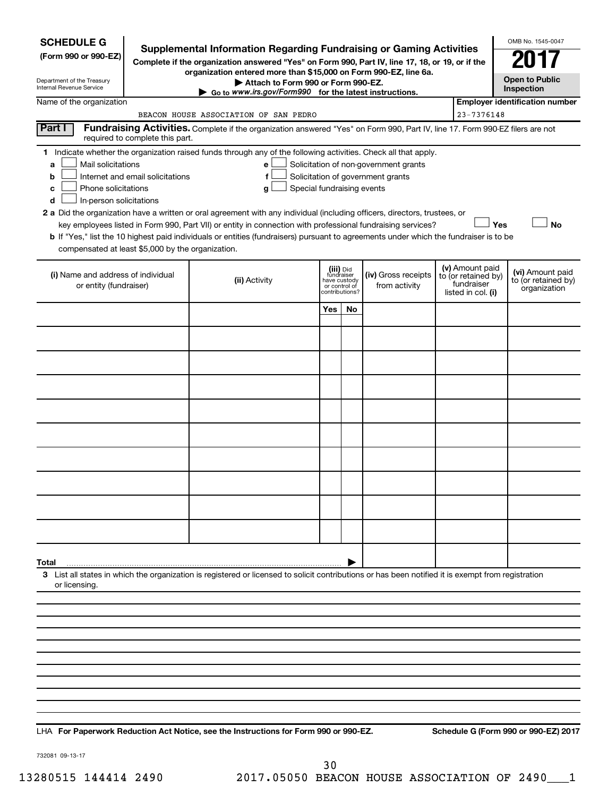| <b>SCHEDULE G</b><br>(Form 990 or 990-EZ)<br>Department of the Treasury<br>Internal Revenue Service                                           | <b>Supplemental Information Regarding Fundraising or Gaming Activities</b><br>Complete if the organization answered "Yes" on Form 990, Part IV, line 17, 18, or 19, or if the | OMB No. 1545-0047<br><b>Open to Public</b><br>Inspection                                                                                                                                                                                                                                                                                                                                                                                                                                                                                           |                                                                            |     |                                                                            |  |                                                                            |                                                         |
|-----------------------------------------------------------------------------------------------------------------------------------------------|-------------------------------------------------------------------------------------------------------------------------------------------------------------------------------|----------------------------------------------------------------------------------------------------------------------------------------------------------------------------------------------------------------------------------------------------------------------------------------------------------------------------------------------------------------------------------------------------------------------------------------------------------------------------------------------------------------------------------------------------|----------------------------------------------------------------------------|-----|----------------------------------------------------------------------------|--|----------------------------------------------------------------------------|---------------------------------------------------------|
| Name of the organization                                                                                                                      |                                                                                                                                                                               | $\triangleright$ Go to www.irs.gov/Form990 for the latest instructions.<br>BEACON HOUSE ASSOCIATION OF SAN PEDRO                                                                                                                                                                                                                                                                                                                                                                                                                                   |                                                                            |     |                                                                            |  | 23-7376148                                                                 | <b>Employer identification number</b>                   |
| Part I                                                                                                                                        |                                                                                                                                                                               | Fundraising Activities. Complete if the organization answered "Yes" on Form 990, Part IV, line 17. Form 990-EZ filers are not                                                                                                                                                                                                                                                                                                                                                                                                                      |                                                                            |     |                                                                            |  |                                                                            |                                                         |
| Mail solicitations<br>a<br>b<br>Phone solicitations<br>c<br>In-person solicitations<br>d<br>compensated at least \$5,000 by the organization. | required to complete this part.<br>Internet and email solicitations                                                                                                           | 1 Indicate whether the organization raised funds through any of the following activities. Check all that apply.<br>e<br>f<br>Special fundraising events<br>g<br>2 a Did the organization have a written or oral agreement with any individual (including officers, directors, trustees, or<br>key employees listed in Form 990, Part VII) or entity in connection with professional fundraising services?<br>b If "Yes," list the 10 highest paid individuals or entities (fundraisers) pursuant to agreements under which the fundraiser is to be |                                                                            |     | Solicitation of non-government grants<br>Solicitation of government grants |  | Yes                                                                        | <b>No</b>                                               |
| (i) Name and address of individual<br>or entity (fundraiser)                                                                                  |                                                                                                                                                                               | (ii) Activity                                                                                                                                                                                                                                                                                                                                                                                                                                                                                                                                      | (iii) Did<br>fundraiser<br>have custody<br>or control of<br>contributions? |     | (iv) Gross receipts<br>from activity                                       |  | (v) Amount paid<br>to (or retained by)<br>fundraiser<br>listed in col. (i) | (vi) Amount paid<br>to (or retained by)<br>organization |
|                                                                                                                                               |                                                                                                                                                                               |                                                                                                                                                                                                                                                                                                                                                                                                                                                                                                                                                    | Yes                                                                        | No. |                                                                            |  |                                                                            |                                                         |
|                                                                                                                                               |                                                                                                                                                                               |                                                                                                                                                                                                                                                                                                                                                                                                                                                                                                                                                    |                                                                            |     |                                                                            |  |                                                                            |                                                         |
|                                                                                                                                               |                                                                                                                                                                               |                                                                                                                                                                                                                                                                                                                                                                                                                                                                                                                                                    |                                                                            |     |                                                                            |  |                                                                            |                                                         |
|                                                                                                                                               |                                                                                                                                                                               |                                                                                                                                                                                                                                                                                                                                                                                                                                                                                                                                                    |                                                                            |     |                                                                            |  |                                                                            |                                                         |
|                                                                                                                                               |                                                                                                                                                                               |                                                                                                                                                                                                                                                                                                                                                                                                                                                                                                                                                    |                                                                            |     |                                                                            |  |                                                                            |                                                         |
|                                                                                                                                               |                                                                                                                                                                               |                                                                                                                                                                                                                                                                                                                                                                                                                                                                                                                                                    |                                                                            |     |                                                                            |  |                                                                            |                                                         |
|                                                                                                                                               |                                                                                                                                                                               |                                                                                                                                                                                                                                                                                                                                                                                                                                                                                                                                                    |                                                                            |     |                                                                            |  |                                                                            |                                                         |
|                                                                                                                                               |                                                                                                                                                                               |                                                                                                                                                                                                                                                                                                                                                                                                                                                                                                                                                    |                                                                            |     |                                                                            |  |                                                                            |                                                         |
|                                                                                                                                               |                                                                                                                                                                               |                                                                                                                                                                                                                                                                                                                                                                                                                                                                                                                                                    |                                                                            |     |                                                                            |  |                                                                            |                                                         |
|                                                                                                                                               |                                                                                                                                                                               |                                                                                                                                                                                                                                                                                                                                                                                                                                                                                                                                                    |                                                                            |     |                                                                            |  |                                                                            |                                                         |
| Total                                                                                                                                         |                                                                                                                                                                               |                                                                                                                                                                                                                                                                                                                                                                                                                                                                                                                                                    |                                                                            |     |                                                                            |  |                                                                            |                                                         |
| or licensing.                                                                                                                                 |                                                                                                                                                                               | 3 List all states in which the organization is registered or licensed to solicit contributions or has been notified it is exempt from registration                                                                                                                                                                                                                                                                                                                                                                                                 |                                                                            |     |                                                                            |  |                                                                            |                                                         |
|                                                                                                                                               |                                                                                                                                                                               |                                                                                                                                                                                                                                                                                                                                                                                                                                                                                                                                                    |                                                                            |     |                                                                            |  |                                                                            |                                                         |
|                                                                                                                                               |                                                                                                                                                                               |                                                                                                                                                                                                                                                                                                                                                                                                                                                                                                                                                    |                                                                            |     |                                                                            |  |                                                                            |                                                         |
|                                                                                                                                               |                                                                                                                                                                               |                                                                                                                                                                                                                                                                                                                                                                                                                                                                                                                                                    |                                                                            |     |                                                                            |  |                                                                            |                                                         |
|                                                                                                                                               |                                                                                                                                                                               |                                                                                                                                                                                                                                                                                                                                                                                                                                                                                                                                                    |                                                                            |     |                                                                            |  |                                                                            |                                                         |
|                                                                                                                                               |                                                                                                                                                                               |                                                                                                                                                                                                                                                                                                                                                                                                                                                                                                                                                    |                                                                            |     |                                                                            |  |                                                                            |                                                         |
|                                                                                                                                               |                                                                                                                                                                               |                                                                                                                                                                                                                                                                                                                                                                                                                                                                                                                                                    |                                                                            |     |                                                                            |  |                                                                            |                                                         |
|                                                                                                                                               |                                                                                                                                                                               |                                                                                                                                                                                                                                                                                                                                                                                                                                                                                                                                                    |                                                                            |     |                                                                            |  |                                                                            |                                                         |

**For Paperwork Reduction Act Notice, see the Instructions for Form 990 or 990-EZ. Schedule G (Form 990 or 990-EZ) 2017** LHA

732081 09-13-17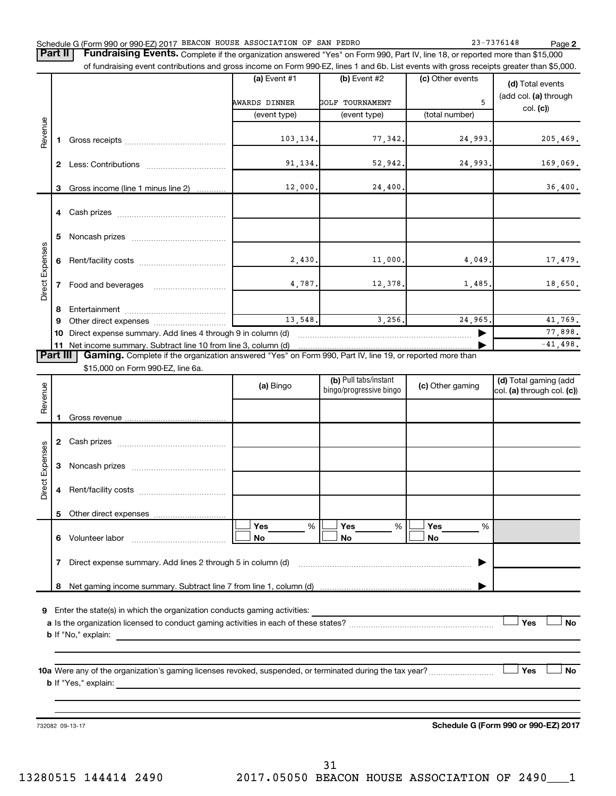|  |  | Schedule G (Form 990 or 990-EZ) 2017 BEACON HOUSE ASSOCIATION OF SAN PEDRO |  |  | $-7376148$ | Page |  |
|--|--|----------------------------------------------------------------------------|--|--|------------|------|--|
|--|--|----------------------------------------------------------------------------|--|--|------------|------|--|

**2**  $23 - 7376148$ 

Part II | Fundraising Events. Complete if the organization answered "Yes" on Form 990, Part IV, line 18, or reported more than \$15,000 of fundraising event contributions and gross income on Form 990-EZ, lines 1 and 6b. List events with gross receipts greater than \$5,000.

|                        |    |                                                                                                          | (a) Event $#1$ | $(b)$ Event #2          | (c) Other events | (d) Total events                                    |
|------------------------|----|----------------------------------------------------------------------------------------------------------|----------------|-------------------------|------------------|-----------------------------------------------------|
|                        |    |                                                                                                          |                |                         |                  | (add col. (a) through                               |
|                        |    |                                                                                                          | AWARDS DINNER  | GOLF TOURNAMENT         | 5                |                                                     |
|                        |    |                                                                                                          | (event type)   | (event type)            | (total number)   | col. (c)                                            |
|                        |    |                                                                                                          |                |                         |                  |                                                     |
| Revenue                | 1. |                                                                                                          | 103, 134.      | 77,342.                 | 24,993.          | 205,469.                                            |
|                        |    |                                                                                                          |                |                         |                  |                                                     |
|                        |    |                                                                                                          | 91, 134.       | 52,942.                 | 24,993.          | 169,069.                                            |
|                        |    |                                                                                                          |                |                         |                  |                                                     |
|                        | 3  | Gross income (line 1 minus line 2)                                                                       | 12,000.        | 24,400.                 |                  | 36,400.                                             |
|                        |    |                                                                                                          |                |                         |                  |                                                     |
|                        |    |                                                                                                          |                |                         |                  |                                                     |
|                        |    |                                                                                                          |                |                         |                  |                                                     |
|                        | 5  |                                                                                                          |                |                         |                  |                                                     |
| <b>Direct Expenses</b> |    |                                                                                                          |                |                         |                  |                                                     |
|                        | 6  |                                                                                                          | 2,430.         | 11,000.                 | 4,049.           | 17,479.                                             |
|                        |    |                                                                                                          |                |                         |                  |                                                     |
|                        | 7  |                                                                                                          | 4,787.         | 12,378.                 | 1,485.           | 18,650.                                             |
|                        |    |                                                                                                          |                |                         |                  |                                                     |
|                        | 8  |                                                                                                          |                |                         |                  |                                                     |
|                        | 9  |                                                                                                          | 13,548.        | 3,256.                  | 24.965.          | 41,769.                                             |
|                        | 10 |                                                                                                          |                |                         |                  | 77,898.                                             |
| Part III               |    |                                                                                                          |                |                         |                  | $-41.498.$                                          |
|                        |    | Gaming. Complete if the organization answered "Yes" on Form 990, Part IV, line 19, or reported more than |                |                         |                  |                                                     |
|                        |    | \$15,000 on Form 990-EZ, line 6a.                                                                        |                | (b) Pull tabs/instant   |                  |                                                     |
|                        |    |                                                                                                          | (a) Bingo      | bingo/progressive bingo | (c) Other gaming | (d) Total gaming (add<br>col. (a) through col. (c)) |
| Revenue                |    |                                                                                                          |                |                         |                  |                                                     |
|                        |    |                                                                                                          |                |                         |                  |                                                     |
|                        |    |                                                                                                          |                |                         |                  |                                                     |
|                        |    |                                                                                                          |                |                         |                  |                                                     |
|                        |    |                                                                                                          |                |                         |                  |                                                     |
| Direct Expenses        |    |                                                                                                          |                |                         |                  |                                                     |
|                        | 3  |                                                                                                          |                |                         |                  |                                                     |
|                        |    |                                                                                                          |                |                         |                  |                                                     |
|                        |    |                                                                                                          |                |                         |                  |                                                     |

**9** Enter the state(s) in which the organization conducts gaming activities:

**8** Net gaming income summary. Subtract line 7 from line 1, column (d)

**7** Direct expense summary. Add lines 2 through 5 in column (d)

**6** Volunteer labor ~~~~~~~~~~~~~

**5** Other direct expenses

| a Is the organization licensed to conduct gaming activities in each of these states? | Yes | No |
|--------------------------------------------------------------------------------------|-----|----|
| <b>b</b> If "No," explain:                                                           |     |    |

**Yes Yes Yes No No No**

 $|\Box$  Yes  $\qquad \%$   $|\Box$  Yes  $\qquad \%$   $|\Box$  $|\Box$  No  $|\Box$  No  $|\Box$ 

% % %

|

~~~~~~~~~~~~~~~~~~~~~~~~ |

**10 a** Were any of the organization's gaming licenses revoked, suspended, or terminated during the tax year? ~~~~~~~~~ **b** If "Yes," explain:  $\Box$  Yes

732082 09-13-17

**Schedule G (Form 990 or 990-EZ) 2017**

 $\Box$  No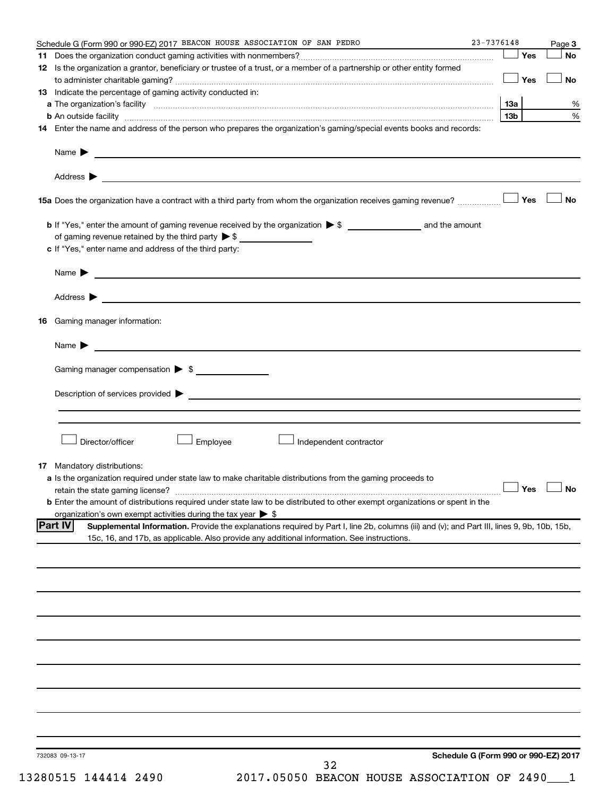|    | Schedule G (Form 990 or 990-EZ) 2017 BEACON HOUSE ASSOCIATION OF SAN PEDRO                                                                                                                                                                 | $23 - 7376148$                       |     | Page 3               |
|----|--------------------------------------------------------------------------------------------------------------------------------------------------------------------------------------------------------------------------------------------|--------------------------------------|-----|----------------------|
|    |                                                                                                                                                                                                                                            |                                      | Yes | No                   |
|    | 12 Is the organization a grantor, beneficiary or trustee of a trust, or a member of a partnership or other entity formed                                                                                                                   |                                      | Yes | No                   |
|    | 13 Indicate the percentage of gaming activity conducted in:                                                                                                                                                                                |                                      |     |                      |
|    |                                                                                                                                                                                                                                            | 13a                                  |     | %                    |
|    | <b>b</b> An outside facility <i>www.communicality www.communicality.communicality www.communicality www.communicality www.communicality www.communicality www.communicality www.communicality.com</i>                                      | 13 <sub>b</sub>                      |     | %                    |
|    | 14 Enter the name and address of the person who prepares the organization's gaming/special events books and records:                                                                                                                       |                                      |     |                      |
|    | Name $\blacktriangleright$<br><u> 1989 - Johann Barbara, martin amerikan basal dan berasal dan berasal dalam basal dan berasal dan berasal dan</u>                                                                                         |                                      |     |                      |
|    |                                                                                                                                                                                                                                            |                                      |     |                      |
|    | 15a Does the organization have a contract with a third party from whom the organization receives gaming revenue?                                                                                                                           |                                      | Yes | <b>No</b>            |
|    | of gaming revenue retained by the third party $\triangleright$ \$                                                                                                                                                                          |                                      |     |                      |
|    | c If "Yes," enter name and address of the third party:                                                                                                                                                                                     |                                      |     |                      |
|    | Name $\blacktriangleright$ $\blacksquare$                                                                                                                                                                                                  |                                      |     |                      |
|    |                                                                                                                                                                                                                                            |                                      |     |                      |
| 16 | Gaming manager information:                                                                                                                                                                                                                |                                      |     |                      |
|    | Name $\blacktriangleright$<br><u> 1980 - Johann Barbara, martin amerikan basal dan berasal dan berasal dalam basal dan berasal dan berasal dan</u>                                                                                         |                                      |     |                      |
|    | Gaming manager compensation > \$                                                                                                                                                                                                           |                                      |     |                      |
|    | Description of services provided states and the contract of the contract of the contract of the contract of the contract of the contract of the contract of the contract of the contract of the contract of the contract of th             |                                      |     |                      |
|    |                                                                                                                                                                                                                                            |                                      |     |                      |
|    | Director/officer<br>Employee<br>Independent contractor                                                                                                                                                                                     |                                      |     |                      |
|    | <b>17</b> Mandatory distributions:                                                                                                                                                                                                         |                                      |     |                      |
|    | a Is the organization required under state law to make charitable distributions from the gaming proceeds to                                                                                                                                |                                      |     |                      |
|    | retain the state gaming license?                                                                                                                                                                                                           |                                      |     | $\Box$ Yes $\Box$ No |
|    | <b>b</b> Enter the amount of distributions required under state law to be distributed to other exempt organizations or spent in the                                                                                                        |                                      |     |                      |
|    | organization's own exempt activities during the tax year $\triangleright$ \$<br><b>Part IV</b>                                                                                                                                             |                                      |     |                      |
|    | Supplemental Information. Provide the explanations required by Part I, line 2b, columns (iii) and (v); and Part III, lines 9, 9b, 10b, 15b,<br>15c, 16, and 17b, as applicable. Also provide any additional information. See instructions. |                                      |     |                      |
|    |                                                                                                                                                                                                                                            |                                      |     |                      |
|    |                                                                                                                                                                                                                                            |                                      |     |                      |
|    |                                                                                                                                                                                                                                            |                                      |     |                      |
|    |                                                                                                                                                                                                                                            |                                      |     |                      |
|    |                                                                                                                                                                                                                                            |                                      |     |                      |
|    |                                                                                                                                                                                                                                            |                                      |     |                      |
|    |                                                                                                                                                                                                                                            |                                      |     |                      |
|    |                                                                                                                                                                                                                                            |                                      |     |                      |
|    |                                                                                                                                                                                                                                            |                                      |     |                      |
|    | 732083 09-13-17<br>32                                                                                                                                                                                                                      | Schedule G (Form 990 or 990-EZ) 2017 |     |                      |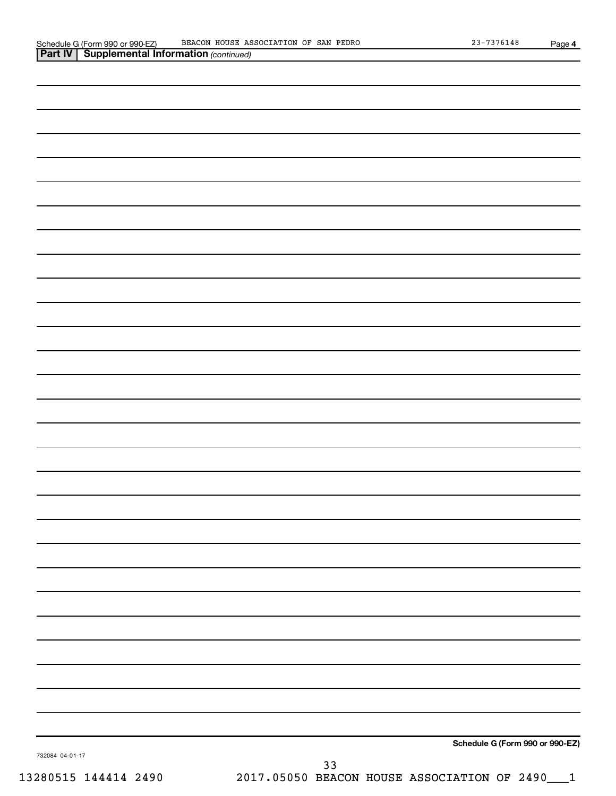|                                                                                                 | BEACON HOUSE ASSOCIATION OF SAN PEDRO | $23 - 7376148$ | Page |
|-------------------------------------------------------------------------------------------------|---------------------------------------|----------------|------|
| Schedule G (Form 990 or 990-EZ) BEACON HOUSE AS<br>Part IV Supplemental Information (continued) |                                       |                |      |
|                                                                                                 |                                       |                |      |
|                                                                                                 |                                       |                |      |
|                                                                                                 |                                       |                |      |
|                                                                                                 |                                       |                |      |
|                                                                                                 |                                       |                |      |
|                                                                                                 |                                       |                |      |
|                                                                                                 |                                       |                |      |
|                                                                                                 |                                       |                |      |
|                                                                                                 |                                       |                |      |
|                                                                                                 |                                       |                |      |
|                                                                                                 |                                       |                |      |
|                                                                                                 |                                       |                |      |
|                                                                                                 |                                       |                |      |
|                                                                                                 |                                       |                |      |
|                                                                                                 |                                       |                |      |
|                                                                                                 |                                       |                |      |
|                                                                                                 |                                       |                |      |
|                                                                                                 |                                       |                |      |
|                                                                                                 |                                       |                |      |
|                                                                                                 |                                       |                |      |
|                                                                                                 |                                       |                |      |
|                                                                                                 |                                       |                |      |
|                                                                                                 |                                       |                |      |
|                                                                                                 |                                       |                |      |
|                                                                                                 |                                       |                |      |
|                                                                                                 |                                       |                |      |
|                                                                                                 |                                       |                |      |
|                                                                                                 |                                       |                |      |
|                                                                                                 |                                       |                |      |
|                                                                                                 |                                       |                |      |
|                                                                                                 |                                       |                |      |
|                                                                                                 |                                       |                |      |
|                                                                                                 |                                       |                |      |
|                                                                                                 |                                       |                |      |

**Schedule G (Form 990 or 990-EZ)**

732084 04-01-17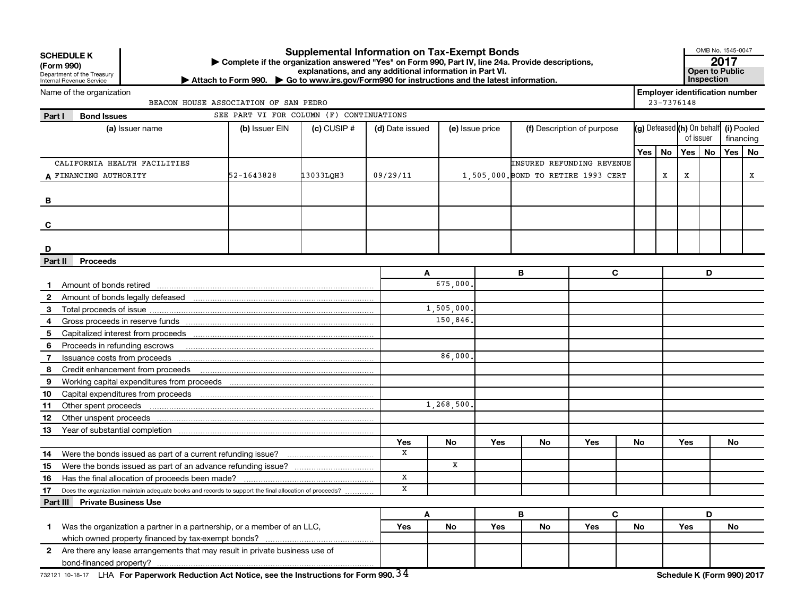| (Form 990)   | <b>SCHEDULE K</b><br>Department of the Treasury<br>Internal Revenue Service                            |                                          |               |                 | <b>Supplemental Information on Tax-Exempt Bonds</b><br>Complete if the organization answered "Yes" on Form 990, Part IV, line 24a. Provide descriptions,<br>explanations, and any additional information in Part VI.<br>▶ Attach to Form 990. ▶ Go to www.irs.gov/Form990 for instructions and the latest information. |            |                                     |                           |            |                                         |                                       | OMB No. 1545-0047<br>2017<br><b>Open to Public</b><br><b>Inspection</b> |     |    |
|--------------|--------------------------------------------------------------------------------------------------------|------------------------------------------|---------------|-----------------|------------------------------------------------------------------------------------------------------------------------------------------------------------------------------------------------------------------------------------------------------------------------------------------------------------------------|------------|-------------------------------------|---------------------------|------------|-----------------------------------------|---------------------------------------|-------------------------------------------------------------------------|-----|----|
|              | Name of the organization                                                                               |                                          |               |                 |                                                                                                                                                                                                                                                                                                                        |            |                                     |                           |            |                                         | <b>Employer identification number</b> |                                                                         |     |    |
|              | BEACON HOUSE ASSOCIATION OF SAN PEDRO                                                                  |                                          |               |                 |                                                                                                                                                                                                                                                                                                                        |            |                                     |                           | 23-7376148 |                                         |                                       |                                                                         |     |    |
| Part I       | <b>Bond Issues</b>                                                                                     | SEE PART VI FOR COLUMN (F) CONTINUATIONS |               |                 |                                                                                                                                                                                                                                                                                                                        |            |                                     |                           |            |                                         |                                       |                                                                         |     |    |
|              | (a) Issuer name                                                                                        | (b) Issuer EIN                           | $(c)$ CUSIP # | (d) Date issued | (e) Issue price                                                                                                                                                                                                                                                                                                        |            | (f) Description of purpose          |                           |            | (g) Defeased (h) On behalf<br>of issuer |                                       | (i) Pooled<br>financing                                                 |     |    |
|              |                                                                                                        |                                          |               |                 |                                                                                                                                                                                                                                                                                                                        |            |                                     |                           |            |                                         |                                       |                                                                         |     |    |
|              | CALIFORNIA HEALTH FACILITIES                                                                           |                                          |               |                 |                                                                                                                                                                                                                                                                                                                        |            |                                     | INSURED REFUNDING REVENUE | Yes        | No                                      | Yes                                   | No                                                                      | Yes | No |
|              | A FINANCING AUTHORITY                                                                                  | 52-1643828                               | 13033LQH3     | 09/29/11        |                                                                                                                                                                                                                                                                                                                        |            | 1,505,000, BOND TO RETIRE 1993 CERT |                           |            | x                                       | x                                     |                                                                         |     | x  |
|              |                                                                                                        |                                          |               |                 |                                                                                                                                                                                                                                                                                                                        |            |                                     |                           |            |                                         |                                       |                                                                         |     |    |
| В            |                                                                                                        |                                          |               |                 |                                                                                                                                                                                                                                                                                                                        |            |                                     |                           |            |                                         |                                       |                                                                         |     |    |
|              |                                                                                                        |                                          |               |                 |                                                                                                                                                                                                                                                                                                                        |            |                                     |                           |            |                                         |                                       |                                                                         |     |    |
| C            |                                                                                                        |                                          |               |                 |                                                                                                                                                                                                                                                                                                                        |            |                                     |                           |            |                                         |                                       |                                                                         |     |    |
|              |                                                                                                        |                                          |               |                 |                                                                                                                                                                                                                                                                                                                        |            |                                     |                           |            |                                         |                                       |                                                                         |     |    |
| D            |                                                                                                        |                                          |               |                 |                                                                                                                                                                                                                                                                                                                        |            |                                     |                           |            |                                         |                                       |                                                                         |     |    |
| Part II      | <b>Proceeds</b>                                                                                        |                                          |               |                 |                                                                                                                                                                                                                                                                                                                        |            |                                     |                           |            |                                         |                                       |                                                                         |     |    |
|              |                                                                                                        |                                          |               | A               |                                                                                                                                                                                                                                                                                                                        |            | в                                   | D                         |            |                                         |                                       |                                                                         |     |    |
|              |                                                                                                        |                                          |               |                 | 675,000                                                                                                                                                                                                                                                                                                                |            |                                     |                           |            |                                         |                                       |                                                                         |     |    |
| $\mathbf{2}$ |                                                                                                        |                                          |               |                 |                                                                                                                                                                                                                                                                                                                        |            |                                     |                           |            |                                         |                                       |                                                                         |     |    |
| 3            |                                                                                                        |                                          |               |                 | 1,505,000                                                                                                                                                                                                                                                                                                              |            |                                     |                           |            |                                         |                                       |                                                                         |     |    |
| 4            |                                                                                                        |                                          |               |                 | 150,846.                                                                                                                                                                                                                                                                                                               |            |                                     |                           |            |                                         |                                       |                                                                         |     |    |
| 5            |                                                                                                        |                                          |               |                 |                                                                                                                                                                                                                                                                                                                        |            |                                     |                           |            |                                         |                                       |                                                                         |     |    |
| 6            | Proceeds in refunding escrows                                                                          |                                          |               |                 |                                                                                                                                                                                                                                                                                                                        |            |                                     |                           |            |                                         |                                       |                                                                         |     |    |
| 7            | Issuance costs from proceeds                                                                           |                                          |               |                 | 86,000                                                                                                                                                                                                                                                                                                                 |            |                                     |                           |            |                                         |                                       |                                                                         |     |    |
| 8            | Credit enhancement from proceeds                                                                       |                                          |               |                 |                                                                                                                                                                                                                                                                                                                        |            |                                     |                           |            |                                         |                                       |                                                                         |     |    |
| 9            |                                                                                                        |                                          |               |                 |                                                                                                                                                                                                                                                                                                                        |            |                                     |                           |            |                                         |                                       |                                                                         |     |    |
| 10           |                                                                                                        |                                          |               |                 |                                                                                                                                                                                                                                                                                                                        |            |                                     |                           |            |                                         |                                       |                                                                         |     |    |
| 11           | Other spent proceeds                                                                                   |                                          |               |                 | 1,268,500                                                                                                                                                                                                                                                                                                              |            |                                     |                           |            |                                         |                                       |                                                                         |     |    |
| 12           | Other unspent proceeds                                                                                 |                                          |               |                 |                                                                                                                                                                                                                                                                                                                        |            |                                     |                           |            |                                         |                                       |                                                                         |     |    |
| 13           | Year of substantial completion                                                                         |                                          |               | Yes             | No                                                                                                                                                                                                                                                                                                                     | Yes        | No                                  | Yes                       | No         |                                         | Yes                                   |                                                                         | No  |    |
| 14           | Were the bonds issued as part of a current refunding issue?                                            |                                          |               | X               |                                                                                                                                                                                                                                                                                                                        |            |                                     |                           |            |                                         |                                       |                                                                         |     |    |
| 15           |                                                                                                        |                                          |               |                 | X                                                                                                                                                                                                                                                                                                                      |            |                                     |                           |            |                                         |                                       |                                                                         |     |    |
| 16           | Has the final allocation of proceeds been made?                                                        |                                          |               | X               |                                                                                                                                                                                                                                                                                                                        |            |                                     |                           |            |                                         |                                       |                                                                         |     |    |
| 17           | Does the organization maintain adequate books and records to support the final allocation of proceeds? |                                          |               | X               |                                                                                                                                                                                                                                                                                                                        |            |                                     |                           |            |                                         |                                       |                                                                         |     |    |
|              | Part III Private Business Use                                                                          |                                          |               |                 |                                                                                                                                                                                                                                                                                                                        |            |                                     |                           |            |                                         |                                       |                                                                         |     |    |
|              |                                                                                                        |                                          |               | A               |                                                                                                                                                                                                                                                                                                                        |            | B                                   | $\mathbf C$               |            |                                         |                                       | D                                                                       |     |    |
| 1.           | Was the organization a partner in a partnership, or a member of an LLC,                                |                                          |               | Yes             | No                                                                                                                                                                                                                                                                                                                     | <b>Yes</b> | No                                  | Yes                       | No         |                                         | Yes                                   |                                                                         | No  |    |
|              |                                                                                                        |                                          |               |                 |                                                                                                                                                                                                                                                                                                                        |            |                                     |                           |            |                                         |                                       |                                                                         |     |    |
|              | 2 Are there any lease arrangements that may result in private business use of                          |                                          |               |                 |                                                                                                                                                                                                                                                                                                                        |            |                                     |                           |            |                                         |                                       |                                                                         |     |    |
|              |                                                                                                        |                                          |               |                 |                                                                                                                                                                                                                                                                                                                        |            |                                     |                           |            |                                         |                                       |                                                                         |     |    |
|              | 732121 10-18-17 LHA For Paperwork Reduction Act Notice, see the Instructions for Form 990. 34          |                                          |               |                 |                                                                                                                                                                                                                                                                                                                        |            |                                     |                           |            |                                         | Schedule K (Form 990) 2017            |                                                                         |     |    |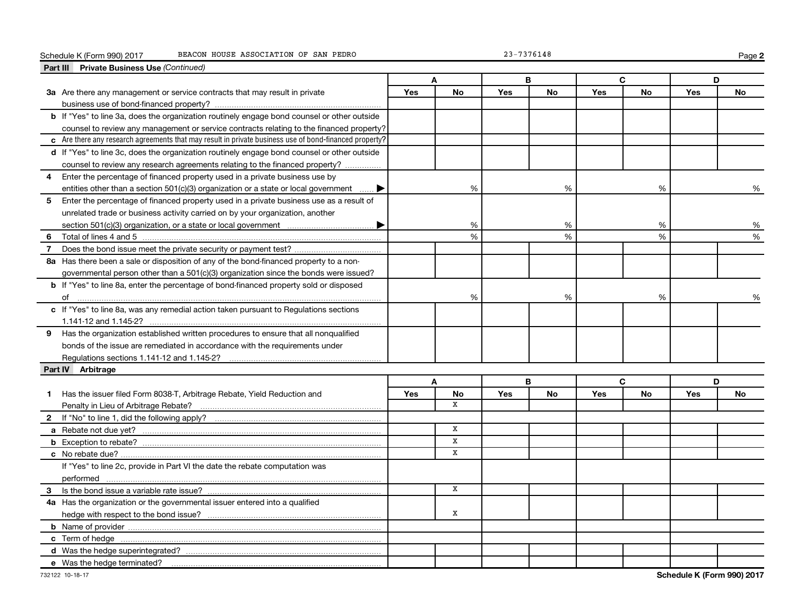Schedule K (Form 990) 2017 Page BEACON HOUSE ASSOCIATION OF SAN PEDRO 23-7376148

|                | <b>Part III</b> Private Business Use (Continued)                                                       |            |              |            |           |     |    |     |    |
|----------------|--------------------------------------------------------------------------------------------------------|------------|--------------|------------|-----------|-----|----|-----|----|
|                |                                                                                                        |            | A            |            | B         |     | C  | D   |    |
|                | 3a Are there any management or service contracts that may result in private                            | Yes        | <b>No</b>    | Yes        | <b>No</b> | Yes | No | Yes | No |
|                |                                                                                                        |            |              |            |           |     |    |     |    |
|                | b If "Yes" to line 3a, does the organization routinely engage bond counsel or other outside            |            |              |            |           |     |    |     |    |
|                | counsel to review any management or service contracts relating to the financed property?               |            |              |            |           |     |    |     |    |
|                | c Are there any research agreements that may result in private business use of bond-financed property? |            |              |            |           |     |    |     |    |
|                | d If "Yes" to line 3c, does the organization routinely engage bond counsel or other outside            |            |              |            |           |     |    |     |    |
|                | counsel to review any research agreements relating to the financed property?                           |            |              |            |           |     |    |     |    |
| 4              | Enter the percentage of financed property used in a private business use by                            |            |              |            |           |     |    |     |    |
|                | entities other than a section 501(c)(3) organization or a state or local government $\ldots$ .         |            | %            |            | %         |     | %  |     | %  |
| 5              | Enter the percentage of financed property used in a private business use as a result of                |            |              |            |           |     |    |     |    |
|                | unrelated trade or business activity carried on by your organization, another                          |            |              |            |           |     |    |     |    |
|                |                                                                                                        |            | %            |            | %         |     | %  |     | %  |
| 6              |                                                                                                        |            | %            |            | %         |     | %  |     | %  |
| $\overline{7}$ |                                                                                                        |            |              |            |           |     |    |     |    |
|                | 8a Has there been a sale or disposition of any of the bond-financed property to a non-                 |            |              |            |           |     |    |     |    |
|                | governmental person other than a 501(c)(3) organization since the bonds were issued?                   |            |              |            |           |     |    |     |    |
|                | <b>b</b> If "Yes" to line 8a, enter the percentage of bond-financed property sold or disposed          |            |              |            |           |     |    |     |    |
|                |                                                                                                        |            | %            |            | %         |     | %  |     | %  |
|                | c If "Yes" to line 8a, was any remedial action taken pursuant to Regulations sections                  |            |              |            |           |     |    |     |    |
|                |                                                                                                        |            |              |            |           |     |    |     |    |
|                | 9 Has the organization established written procedures to ensure that all nonqualified                  |            |              |            |           |     |    |     |    |
|                | bonds of the issue are remediated in accordance with the requirements under                            |            |              |            |           |     |    |     |    |
|                | Regulations sections 1.141-12 and 1.145-2?                                                             |            |              |            |           |     |    |     |    |
|                | Part IV Arbitrage                                                                                      |            |              |            |           |     |    |     |    |
|                |                                                                                                        |            | A            |            | B         |     | C  | D   |    |
| 1              | Has the issuer filed Form 8038-T, Arbitrage Rebate, Yield Reduction and                                | <b>Yes</b> | No           | <b>Yes</b> | No        | Yes | No | Yes | No |
|                |                                                                                                        |            | $\mathbf{x}$ |            |           |     |    |     |    |
|                |                                                                                                        |            |              |            |           |     |    |     |    |
|                |                                                                                                        |            | x            |            |           |     |    |     |    |
|                |                                                                                                        |            | X            |            |           |     |    |     |    |
|                |                                                                                                        |            | $\mathbf x$  |            |           |     |    |     |    |
|                | If "Yes" to line 2c, provide in Part VI the date the rebate computation was                            |            |              |            |           |     |    |     |    |
|                | performed                                                                                              |            |              |            |           |     |    |     |    |
|                |                                                                                                        |            | X            |            |           |     |    |     |    |
|                | 4a Has the organization or the governmental issuer entered into a qualified                            |            |              |            |           |     |    |     |    |
|                |                                                                                                        |            | X            |            |           |     |    |     |    |
|                |                                                                                                        |            |              |            |           |     |    |     |    |
|                |                                                                                                        |            |              |            |           |     |    |     |    |
|                |                                                                                                        |            |              |            |           |     |    |     |    |
|                | e Was the hedge terminated?                                                                            |            |              |            |           |     |    |     |    |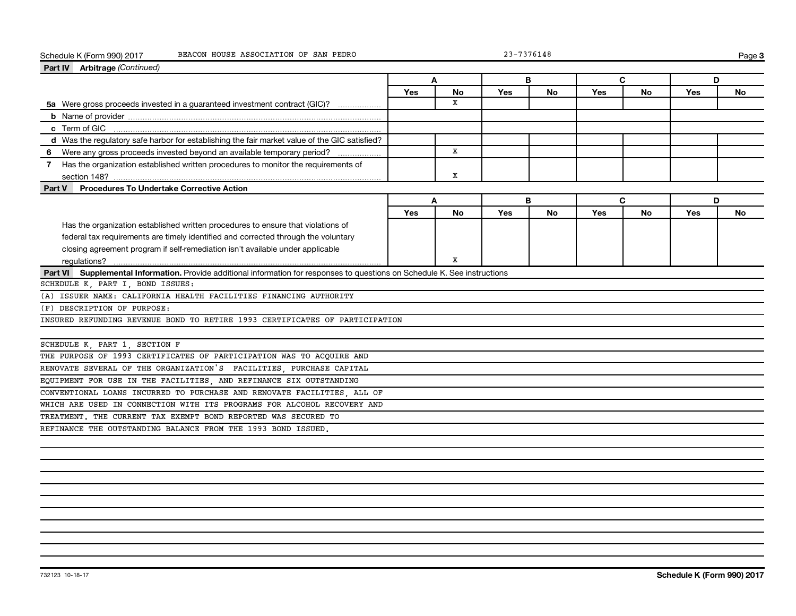#### Schedule K (Form 990) 2017 BEACON HOUSE ASSOCIATION OF SAN PEDRO 23-7376148 23-7376148

| Part IV Arbitrage (Continued)                                                                                               |     |           |            |           |     |    |     |    |
|-----------------------------------------------------------------------------------------------------------------------------|-----|-----------|------------|-----------|-----|----|-----|----|
|                                                                                                                             |     | Α         |            | в         | C   |    |     | D  |
|                                                                                                                             | Yes | No        | Yes        | No        | Yes | No | Yes | No |
| 5a Were gross proceeds invested in a guaranteed investment contract (GIC)?                                                  |     | x         |            |           |     |    |     |    |
|                                                                                                                             |     |           |            |           |     |    |     |    |
|                                                                                                                             |     |           |            |           |     |    |     |    |
| d Was the regulatory safe harbor for establishing the fair market value of the GIC satisfied?                               |     |           |            |           |     |    |     |    |
| 6 Were any gross proceeds invested beyond an available temporary period?                                                    |     | X         |            |           |     |    |     |    |
| Has the organization established written procedures to monitor the requirements of<br>7 <sup>7</sup>                        |     |           |            |           |     |    |     |    |
|                                                                                                                             |     | x         |            |           |     |    |     |    |
| Part V Procedures To Undertake Corrective Action                                                                            |     |           |            |           |     |    |     |    |
|                                                                                                                             | A   |           | B          |           | C   |    |     | D  |
|                                                                                                                             | Yes | <b>No</b> | <b>Yes</b> | <b>No</b> | Yes | No | Yes | No |
| Has the organization established written procedures to ensure that violations of                                            |     |           |            |           |     |    |     |    |
| federal tax requirements are timely identified and corrected through the voluntary                                          |     |           |            |           |     |    |     |    |
| closing agreement program if self-remediation isn't available under applicable                                              |     |           |            |           |     |    |     |    |
|                                                                                                                             |     | x         |            |           |     |    |     |    |
| Part VI Supplemental Information. Provide additional information for responses to questions on Schedule K. See instructions |     |           |            |           |     |    |     |    |
| SCHEDULE K, PART I, BOND ISSUES:                                                                                            |     |           |            |           |     |    |     |    |
| (A) ISSUER NAME: CALIFORNIA HEALTH FACILITIES FINANCING AUTHORITY                                                           |     |           |            |           |     |    |     |    |
| (F) DESCRIPTION OF PURPOSE:                                                                                                 |     |           |            |           |     |    |     |    |
| INSURED REFUNDING REVENUE BOND TO RETIRE 1993 CERTIFICATES OF PARTICIPATION                                                 |     |           |            |           |     |    |     |    |
|                                                                                                                             |     |           |            |           |     |    |     |    |
| SCHEDULE K PART 1 SECTION F                                                                                                 |     |           |            |           |     |    |     |    |
| THE PURPOSE OF 1993 CERTIFICATES OF PARTICIPATION WAS TO ACQUIRE AND                                                        |     |           |            |           |     |    |     |    |
| RENOVATE SEVERAL OF THE ORGANIZATION'S FACILITIES, PURCHASE CAPITAL                                                         |     |           |            |           |     |    |     |    |
| EQUIPMENT FOR USE IN THE FACILITIES, AND REFINANCE SIX OUTSTANDING                                                          |     |           |            |           |     |    |     |    |
| CONVENTIONAL LOANS INCURRED TO PURCHASE AND RENOVATE FACILITIES, ALL OF                                                     |     |           |            |           |     |    |     |    |
| WHICH ARE USED IN CONNECTION WITH ITS PROGRAMS FOR ALCOHOL RECOVERY AND                                                     |     |           |            |           |     |    |     |    |
| TREATMENT. THE CURRENT TAX EXEMPT BOND REPORTED WAS SECURED TO                                                              |     |           |            |           |     |    |     |    |
| REFINANCE THE OUTSTANDING BALANCE FROM THE 1993 BOND ISSUED.                                                                |     |           |            |           |     |    |     |    |
|                                                                                                                             |     |           |            |           |     |    |     |    |
|                                                                                                                             |     |           |            |           |     |    |     |    |
|                                                                                                                             |     |           |            |           |     |    |     |    |
|                                                                                                                             |     |           |            |           |     |    |     |    |
|                                                                                                                             |     |           |            |           |     |    |     |    |
|                                                                                                                             |     |           |            |           |     |    |     |    |
|                                                                                                                             |     |           |            |           |     |    |     |    |
|                                                                                                                             |     |           |            |           |     |    |     |    |
|                                                                                                                             |     |           |            |           |     |    |     |    |
|                                                                                                                             |     |           |            |           |     |    |     |    |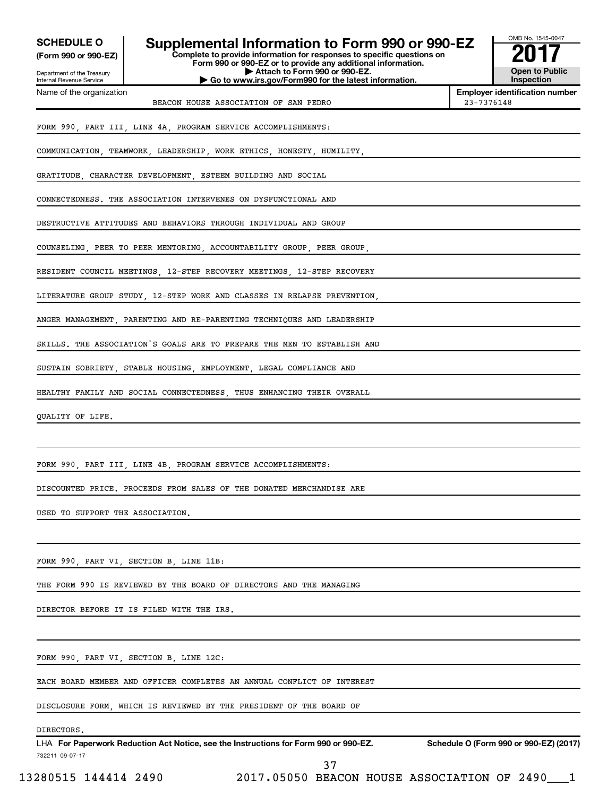**(Form 990 or 990-EZ)**

Department of the Treasury Internal Revenue Service Name of the organization

## **SCHEDULE O Supplemental Information to Form 990 or 990-EZ 2017**

**Complete to provide information for responses to specific questions on Form 990 or 990-EZ or to provide any additional information. | Attach to Form 990 or 990-EZ. | Go to www.irs.gov/Form990 for the latest information.**



**Employer identification number** BEACON HOUSE ASSOCIATION OF SAN PEDRO 23-7376148

FORM 990, PART III, LINE 4A, PROGRAM SERVICE ACCOMPLISHMENTS:

COMMUNICATION, TEAMWORK, LEADERSHIP, WORK ETHICS, HONESTY, HUMILITY,

GRATITUDE, CHARACTER DEVELOPMENT, ESTEEM BUILDING AND SOCIAL

CONNECTEDNESS. THE ASSOCIATION INTERVENES ON DYSFUNCTIONAL AND

DESTRUCTIVE ATTITUDES AND BEHAVIORS THROUGH INDIVIDUAL AND GROUP

COUNSELING, PEER TO PEER MENTORING, ACCOUNTABILITY GROUP, PEER GROUP,

RESIDENT COUNCIL MEETINGS, 12-STEP RECOVERY MEETINGS, 12-STEP RECOVERY

LITERATURE GROUP STUDY 12-STEP WORK AND CLASSES IN RELAPSE PREVENTION

ANGER MANAGEMENT, PARENTING AND RE-PARENTING TECHNIQUES AND LEADERSHIP

SKILLS. THE ASSOCIATION'S GOALS ARE TO PREPARE THE MEN TO ESTABLISH AND

SUSTAIN SOBRIETY, STABLE HOUSING, EMPLOYMENT, LEGAL COMPLIANCE AND

HEALTHY FAMILY AND SOCIAL CONNECTEDNESS, THUS ENHANCING THEIR OVERALL

QUALITY OF LIFE.

FORM 990, PART III, LINE 4B, PROGRAM SERVICE ACCOMPLISHMENTS:

DISCOUNTED PRICE. PROCEEDS FROM SALES OF THE DONATED MERCHANDISE ARE

USED TO SUPPORT THE ASSOCIATION.

FORM 990, PART VI, SECTION B, LINE 11B:

THE FORM 990 IS REVIEWED BY THE BOARD OF DIRECTORS AND THE MANAGING

DIRECTOR BEFORE IT IS FILED WITH THE IRS.

FORM 990, PART VI, SECTION B, LINE 12C:

EACH BOARD MEMBER AND OFFICER COMPLETES AN ANNUAL CONFLICT OF INTEREST

DISCLOSURE FORM, WHICH IS REVIEWED BY THE PRESIDENT OF THE BOARD OF

#### DIRECTORS.

732211 09-07-17 LHA For Paperwork Reduction Act Notice, see the Instructions for Form 990 or 990-EZ. Schedule O (Form 990 or 990-EZ) (2017)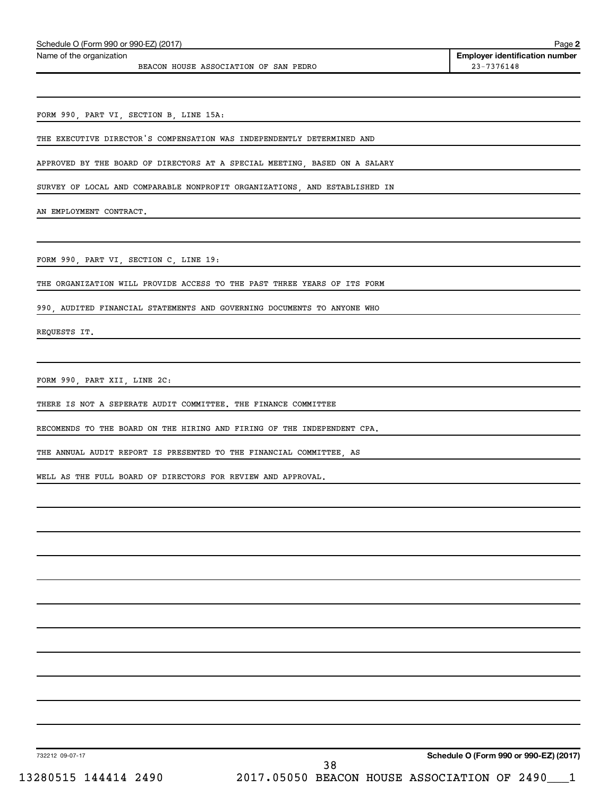| Schedule O (Form 990 or 990-EZ) (2017) | Page |  |
|----------------------------------------|------|--|
|                                        |      |  |

#### Name of the organization

BEACON HOUSE ASSOCIATION OF SAN PEDRO 23-7376148

**2 Employer identification number**

FORM 990, PART VI, SECTION B, LINE 15A:

THE EXECUTIVE DIRECTOR'S COMPENSATION WAS INDEPENDENTLY DETERMINED AND

APPROVED BY THE BOARD OF DIRECTORS AT A SPECIAL MEETING, BASED ON A SALARY

SURVEY OF LOCAL AND COMPARABLE NONPROFIT ORGANIZATIONS, AND ESTABLISHED IN

AN EMPLOYMENT CONTRACT.

FORM 990, PART VI, SECTION C, LINE 19:

THE ORGANIZATION WILL PROVIDE ACCESS TO THE PAST THREE YEARS OF ITS FORM

990, AUDITED FINANCIAL STATEMENTS AND GOVERNING DOCUMENTS TO ANYONE WHO

REQUESTS IT.

FORM 990, PART XII, LINE 2C:

THERE IS NOT A SEPERATE AUDIT COMMITTEE. THE FINANCE COMMITTEE

RECOMENDS TO THE BOARD ON THE HIRING AND FIRING OF THE INDEPENDENT CPA.

THE ANNUAL AUDIT REPORT IS PRESENTED TO THE FINANCIAL COMMITTEE, AS

WELL AS THE FULL BOARD OF DIRECTORS FOR REVIEW AND APPROVAL.

732212 09-07-17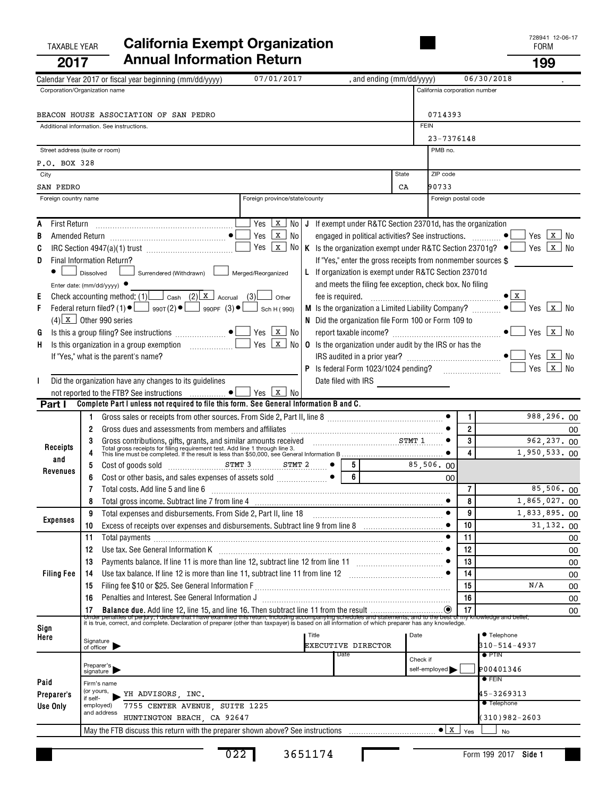### TAXABLE YEAR **California Exempt Organization California Exempt Organization 2017 Annual Information Return 199**

|                      | 07/01/2017<br>Calendar Year 2017 or fiscal year beginning (mm/dd/yyyy)                                                                                                                                                                           | , and ending (mm/dd/yyyy)                                                                                                                                                                                                            |                               | 06/30/2018                              |
|----------------------|--------------------------------------------------------------------------------------------------------------------------------------------------------------------------------------------------------------------------------------------------|--------------------------------------------------------------------------------------------------------------------------------------------------------------------------------------------------------------------------------------|-------------------------------|-----------------------------------------|
|                      | Corporation/Organization name                                                                                                                                                                                                                    |                                                                                                                                                                                                                                      | California corporation number |                                         |
|                      |                                                                                                                                                                                                                                                  |                                                                                                                                                                                                                                      |                               |                                         |
|                      | BEACON HOUSE ASSOCIATION OF SAN PEDRO                                                                                                                                                                                                            |                                                                                                                                                                                                                                      | 0714393                       |                                         |
|                      | Additional information. See instructions.                                                                                                                                                                                                        |                                                                                                                                                                                                                                      | <b>FEIN</b>                   |                                         |
|                      |                                                                                                                                                                                                                                                  |                                                                                                                                                                                                                                      | $23 - 7376148$<br>PMB no.     |                                         |
|                      | Street address (suite or room)                                                                                                                                                                                                                   |                                                                                                                                                                                                                                      |                               |                                         |
| P.O. BOX 328<br>City |                                                                                                                                                                                                                                                  |                                                                                                                                                                                                                                      | ZIP code<br>State             |                                         |
| SAN PEDRO            |                                                                                                                                                                                                                                                  |                                                                                                                                                                                                                                      | 90733<br>CA                   |                                         |
| Foreign country name | Foreign province/state/county                                                                                                                                                                                                                    |                                                                                                                                                                                                                                      | Foreign postal code           |                                         |
|                      |                                                                                                                                                                                                                                                  |                                                                                                                                                                                                                                      |                               |                                         |
| A                    | Yes $\boxed{\mathbf{x}}$ No                                                                                                                                                                                                                      | J If exempt under R&TC Section 23701d, has the organization                                                                                                                                                                          |                               |                                         |
| B                    | $\vert x \vert$<br>Yes<br>No                                                                                                                                                                                                                     |                                                                                                                                                                                                                                      |                               | Yes $\boxed{x}$ No                      |
| C                    | Yes $\overline{\mathbf{x}}$<br>No I                                                                                                                                                                                                              | K Is the organization exempt under R&TC Section 23701g? $\bullet$                                                                                                                                                                    |                               | Yes $x \mid w$                          |
| D                    | Final Information Return?                                                                                                                                                                                                                        | If "Yes," enter the gross receipts from nonmember sources \$                                                                                                                                                                         |                               |                                         |
|                      | Surrendered (Withdrawn)   Merged/Reorganized<br>Dissolved                                                                                                                                                                                        | L If organization is exempt under R&TC Section 23701d                                                                                                                                                                                |                               |                                         |
|                      | Enter date: (mm/dd/yyyy)                                                                                                                                                                                                                         | and meets the filing fee exception, check box. No filing                                                                                                                                                                             |                               |                                         |
| Е                    | Check accounting method: (1) $\Box$ Cash (2) $\Box$ Accrual (3) $\Box$<br>Other                                                                                                                                                                  |                                                                                                                                                                                                                                      |                               | $\bullet$   X                           |
| F                    |                                                                                                                                                                                                                                                  | M Is the organization a Limited Liability Company?                                                                                                                                                                                   |                               | Yes $\boxed{\mathbf{x}}$ No             |
|                      | $(4)$ X Other 990 series                                                                                                                                                                                                                         | N Did the organization file Form 100 or Form 109 to                                                                                                                                                                                  |                               |                                         |
| G                    | Is this a group filing? See instructions $\Box$<br>Yes $x$ No                                                                                                                                                                                    |                                                                                                                                                                                                                                      |                               | Yes $x$ No                              |
| н                    | Yes<br>$\vert x \vert$<br>No<br>Is this organization in a group exemption                                                                                                                                                                        | <b>0</b> Is the organization under audit by the IRS or has the                                                                                                                                                                       |                               |                                         |
|                      | If "Yes," what is the parent's name?                                                                                                                                                                                                             |                                                                                                                                                                                                                                      |                               | Yes $\boxed{\mathbf{x}}$                |
|                      |                                                                                                                                                                                                                                                  |                                                                                                                                                                                                                                      |                               | $\vert x \vert$<br>Yes<br>No            |
| $\mathbf{I}$         | Did the organization have any changes to its guidelines                                                                                                                                                                                          | Date filed with IRS <u>contract and the set of the set of the set of the set of the set of the set of the set of the set of the set of the set of the set of the set of the set of the set of the set of the set of the set of t</u> |                               |                                         |
| Part I               | not reported to the FTB? See instructions <b>EXALGE ASS</b><br>Yes $\boxed{\mathbf{x}}$ No<br>Complete Part I unless not required to file this form. See General Information B and C.                                                            |                                                                                                                                                                                                                                      |                               |                                         |
|                      | 1                                                                                                                                                                                                                                                |                                                                                                                                                                                                                                      |                               | 1<br>988,296.00                         |
|                      | $\overline{2}$<br>Gross dues and assessments from members and affiliates [111] [11] contains and a filiates [11] contains and a filiates [11] contains and a filial mass of the state of the state of the state of the state of the state of the |                                                                                                                                                                                                                                      |                               | $\overline{2}$<br>00                    |
|                      |                                                                                                                                                                                                                                                  |                                                                                                                                                                                                                                      |                               | 3<br>962,237.00                         |
| Receipts             | Gross contributions, gifts, grants, and similar amounts received Foton CTMT 1 Consistence in the Total gross receipts for filing requirement test. Add line 1 through line 3.<br>This line must be completed. If the result is le<br>4           |                                                                                                                                                                                                                                      |                               | $\overline{\mathbf{A}}$<br>1,950,533.00 |
| and                  | 5                                                                                                                                                                                                                                                | $5 \vert$                                                                                                                                                                                                                            | 85,506.00                     |                                         |
| Revenues             | 6                                                                                                                                                                                                                                                | $\overline{\phantom{a}}$ 6                                                                                                                                                                                                           | 00                            |                                         |
|                      | Total costs. Add line 5 and line 6<br>7                                                                                                                                                                                                          |                                                                                                                                                                                                                                      |                               | 7<br>85,506.00                          |
|                      | 8                                                                                                                                                                                                                                                |                                                                                                                                                                                                                                      |                               | 8<br>1,865,027.00                       |
| Expenses             | Total expenses and disbursements. From Side 2, Part II, line 18<br>9                                                                                                                                                                             |                                                                                                                                                                                                                                      |                               | 9<br>1,833,895.00                       |
|                      | 10                                                                                                                                                                                                                                               |                                                                                                                                                                                                                                      |                               | 10<br>31, 132.00                        |
|                      | Total payments<br>11                                                                                                                                                                                                                             |                                                                                                                                                                                                                                      |                               | 11<br>00                                |
|                      | 12                                                                                                                                                                                                                                               |                                                                                                                                                                                                                                      |                               | 12<br>00                                |
|                      | 13                                                                                                                                                                                                                                               |                                                                                                                                                                                                                                      |                               | 13<br>00                                |
| <b>Filing Fee</b>    | Use tax balance. If line 12 is more than line 11, subtract line 11 from line 12<br>14                                                                                                                                                            |                                                                                                                                                                                                                                      |                               | 14<br>00                                |
|                      | Filing fee \$10 or \$25. See General Information F<br>15                                                                                                                                                                                         |                                                                                                                                                                                                                                      |                               | 15<br>N/A<br>00                         |
|                      | Penalties and Interest. See General Information J<br>16                                                                                                                                                                                          |                                                                                                                                                                                                                                      |                               | 16<br>00<br>17                          |
|                      | 17<br>The penalties of perjury, I declare that Thave examined this return, including accompanying schedules and statements, and to the best of my knowledge and belief,<br>It is true, correct, and complete. Declaration of preparer (          |                                                                                                                                                                                                                                      |                               | 00                                      |
| Sign                 |                                                                                                                                                                                                                                                  | Title                                                                                                                                                                                                                                | Date                          | • Telephone                             |
| Here                 | Signature<br>of officer                                                                                                                                                                                                                          | EXECUTIVE DIRECTOR                                                                                                                                                                                                                   |                               | $310 - 514 - 4937$                      |
|                      |                                                                                                                                                                                                                                                  | Date                                                                                                                                                                                                                                 | Check if                      | $\bullet$ PTIN                          |
|                      | Preparer's<br>signature                                                                                                                                                                                                                          |                                                                                                                                                                                                                                      | self-employed                 | P00401346                               |
| Paid                 | Firm's name                                                                                                                                                                                                                                      |                                                                                                                                                                                                                                      |                               | $\bullet$ FEIN                          |
| Preparer's           | (or yours,<br>YH ADVISORS, INC.<br>if self-                                                                                                                                                                                                      |                                                                                                                                                                                                                                      |                               | 45-3269313                              |
| Use Only             | 7755 CENTER AVENUE, SUITE 1225<br>employed)                                                                                                                                                                                                      |                                                                                                                                                                                                                                      |                               | <b>• Telephone</b>                      |
|                      | and address<br>HUNTINGTON BEACH, CA 92647                                                                                                                                                                                                        |                                                                                                                                                                                                                                      |                               | (310)982-2603                           |
|                      |                                                                                                                                                                                                                                                  |                                                                                                                                                                                                                                      |                               | Yes<br>No                               |

022 3651174

п

**Side 1** Form 199 2017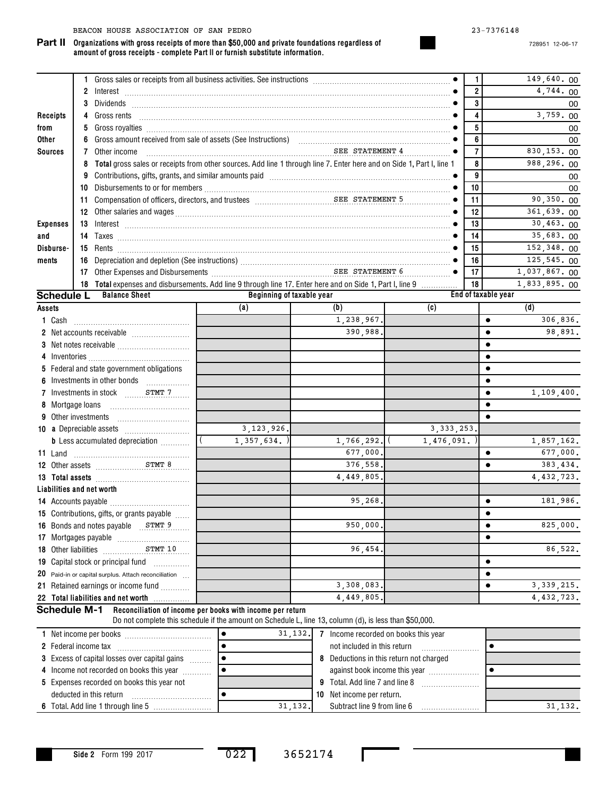#### **Organizations with gross receipts of more than \$50,000 and private foundations regardless of Part II amount of gross receipts - complete Part II or furnish substitute information.**

|                   |              | Gross sales or receipts from all business activities. See instructions [11] contains the sales or receipts from all business activities. See instructions [11] [12] contains an except of the sales of the sales of the sales        |                        |                           |     |    | 149,640.00          |
|-------------------|--------------|--------------------------------------------------------------------------------------------------------------------------------------------------------------------------------------------------------------------------------------|------------------------|---------------------------|-----|----|---------------------|
|                   | $\mathbf{2}$ |                                                                                                                                                                                                                                      |                        |                           |     |    | 4,744.00            |
|                   | З.           | Dividends                                                                                                                                                                                                                            |                        |                           |     |    | 00                  |
| Receipts          |              | 4 Gross rents                                                                                                                                                                                                                        |                        |                           |     |    | 3,759.00            |
| from              | 5.           | Gross royalties <i>communical contract contract and all algorithmic contract and algorithmic contract and algorithmic contract and algorithmic contract and algorithmic contract and algorithmic contract and algorithmic contra</i> |                        |                           |     |    | 00                  |
| Other             |              | 6 Gross amount received from sale of assets (See Instructions) [10] Case Case and Case of Assets (See Instructions)                                                                                                                  |                        |                           |     |    | 00                  |
| <b>Sources</b>    | 7            | Other income                                                                                                                                                                                                                         | <b>SEE STATEMENT 4</b> |                           |     |    | 830,153.00          |
|                   |              | Total gross sales or receipts from other sources. Add line 1 through line 7. Enter here and on Side 1, Part I, line 1                                                                                                                |                        |                           |     |    | 988,296.00          |
|                   |              |                                                                                                                                                                                                                                      |                        |                           |     | 9  | 00                  |
|                   | 10           |                                                                                                                                                                                                                                      |                        |                           |     | 10 | 00                  |
|                   | 11           | Compensation of officers, directors, and trustees Material SEE STATEMENT 5                                                                                                                                                           |                        |                           |     | 11 | 90, 350, 00         |
|                   | 12           |                                                                                                                                                                                                                                      |                        |                           |     | 12 | 361,639.00          |
| <b>Expenses</b>   |              |                                                                                                                                                                                                                                      |                        |                           |     | 13 | 30,463,00           |
| and               |              |                                                                                                                                                                                                                                      |                        |                           |     | 14 | 35,683.00           |
| Disburse-         |              |                                                                                                                                                                                                                                      |                        |                           |     | 15 | 152,348.00          |
| ments             |              |                                                                                                                                                                                                                                      |                        |                           |     | 16 | 125,545.00          |
|                   | 17           | Other Expenses and Disbursements Material According SEE STATEMENT 6                                                                                                                                                                  |                        |                           |     | 17 | 1,037,867.00        |
|                   | 18           | <b>Total</b> expenses and disbursements. Add line 9 through line 17. Enter here and on Side 1, Part I, line 9                                                                                                                        |                        |                           |     | 18 | 1,833,895.00        |
| <b>Schedule L</b> |              | <b>Balance Sheet</b>                                                                                                                                                                                                                 |                        | Beginning of taxable year |     |    | End of taxable year |
| Assets            |              |                                                                                                                                                                                                                                      | (a)                    | (b)                       | (c) |    | (d)                 |
| 1 Cash            |              |                                                                                                                                                                                                                                      |                        | 1,238,967.                |     |    | 306,836.            |
|                   |              |                                                                                                                                                                                                                                      |                        |                           |     |    |                     |

|                                                                                                                                                                                                                                                                                                                                                                                                                                                                                                                                 |                  | 1, 238, 967. |              |           | 306,836.     |
|---------------------------------------------------------------------------------------------------------------------------------------------------------------------------------------------------------------------------------------------------------------------------------------------------------------------------------------------------------------------------------------------------------------------------------------------------------------------------------------------------------------------------------|------------------|--------------|--------------|-----------|--------------|
|                                                                                                                                                                                                                                                                                                                                                                                                                                                                                                                                 |                  | 390,988.     |              | $\bullet$ | 98,891.      |
|                                                                                                                                                                                                                                                                                                                                                                                                                                                                                                                                 |                  |              |              | $\bullet$ |              |
|                                                                                                                                                                                                                                                                                                                                                                                                                                                                                                                                 |                  |              |              |           |              |
| 5 Federal and state government obligations                                                                                                                                                                                                                                                                                                                                                                                                                                                                                      |                  |              |              | $\bullet$ |              |
| 6 Investments in other bonds                                                                                                                                                                                                                                                                                                                                                                                                                                                                                                    |                  |              |              |           |              |
| 7 Investments in stock  STMT 7                                                                                                                                                                                                                                                                                                                                                                                                                                                                                                  |                  |              |              | ٠         | 1,109,400.   |
| 8 Mortgage loans                                                                                                                                                                                                                                                                                                                                                                                                                                                                                                                |                  |              |              | ٠         |              |
| <b>9</b> Other investments                                                                                                                                                                                                                                                                                                                                                                                                                                                                                                      |                  |              |              | $\bullet$ |              |
|                                                                                                                                                                                                                                                                                                                                                                                                                                                                                                                                 | 3, 123, 926.     |              | 3, 333, 253. |           |              |
| <b>b</b> Less accumulated depreciation <i></i>                                                                                                                                                                                                                                                                                                                                                                                                                                                                                  | $1, 357, 634.$ ) | 1,766,292.   | 1,476,091.   |           | 1,857,162.   |
| 11 Land<br>$\begin{minipage}{.4\linewidth} \begin{tabular}{l} \hline \multicolumn{3}{c} {\textbf{0.1}} \end{tabular} \end{minipage} \begin{minipage}{.4\linewidth} \begin{tabular}{l} \hline \multicolumn{3}{c} {\textbf{0.1}} \end{tabular} \end{minipage} \begin{minipage}{.4\linewidth} \begin{tabular}{l} \hline \multicolumn{3}{c} {\textbf{0.1}} \end{tabular} \end{minipage} \begin{minipage}{.4\linewidth} \begin{tabular}{l} \hline \multicolumn{3}{c} {\textbf{0.1}} \end{tabular} \end{minipage} \begin{minipage}{.$ |                  | 677,000.     |              | ٠         | 677,000.     |
|                                                                                                                                                                                                                                                                                                                                                                                                                                                                                                                                 |                  | 376,558.     |              |           | 383,434.     |
|                                                                                                                                                                                                                                                                                                                                                                                                                                                                                                                                 |                  | 4,449,805.   |              |           | 4,432,723.   |
| Liabilities and net worth                                                                                                                                                                                                                                                                                                                                                                                                                                                                                                       |                  |              |              |           |              |
|                                                                                                                                                                                                                                                                                                                                                                                                                                                                                                                                 |                  | 95,268.      |              | ٠         | 181,986.     |
| 15 Contributions, gifts, or grants payable                                                                                                                                                                                                                                                                                                                                                                                                                                                                                      |                  |              |              |           |              |
| 16 Bonds and notes payable  STMT 9                                                                                                                                                                                                                                                                                                                                                                                                                                                                                              |                  | 950,000.     |              | $\bullet$ | 825,000.     |
|                                                                                                                                                                                                                                                                                                                                                                                                                                                                                                                                 |                  |              |              |           |              |
|                                                                                                                                                                                                                                                                                                                                                                                                                                                                                                                                 |                  | 96,454.      |              |           | 86,522.      |
| 19 Capital stock or principal fund                                                                                                                                                                                                                                                                                                                                                                                                                                                                                              |                  |              |              | $\bullet$ |              |
| 20 Paid-in or capital surplus. Attach reconciliation                                                                                                                                                                                                                                                                                                                                                                                                                                                                            |                  |              |              | $\bullet$ |              |
| 21 Retained earnings or income fund                                                                                                                                                                                                                                                                                                                                                                                                                                                                                             |                  | 3,308,083.   |              | $\bullet$ | 3, 339, 215. |
| 22 Total liabilities and net worth                                                                                                                                                                                                                                                                                                                                                                                                                                                                                              |                  | 4,449,805.   |              |           | 4,432,723.   |

**Schedule M-1** Reconciliation of income per books with income per return

**1** Net income per books **2** Federal income tax **3** Excess of capital losses over capital gains **4** Income not recorded on books this year **5** Expenses recorded on books this year not **6** Total. Add line 1 through line 5 **17** The recorded on books this year **17** The Table 132. T Income recorded on books this year **8** Deductions in this return not charged **9** Total. Add line 7 and line 8 **with the S 10** Net income per return. Do not complete this schedule if the amount on Schedule L, line 13, column (d), is less than \$50,000. ~~~~~~~~~~~~~ not included in this return ~~~~~~~~  $a$ gainst book income this year  $\ldots$  $\ldots$  $\ldots$ deducted in this return Subtract line 9 from line 6 31,132. 31,132.~~~~~~~~~~~ • • • • • • • 31,132.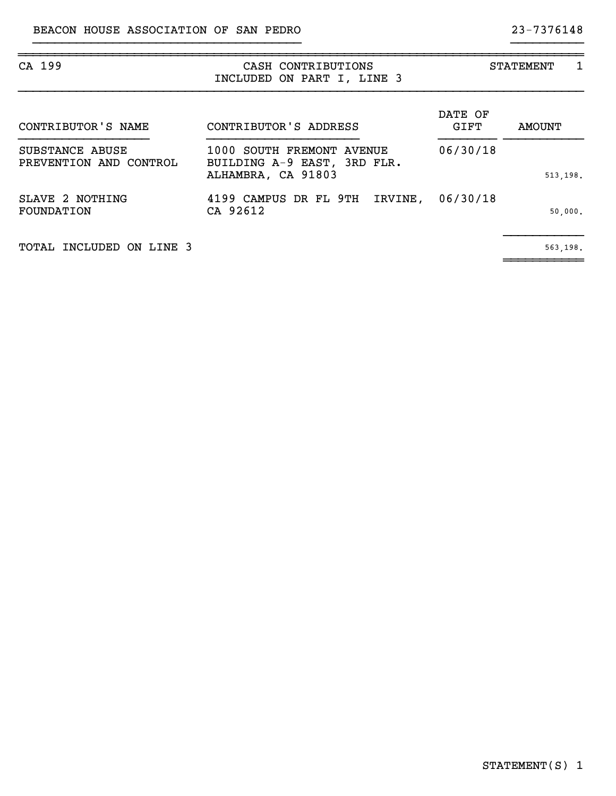| CA 199                                    | CASH CONTRIBUTIONS<br>INCLUDED ON PART I, LINE 3                               | 1<br><b>STATEMENT</b> |               |  |
|-------------------------------------------|--------------------------------------------------------------------------------|-----------------------|---------------|--|
| CONTRIBUTOR'S NAME                        | CONTRIBUTOR'S ADDRESS                                                          | DATE OF<br>GIFT       | <b>AMOUNT</b> |  |
| SUBSTANCE ABUSE<br>PREVENTION AND CONTROL | 1000 SOUTH FREMONT AVENUE<br>BUILDING A-9 EAST, 3RD FLR.<br>ALHAMBRA, CA 91803 | 06/30/18              | 513,198.      |  |
| SLAVE 2 NOTHING<br>FOUNDATION             | 4199 CAMPUS DR FL 9TH IRVINE,<br>CA 92612                                      | 06/30/18              | 50,000.       |  |
| TOTAL INCLUDED ON LINE 3                  |                                                                                |                       | 563,198.      |  |

}}}}}}}}}}}}}}}}}}}}}}}}}}}}}}}}}}}}} }}}}}}}}}}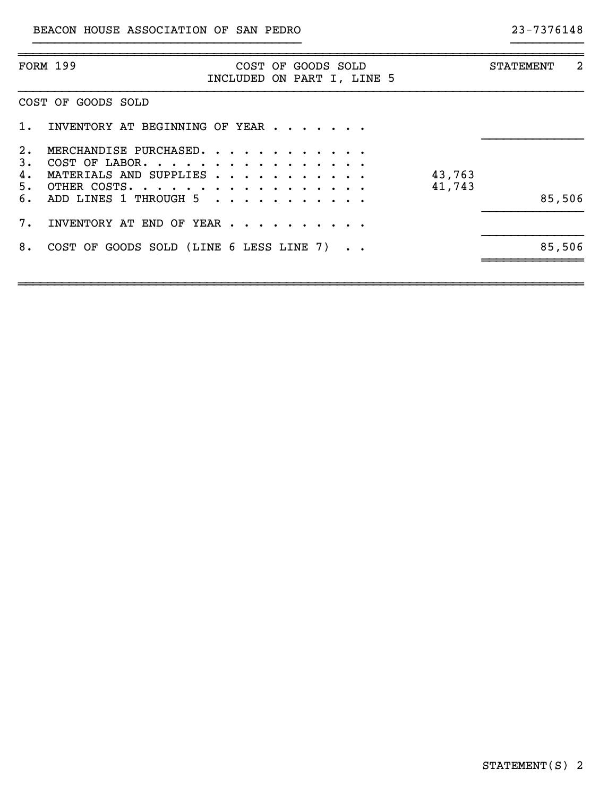|                                          | <b>FORM 199</b>    |                                                                                                             | COST OF GOODS SOLD<br>INCLUDED ON PART I, LINE 5 |                  | $\overline{\phantom{a}}^2$<br><b>STATEMENT</b> |
|------------------------------------------|--------------------|-------------------------------------------------------------------------------------------------------------|--------------------------------------------------|------------------|------------------------------------------------|
|                                          | COST OF GOODS SOLD |                                                                                                             |                                                  |                  |                                                |
| 1.                                       |                    | INVENTORY AT BEGINNING OF YEAR                                                                              |                                                  |                  |                                                |
| $2 \cdot$<br>$3 \cdot$<br>4.<br>5.<br>6. |                    | MERCHANDISE PURCHASED.<br>COST OF LABOR.<br>MATERIALS AND SUPPLIES<br>OTHER COSTS.<br>ADD LINES 1 THROUGH 5 |                                                  | 43,763<br>41,743 | 85,506                                         |
| 7.                                       |                    | INVENTORY AT END OF YEAR                                                                                    |                                                  |                  |                                                |
|                                          |                    | 8. COST OF GOODS SOLD (LINE 6 LESS LINE 7)                                                                  |                                                  |                  | 85,506                                         |

}}}}}}}}}}}}}}}}}}}}}}}}}}}}}}}}}}}}} }}}}}}}}}}

~~~~~~~~~~~~~~~~~~~~~~~~~~~~~~~~~~~~~~~~~~~~~~~~~~~~~~~~~~~~~~~~~~~~~~~~~~~~~~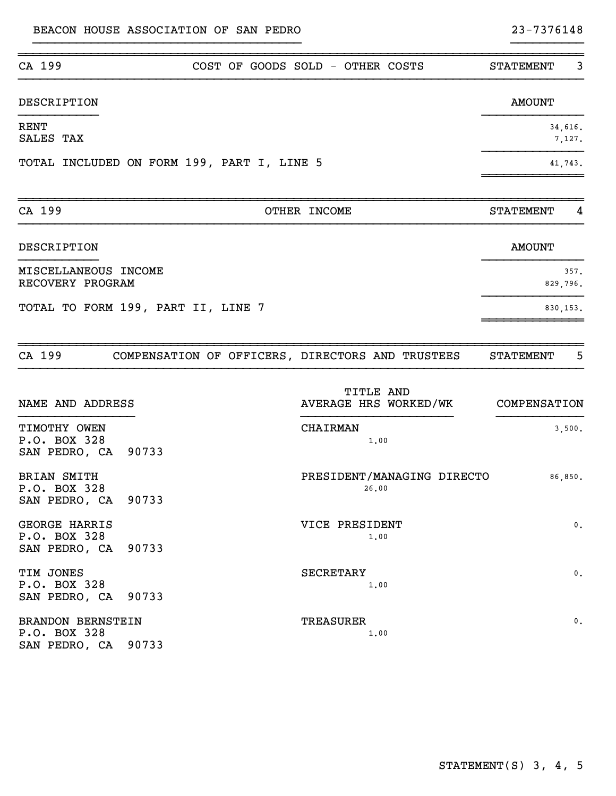| CA 199                                                          | COST OF GOODS SOLD - OTHER COSTS                        | 3<br><b>STATEMENT</b> |
|-----------------------------------------------------------------|---------------------------------------------------------|-----------------------|
| DESCRIPTION                                                     |                                                         | <b>AMOUNT</b>         |
| <b>RENT</b><br>SALES TAX                                        |                                                         | 34,616.<br>7,127.     |
| TOTAL INCLUDED ON FORM 199, PART I, LINE 5                      |                                                         | 41,743.               |
| CA 199                                                          | OTHER INCOME                                            | STATEMENT<br>4        |
| DESCRIPTION                                                     |                                                         | <b>AMOUNT</b>         |
| MISCELLANEOUS INCOME<br>RECOVERY PROGRAM                        |                                                         | 357.<br>829,796.      |
| TOTAL TO FORM 199, PART II, LINE 7                              |                                                         | 830, 153.             |
|                                                                 | CA 199 COMPENSATION OF OFFICERS, DIRECTORS AND TRUSTEES | STATEMENT<br>-5       |
| NAME AND ADDRESS                                                | TITLE AND<br>AVERAGE HRS WORKED/WK                      | COMPENSATION          |
| TIMOTHY OWEN<br>P.O. BOX 328<br>SAN PEDRO, CA 90733             | <b>CHAIRMAN</b><br>1,00                                 | 3,500.                |
| <b>BRIAN SMITH</b><br>P.O. BOX 328<br>SAN PEDRO, CA 90733       | PRESIDENT/MANAGING DIRECTO<br>26.00                     | 86,850.               |
| <b>GEORGE HARRIS</b><br>P.O. BOX 328<br>SAN PEDRO, CA 90733     | VICE PRESIDENT<br>1,00                                  | 0.                    |
| TIM JONES<br>P.O. BOX 328<br>SAN PEDRO, CA 90733                | <b>SECRETARY</b><br>1,00                                | 0.                    |
| <b>BRANDON BERNSTEIN</b><br>P.O. BOX 328<br>SAN PEDRO, CA 90733 | <b>TREASURER</b><br>1,00                                | 0.                    |

}}}}}}}}}}}}}}}}}}}}}}}}}}}}}}}}}}}}} }}}}}}}}}}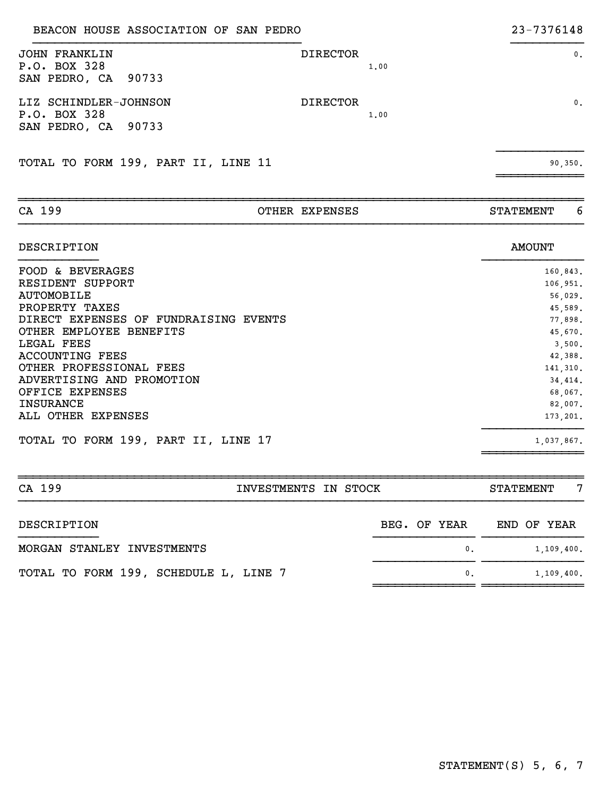| BEACON HOUSE ASSOCIATION OF SAN PEDRO                        |                         | 23-7376148     |
|--------------------------------------------------------------|-------------------------|----------------|
| JOHN FRANKLIN<br>P.O. BOX 328<br>SAN PEDRO, CA 90733         | <b>DIRECTOR</b><br>1.00 | $\mathbf{0}$ . |
| LIZ SCHINDLER-JOHNSON<br>P.O. BOX 328<br>SAN PEDRO, CA 90733 | <b>DIRECTOR</b><br>1.00 | 0.             |

TOTAL TO FORM 199, PART II, LINE 11 90, 250.

| CA 199                                | OTHER EXPENSES | 6<br><b>STATEMENT</b> |
|---------------------------------------|----------------|-----------------------|
| DESCRIPTION                           |                | <b>AMOUNT</b>         |
| FOOD & BEVERAGES                      |                | 160,843.              |
| RESIDENT SUPPORT                      |                | 106,951.              |
| AUTOMOBILE                            |                | 56,029.               |
| PROPERTY TAXES                        |                | 45,589.               |
| DIRECT EXPENSES OF FUNDRAISING EVENTS |                | 77,898.               |
| OTHER EMPLOYEE BENEFITS               |                | 45.670.               |

| LEGAL FEES                          | 3,500.     |
|-------------------------------------|------------|
| <b>ACCOUNTING FEES</b>              | 42,388.    |
| OTHER PROFESSIONAL FEES             | 141,310.   |
| ADVERTISING AND PROMOTION           | 34,414.    |
| OFFICE EXPENSES                     | 68,067.    |
| INSURANCE                           | 82,007.    |
| ALL OTHER EXPENSES                  | 173,201.   |
| TOTAL TO FORM 199, PART II, LINE 17 | 1,037,867. |
|                                     |            |
|                                     |            |

|                                       |  |                      |    |              |  | 7                                                           |
|---------------------------------------|--|----------------------|----|--------------|--|-------------------------------------------------------------|
|                                       |  |                      |    |              |  |                                                             |
|                                       |  |                      | 0. |              |  |                                                             |
| TOTAL TO FORM 199, SCHEDULE L, LINE 7 |  |                      | 0. |              |  |                                                             |
|                                       |  | INVESTMENTS IN STOCK |    | BEG. OF YEAR |  | <b>STATEMENT</b><br>END OF YEAR<br>1,109,400.<br>1,109,400. |

}}}}}}}}}}}}

~~~~~~~~~~~~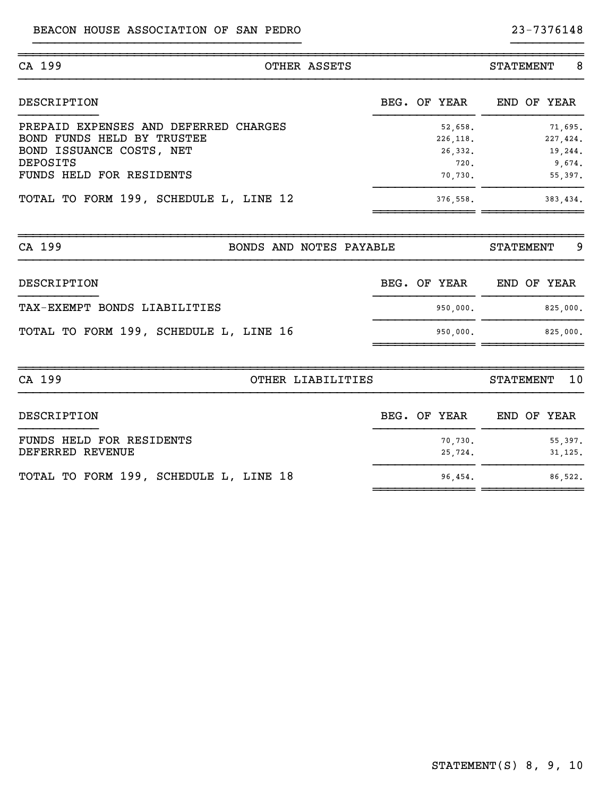~~~~~~~~~~~~~~~~~~~~~~~~~~~~~~~~~~~~~~~~~~~~~~~~~~~~~~~~~~~~~~~~~~~~~~~~~~~~~~

| DESCRIPTION                                                                                                                             | BEG. OF YEAR                                       | END OF YEAR                                         |
|-----------------------------------------------------------------------------------------------------------------------------------------|----------------------------------------------------|-----------------------------------------------------|
| PREPAID EXPENSES AND DEFERRED CHARGES<br>BOND FUNDS HELD BY TRUSTEE<br>BOND ISSUANCE COSTS, NET<br>DEPOSITS<br>FUNDS HELD FOR RESIDENTS | 52,658.<br>226, 118.<br>26.332.<br>720.<br>70.730. | 71,695.<br>227,424.<br>19,244.<br>9,674.<br>55,397. |
| TOTAL TO FORM 199, SCHEDULE L, LINE 12                                                                                                  | 376,558.                                           | 383,434.                                            |
| CA 199<br>BONDS AND NOTES PAYABLE                                                                                                       |                                                    | 9<br><b>STATEMENT</b>                               |

}}}}}}}}}}}}}}}}}}}}}}}}}}}}}}}}}}}}} }}}}}}}}}}

| DESCRIPTION                            | BEG. OF YEAR | END OF YEAR |
|----------------------------------------|--------------|-------------|
| TAX-EXEMPT BONDS LIABILITIES           | 950,000.     | 825,000.    |
| TOTAL TO FORM 199, SCHEDULE L, LINE 16 | 950,000.     | 825,000.    |
|                                        |              |             |

| CA 199<br>OTHER LIABILITIES                  |                    | <b>STATEMENT</b> | 10                 |
|----------------------------------------------|--------------------|------------------|--------------------|
| DESCRIPTION                                  | BEG. OF YEAR       | END OF YEAR      |                    |
| FUNDS HELD FOR RESIDENTS<br>DEFERRED REVENUE | 70,730.<br>25.724. |                  | 55,397.<br>31,125. |
| TOTAL TO FORM 199, SCHEDULE L, LINE 18       | 96,454.            |                  | 86,522.            |

#### CA 199 OTHER ASSETS STATEMENT 8